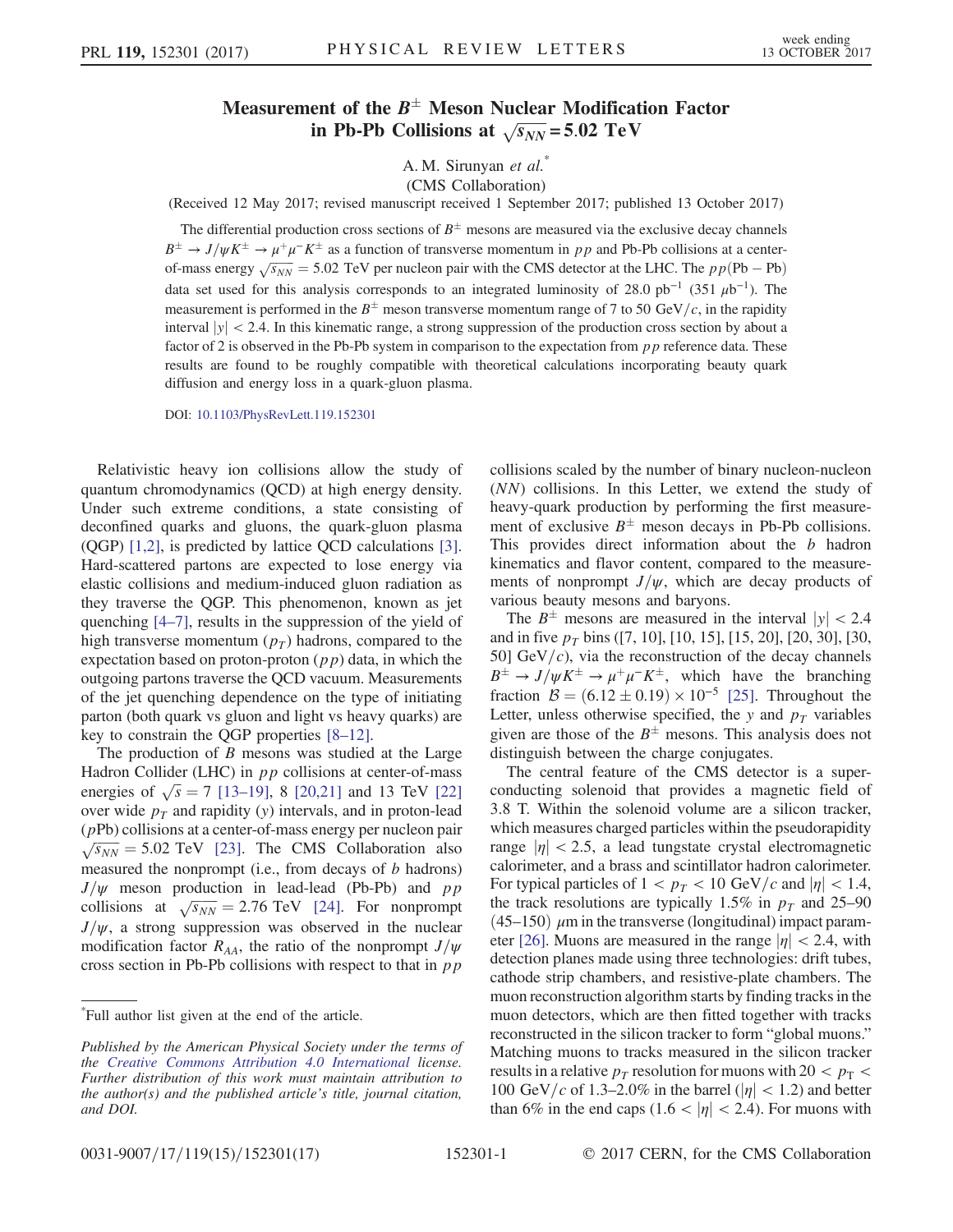## Measurement of the  $B^{\pm}$  Meson Nuclear Modification Factor in Pb-Pb Collisions at  $\sqrt{s_{NN}} = 5.02 \text{ TeV}$

A. M. Sirunyan et al.

(CMS Collaboration)

(Received 12 May 2017; revised manuscript received 1 September 2017; published 13 October 2017)

The differential production cross sections of  $B^{\pm}$  mesons are measured via the exclusive decay channels  $B^{\pm} \to J/\psi K^{\pm} \to \mu^+\mu^-K^{\pm}$  as a function of transverse momentum in pp and Pb-Pb collisions at a centerof-mass energy  $\sqrt{s_{NN}}$  = 5.02 TeV per nucleon pair with the CMS detector at the LHC. The  $pp(Pb - Pb)$ data set used for this analysis corresponds to an integrated luminosity of 28.0 pb<sup>-1</sup> (351  $\mu$ b<sup>-1</sup>). The measurement is performed in the  $B^{\pm}$  meson transverse momentum range of 7 to 50 GeV/c, in the rapidity interval  $|y| < 2.4$ . In this kinematic range, a strong suppression of the production cross section by about a factor of 2 is observed in the Pb-Pb system in comparison to the expectation from  $pp$  reference data. These results are found to be roughly compatible with theoretical calculations incorporating beauty quark diffusion and energy loss in a quark-gluon plasma.

DOI: [10.1103/PhysRevLett.119.152301](https://doi.org/10.1103/PhysRevLett.119.152301)

Relativistic heavy ion collisions allow the study of quantum chromodynamics (QCD) at high energy density. Under such extreme conditions, a state consisting of deconfined quarks and gluons, the quark-gluon plasma (QGP) [\[1,2\]](#page-4-0), is predicted by lattice QCD calculations [\[3\]](#page-4-1). Hard-scattered partons are expected to lose energy via elastic collisions and medium-induced gluon radiation as they traverse the QGP. This phenomenon, known as jet quenching [4–[7\]](#page-4-2), results in the suppression of the yield of high transverse momentum  $(p_T)$  hadrons, compared to the expectation based on proton-proton  $(pp)$  data, in which the outgoing partons traverse the QCD vacuum. Measurements of the jet quenching dependence on the type of initiating parton (both quark vs gluon and light vs heavy quarks) are key to constrain the QGP properties [8–[12\].](#page-5-0)

The production of  $B$  mesons was studied at the Large Hadron Collider (LHC) in  $pp$  collisions at center-of-mass energies of  $\sqrt{s} = 7$  [\[13](#page-5-1)–19], 8 [\[20,21\]](#page-5-2) and 13 TeV [\[22\]](#page-5-3) over wide  $p_T$  and rapidity (y) intervals, and in proton-lead (pPb) collisions at a center-of-mass energy per nucleon pair  $\sqrt{s_{NN}}$  = 5.02 TeV [\[23\]](#page-5-4). The CMS Collaboration also measured the nonprompt (i.e., from decays of  $b$  hadrons)  $J/\psi$  meson production in lead-lead (Pb-Pb) and pp collisions at  $\sqrt{s_{NN}} = 2.76 \text{ TeV}$  [\[24\].](#page-5-5) For nonprompt  $J/\psi$ , a strong suppression was observed in the nuclear modification factor  $R_{AA}$ , the ratio of the nonprompt  $J/\psi$ cross section in Pb-Pb collisions with respect to that in  $pp$ 

\* Full author list given at the end of the article.

collisions scaled by the number of binary nucleon-nucleon (NN) collisions. In this Letter, we extend the study of heavy-quark production by performing the first measurement of exclusive  $B^{\pm}$  meson decays in Pb-Pb collisions. This provides direct information about the b hadron kinematics and flavor content, compared to the measurements of nonprompt  $J/\psi$ , which are decay products of various beauty mesons and baryons.

The  $B^{\pm}$  mesons are measured in the interval  $|y| < 2.4$ and in five  $p_T$  bins ([7, 10], [10, 15], [15, 20], [20, 30], [30, 50] GeV/ $c$ ), via the reconstruction of the decay channels  $B^{\pm} \rightarrow J/\psi K^{\pm} \rightarrow \mu^{+}\mu^{-}K^{\pm}$ , which have the branching fraction  $\mathcal{B} = (6.12 \pm 0.19) \times 10^{-5}$  [\[25\].](#page-5-6) Throughout the Letter, unless otherwise specified, the y and  $p_T$  variables given are those of the  $B^{\pm}$  mesons. This analysis does not distinguish between the charge conjugates.

The central feature of the CMS detector is a superconducting solenoid that provides a magnetic field of 3.8 T. Within the solenoid volume are a silicon tracker, which measures charged particles within the pseudorapidity range  $|\eta|$  < 2.5, a lead tungstate crystal electromagnetic calorimeter, and a brass and scintillator hadron calorimeter. For typical particles of  $1 < p_T < 10$  GeV/c and  $|\eta| < 1.4$ , the track resolutions are typically 1.5% in  $p<sub>T</sub>$  and 25–90  $(45–150)$   $\mu$ m in the transverse (longitudinal) impact param-eter [\[26\].](#page-5-7) Muons are measured in the range  $|\eta| < 2.4$ , with detection planes made using three technologies: drift tubes, cathode strip chambers, and resistive-plate chambers. The muon reconstruction algorithm starts by finding tracks in the muon detectors, which are then fitted together with tracks reconstructed in the silicon tracker to form "global muons." Matching muons to tracks measured in the silicon tracker results in a relative  $p_T$  resolution for muons with 20  $\lt p_T$ 100 GeV/c of 1.3–2.0% in the barrel ( $|\eta|$  < 1.2) and better than 6% in the end caps (1.6 <  $|\eta|$  < 2.4). For muons with

Published by the American Physical Society under the terms of the [Creative Commons Attribution 4.0 International](https://creativecommons.org/licenses/by/4.0/) license. Further distribution of this work must maintain attribution to the author(s) and the published article's title, journal citation, and DOI.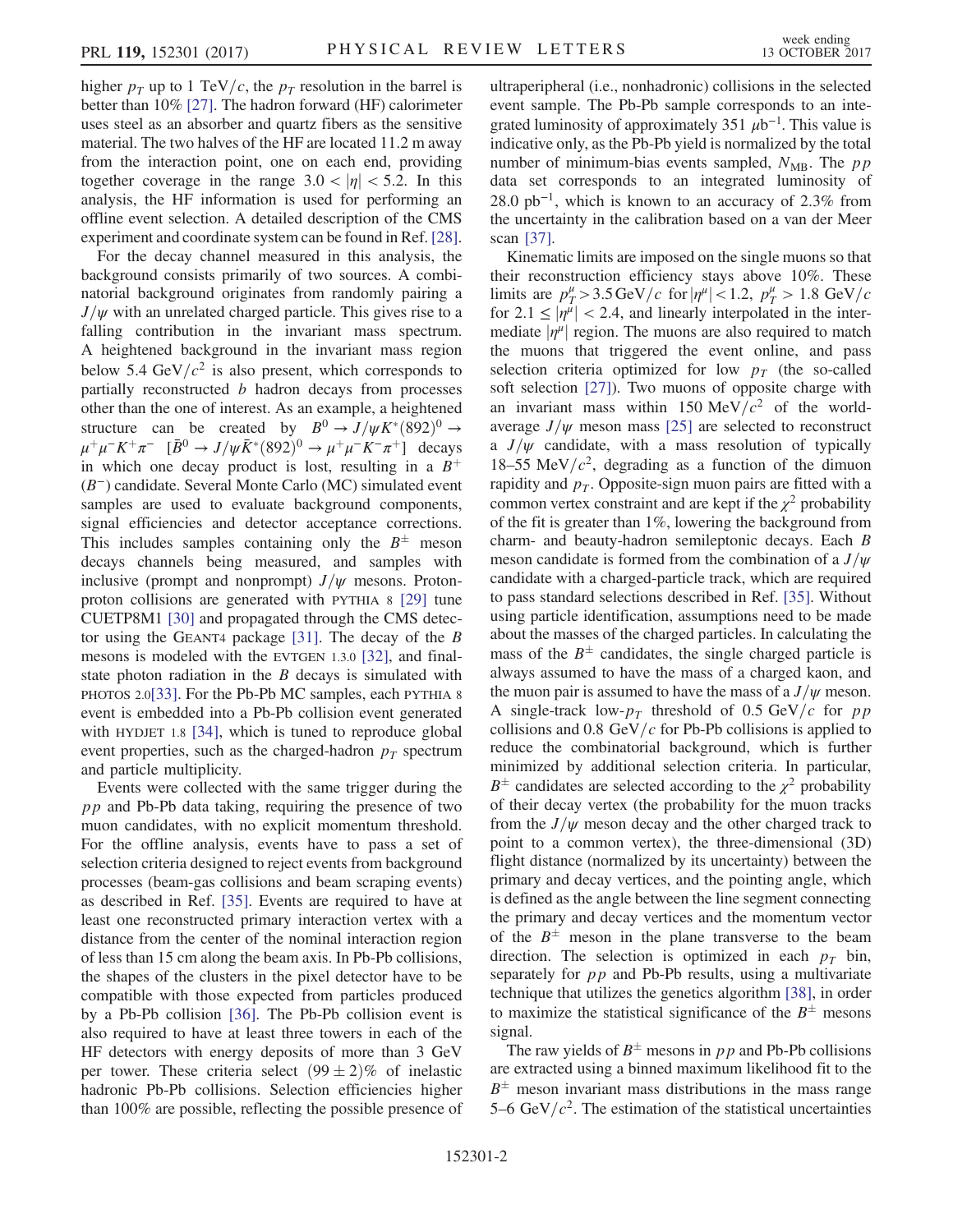higher  $p<sub>T</sub>$  up to 1 TeV/c, the  $p<sub>T</sub>$  resolution in the barrel is better than 10% [\[27\]](#page-5-8). The hadron forward (HF) calorimeter uses steel as an absorber and quartz fibers as the sensitive material. The two halves of the HF are located 11.2 m away from the interaction point, one on each end, providing together coverage in the range  $3.0 < |\eta| < 5.2$ . In this analysis, the HF information is used for performing an offline event selection. A detailed description of the CMS experiment and coordinate system can be found in Ref. [\[28\]](#page-5-9).

For the decay channel measured in this analysis, the background consists primarily of two sources. A combinatorial background originates from randomly pairing a  $J/\psi$  with an unrelated charged particle. This gives rise to a falling contribution in the invariant mass spectrum. A heightened background in the invariant mass region below 5.4 GeV/ $c^2$  is also present, which corresponds to partially reconstructed  $b$  hadron decays from processes other than the one of interest. As an example, a heightened structure can be created by  $B^0 \rightarrow J/\psi K^*(892)^0 \rightarrow$  $\mu^+ \mu^- K^+ \pi^- \quad [\bar{B}^0 \to J/\psi \bar{K}^* (892)^0 \to \mu^+ \mu^- K^- \pi^+]$  decays in which one decay product is lost, resulting in a  $B^+$ (B<sup>−</sup>) candidate. Several Monte Carlo (MC) simulated event samples are used to evaluate background components, signal efficiencies and detector acceptance corrections. This includes samples containing only the  $B^{\pm}$  meson decays channels being measured, and samples with inclusive (prompt and nonprompt)  $J/\psi$  mesons. Protonproton collisions are generated with PYTHIA 8 [\[29\]](#page-5-10) tune CUETP8M1 [\[30\]](#page-5-11) and propagated through the CMS detector using the GEANT4 package  $[31]$ . The decay of the B mesons is modeled with the EVTGEN 1.3.0 [\[32\],](#page-5-13) and finalstate photon radiation in the  $B$  decays is simulated with PHOTOS 2.0[\[33\]](#page-5-14). For the Pb-Pb MC samples, each PYTHIA 8 event is embedded into a Pb-Pb collision event generated with HYDJET 1.8 [\[34\],](#page-5-15) which is tuned to reproduce global event properties, such as the charged-hadron  $p_T$  spectrum and particle multiplicity.

Events were collected with the same trigger during the  $pp$  and Pb-Pb data taking, requiring the presence of two muon candidates, with no explicit momentum threshold. For the offline analysis, events have to pass a set of selection criteria designed to reject events from background processes (beam-gas collisions and beam scraping events) as described in Ref. [\[35\].](#page-5-16) Events are required to have at least one reconstructed primary interaction vertex with a distance from the center of the nominal interaction region of less than 15 cm along the beam axis. In Pb-Pb collisions, the shapes of the clusters in the pixel detector have to be compatible with those expected from particles produced by a Pb-Pb collision [\[36\]](#page-5-17). The Pb-Pb collision event is also required to have at least three towers in each of the HF detectors with energy deposits of more than 3 GeV per tower. These criteria select  $(99 \pm 2)\%$  of inelastic hadronic Pb-Pb collisions. Selection efficiencies higher than 100% are possible, reflecting the possible presence of ultraperipheral (i.e., nonhadronic) collisions in the selected event sample. The Pb-Pb sample corresponds to an integrated luminosity of approximately 351  $\mu$ b<sup>-1</sup>. This value is indicative only, as the Pb-Pb yield is normalized by the total number of minimum-bias events sampled,  $N_{MB}$ . The pp data set corresponds to an integrated luminosity of  $28.0 \text{ pb}^{-1}$ , which is known to an accuracy of 2.3% from the uncertainty in the calibration based on a van der Meer scan [\[37\]](#page-5-18).

Kinematic limits are imposed on the single muons so that their reconstruction efficiency stays above 10%. These limits are  $p_T^{\mu} > 3.5 \,\text{GeV}/c$  for  $|\eta^{\mu}| < 1.2$ ,  $p_T^{\mu} > 1.8 \,\text{GeV}/c$ for  $2.1 \leq |\eta^{\mu}| < 2.4$ , and linearly interpolated in the intermediate  $|\eta^{\mu}|$  region. The muons are also required to match the muons that triggered the event online, and pass selection criteria optimized for low  $p_T$  (the so-called soft selection [\[27\]\)](#page-5-8). Two muons of opposite charge with an invariant mass within 150 MeV/ $c^2$  of the worldaverage  $J/\psi$  meson mass [\[25\]](#page-5-6) are selected to reconstruct a  $J/\psi$  candidate, with a mass resolution of typically 18–55 MeV/ $c^2$ , degrading as a function of the dimuon rapidity and  $p<sub>T</sub>$ . Opposite-sign muon pairs are fitted with a common vertex constraint and are kept if the  $\chi^2$  probability of the fit is greater than 1%, lowering the background from charm- and beauty-hadron semileptonic decays. Each B meson candidate is formed from the combination of a  $J/\psi$ candidate with a charged-particle track, which are required to pass standard selections described in Ref. [\[35\].](#page-5-16) Without using particle identification, assumptions need to be made about the masses of the charged particles. In calculating the mass of the  $B^{\pm}$  candidates, the single charged particle is always assumed to have the mass of a charged kaon, and the muon pair is assumed to have the mass of a  $J/\psi$  meson. A single-track low- $p_T$  threshold of 0.5 GeV/c for pp collisions and  $0.8 \text{ GeV}/c$  for Pb-Pb collisions is applied to reduce the combinatorial background, which is further minimized by additional selection criteria. In particular,  $B^{\pm}$  candidates are selected according to the  $\chi^2$  probability of their decay vertex (the probability for the muon tracks from the  $J/\psi$  meson decay and the other charged track to point to a common vertex), the three-dimensional (3D) flight distance (normalized by its uncertainty) between the primary and decay vertices, and the pointing angle, which is defined as the angle between the line segment connecting the primary and decay vertices and the momentum vector of the  $B^{\pm}$  meson in the plane transverse to the beam direction. The selection is optimized in each  $p<sub>T</sub>$  bin, separately for  $pp$  and Pb-Pb results, using a multivariate technique that utilizes the genetics algorithm [\[38\],](#page-5-19) in order to maximize the statistical significance of the  $B^{\pm}$  mesons signal.

The raw yields of  $B^{\pm}$  mesons in pp and Pb-Pb collisions are extracted using a binned maximum likelihood fit to the  $B^{\pm}$  meson invariant mass distributions in the mass range 5–6 GeV/ $c^2$ . The estimation of the statistical uncertainties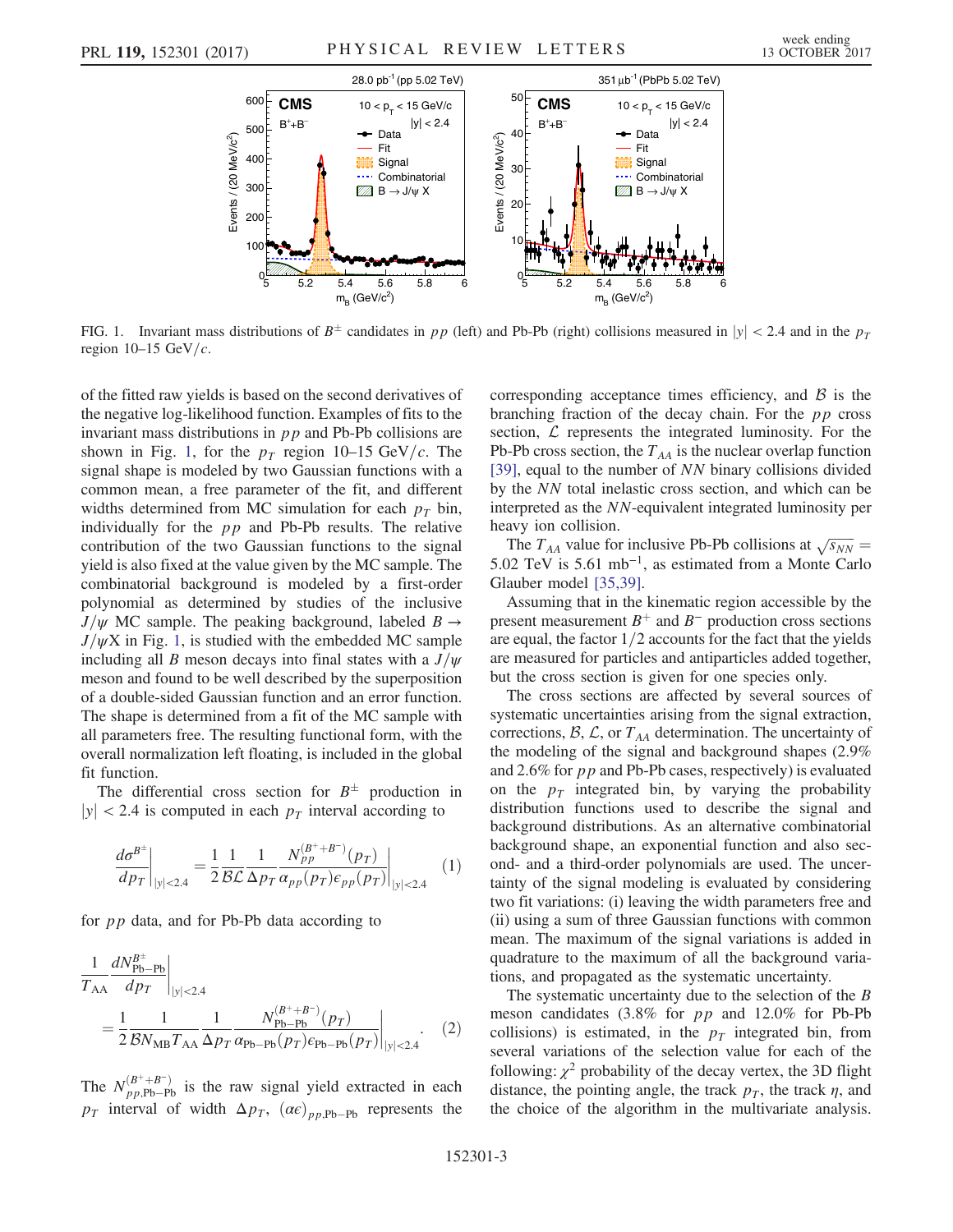<span id="page-2-0"></span>

FIG. 1. Invariant mass distributions of  $B^{\pm}$  candidates in pp (left) and Pb-Pb (right) collisions measured in  $|y| < 2.4$  and in the p<sub>T</sub> region  $10-15$  GeV/ $c$ .

of the fitted raw yields is based on the second derivatives of the negative log-likelihood function. Examples of fits to the invariant mass distributions in pp and Pb-Pb collisions are shown in Fig. [1,](#page-2-0) for the  $p_T$  region 10–15 GeV/c. The signal shape is modeled by two Gaussian functions with a common mean, a free parameter of the fit, and different widths determined from MC simulation for each  $p_T$  bin, individually for the  $pp$  and Pb-Pb results. The relative contribution of the two Gaussian functions to the signal yield is also fixed at the value given by the MC sample. The combinatorial background is modeled by a first-order polynomial as determined by studies of the inclusive  $J/\psi$  MC sample. The peaking background, labeled  $B \rightarrow$  $J/\psi X$  in Fig. [1](#page-2-0), is studied with the embedded MC sample including all B meson decays into final states with a  $J/\psi$ meson and found to be well described by the superposition of a double-sided Gaussian function and an error function. The shape is determined from a fit of the MC sample with all parameters free. The resulting functional form, with the overall normalization left floating, is included in the global fit function.

The differential cross section for  $B^{\pm}$  production in  $|y|$  < 2.4 is computed in each  $p<sub>T</sub>$  interval according to

$$
\left. \frac{d\sigma^{B^{\pm}}}{dp_T} \right|_{|y| < 2.4} = \frac{1}{2} \frac{1}{\mathcal{BL}} \frac{1}{\Delta p_T} \frac{N_{pp}^{(B^+ + B^-)}(p_T)}{\alpha_{pp}(p_T) \epsilon_{pp}(p_T)} \bigg|_{|y| < 2.4}
$$
 (1)

for pp data, and for Pb-Pb data according to

$$
\frac{1}{T_{AA}} \frac{dN_{\text{Pb-Pb}}^{B^{+}}}{dp_T}\Big|_{|y|<2.4}
$$
\n
$$
= \frac{1}{2} \frac{1}{\mathcal{B}N_{\text{MB}}T_{\text{AA}}}\frac{1}{\Delta p_T} \frac{N_{\text{Pb-Pb}}^{(B^{+}+B^{-})}(p_T)}{p_{\text{Pb-Pb}}(p_T)\epsilon_{\text{Pb-Pb}}(p_T)}\Big|_{|y|<2.4}.
$$
\n(2)

The  $N_{pp,\text{Pb}-\text{Pb}}^{(B^++B^-)}$  is the raw signal yield extracted in each  $p_T$  interval of width  $\Delta p_T$ ,  $(\alpha \epsilon)_{pp,\text{Pb-Pb}}$  represents the corresponding acceptance times efficiency, and  $\beta$  is the branching fraction of the decay chain. For the  $pp$  cross section,  $\mathcal L$  represents the integrated luminosity. For the Pb-Pb cross section, the  $T_{AA}$  is the nuclear overlap function [\[39\]](#page-5-20), equal to the number of NN binary collisions divided by the NN total inelastic cross section, and which can be interpreted as the NN-equivalent integrated luminosity per heavy ion collision.

The  $T_{AA}$  value for inclusive Pb-Pb collisions at  $\sqrt{s_{NN}} =$ 5.02 TeV is 5.61 mb<sup>−</sup><sup>1</sup>, as estimated from a Monte Carlo Glauber model [\[35,39\]](#page-5-16).

Assuming that in the kinematic region accessible by the present measurement  $B^+$  and  $B^-$  production cross sections are equal, the factor  $1/2$  accounts for the fact that the yields are measured for particles and antiparticles added together, but the cross section is given for one species only.

The cross sections are affected by several sources of systematic uncertainties arising from the signal extraction, corrections,  $\mathcal{B}, \mathcal{L}$ , or  $T_{AA}$  determination. The uncertainty of the modeling of the signal and background shapes (2.9% and 2.6% for  $pp$  and Pb-Pb cases, respectively) is evaluated on the  $p_T$  integrated bin, by varying the probability distribution functions used to describe the signal and background distributions. As an alternative combinatorial background shape, an exponential function and also second- and a third-order polynomials are used. The uncertainty of the signal modeling is evaluated by considering two fit variations: (i) leaving the width parameters free and (ii) using a sum of three Gaussian functions with common mean. The maximum of the signal variations is added in quadrature to the maximum of all the background variations, and propagated as the systematic uncertainty.

The systematic uncertainty due to the selection of the  $B$ meson candidates (3.8% for pp and 12.0% for Pb-Pb collisions) is estimated, in the  $p<sub>T</sub>$  integrated bin, from several variations of the selection value for each of the following:  $\chi^2$  probability of the decay vertex, the 3D flight distance, the pointing angle, the track  $p<sub>T</sub>$ , the track  $\eta$ , and the choice of the algorithm in the multivariate analysis.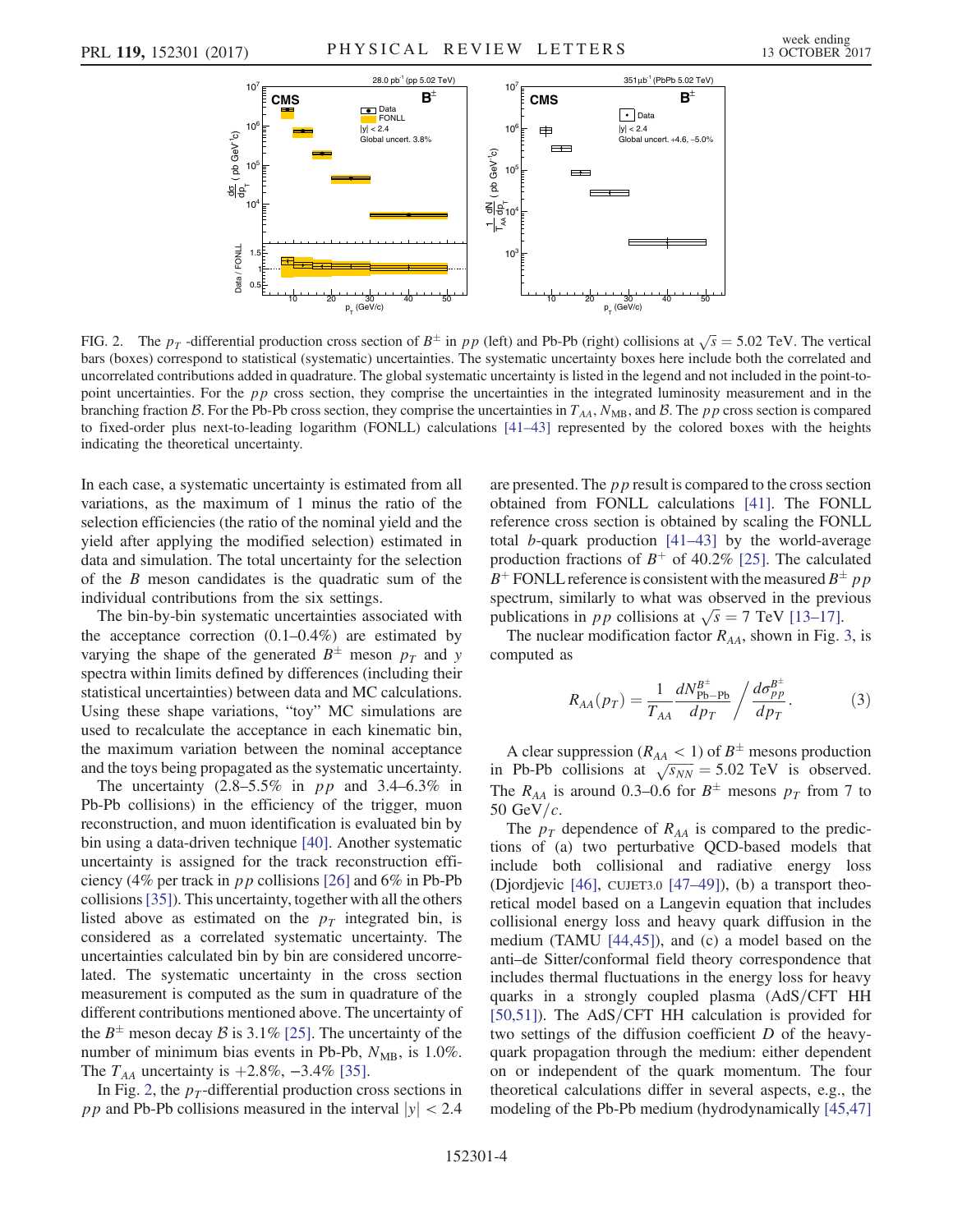<span id="page-3-0"></span>

FIG. 2. The  $p_T$  -differential production cross section of  $B^{\pm}$  in  $pp$  (left) and Pb-Pb (right) collisions at  $\sqrt{s} = 5.02$  TeV. The vertical bars (boxes) correspond to statistical (systematic) uncertainties. The systematic uncertainty boxes here include both the correlated and uncorrelated contributions added in quadrature. The global systematic uncertainty is listed in the legend and not included in the point-topoint uncertainties. For the *pp* cross section, they comprise the uncertainties in the integrated luminosity measurement and in the branching fraction B. For the Pb-Pb cross section, they comprise the uncertainties in  $T_{AA}$ ,  $N_{MB}$ , and B. The pp cross section is compared to fixed-order plus next-to-leading logarithm (FONLL) calculations [\[41](#page-5-22)–43] represented by the colored boxes with the heights indicating the theoretical uncertainty.

In each case, a systematic uncertainty is estimated from all variations, as the maximum of 1 minus the ratio of the selection efficiencies (the ratio of the nominal yield and the yield after applying the modified selection) estimated in data and simulation. The total uncertainty for the selection of the B meson candidates is the quadratic sum of the individual contributions from the six settings.

The bin-by-bin systematic uncertainties associated with the acceptance correction  $(0.1-0.4\%)$  are estimated by varying the shape of the generated  $B^{\pm}$  meson  $p_T$  and y spectra within limits defined by differences (including their statistical uncertainties) between data and MC calculations. Using these shape variations, "toy" MC simulations are used to recalculate the acceptance in each kinematic bin, the maximum variation between the nominal acceptance and the toys being propagated as the systematic uncertainty.

The uncertainty  $(2.8-5.5\%$  in pp and  $3.4-6.3\%$  in Pb-Pb collisions) in the efficiency of the trigger, muon reconstruction, and muon identification is evaluated bin by bin using a data-driven technique [\[40\]](#page-5-21). Another systematic uncertainty is assigned for the track reconstruction efficiency (4% per track in  $pp$  collisions [\[26\]](#page-5-7) and 6% in Pb-Pb collisions[\[35\]\)](#page-5-16). This uncertainty, together with all the others listed above as estimated on the  $p<sub>T</sub>$  integrated bin, is considered as a correlated systematic uncertainty. The uncertainties calculated bin by bin are considered uncorrelated. The systematic uncertainty in the cross section measurement is computed as the sum in quadrature of the different contributions mentioned above. The uncertainty of the  $B^{\pm}$  meson decay B is 3.1% [\[25\]](#page-5-6). The uncertainty of the number of minimum bias events in Pb-Pb,  $N_{MB}$ , is 1.0%. The  $T_{AA}$  uncertainty is  $+2.8\%$ ,  $-3.4\%$  [\[35\].](#page-5-16)

In Fig. [2,](#page-3-0) the  $p_T$ -differential production cross sections in pp and Pb-Pb collisions measured in the interval  $|y| < 2.4$  are presented. The  $p p$  result is compared to the cross section obtained from FONLL calculations [\[41\]](#page-5-22). The FONLL reference cross section is obtained by scaling the FONLL total b-quark production [41–[43\]](#page-5-22) by the world-average production fractions of  $B^+$  of 40.2% [\[25\]](#page-5-6). The calculated  $B^+$  FONLL reference is consistent with the measured  $B^{\pm}$  pp spectrum, similarly to what was observed in the previous publications in pp collisions at  $\sqrt{s} = 7$  TeV [\[13](#page-5-1)–17].

The nuclear modification factor  $R_{AA}$ , shown in Fig. [3,](#page-4-3) is computed as

$$
R_{AA}(p_T) = \frac{1}{T_{AA}} \frac{dN_{\rm Pb-Pb}^{B^{\pm}}}{dp_T} / \frac{d\sigma_{pp}^{B^{\pm}}}{dp_T}.
$$
 (3)

A clear suppression ( $R_{AA}$  < 1) of  $B^{\pm}$  mesons production in Pb-Pb collisions at  $\sqrt{s_{NN}} = 5.02 \text{ TeV}$  is observed. The  $R_{AA}$  is around 0.3–0.6 for  $B^{\pm}$  mesons  $p_T$  from 7 to 50 GeV/ $c$ .

The  $p_T$  dependence of  $R_{AA}$  is compared to the predictions of (a) two perturbative QCD-based models that include both collisional and radiative energy loss (Djordjevic [\[46\],](#page-6-0) CUJET3.0 [47–[49\]\)](#page-6-1), (b) a transport theoretical model based on a Langevin equation that includes collisional energy loss and heavy quark diffusion in the medium (TAMU [\[44,45\]\)](#page-6-2), and (c) a model based on the anti–de Sitter/conformal field theory correspondence that includes thermal fluctuations in the energy loss for heavy quarks in a strongly coupled plasma  $(AdS/CFT$  HH  $[50,51]$ ). The AdS/CFT HH calculation is provided for two settings of the diffusion coefficient D of the heavyquark propagation through the medium: either dependent on or independent of the quark momentum. The four theoretical calculations differ in several aspects, e.g., the modeling of the Pb-Pb medium (hydrodynamically [\[45,47\]](#page-6-4)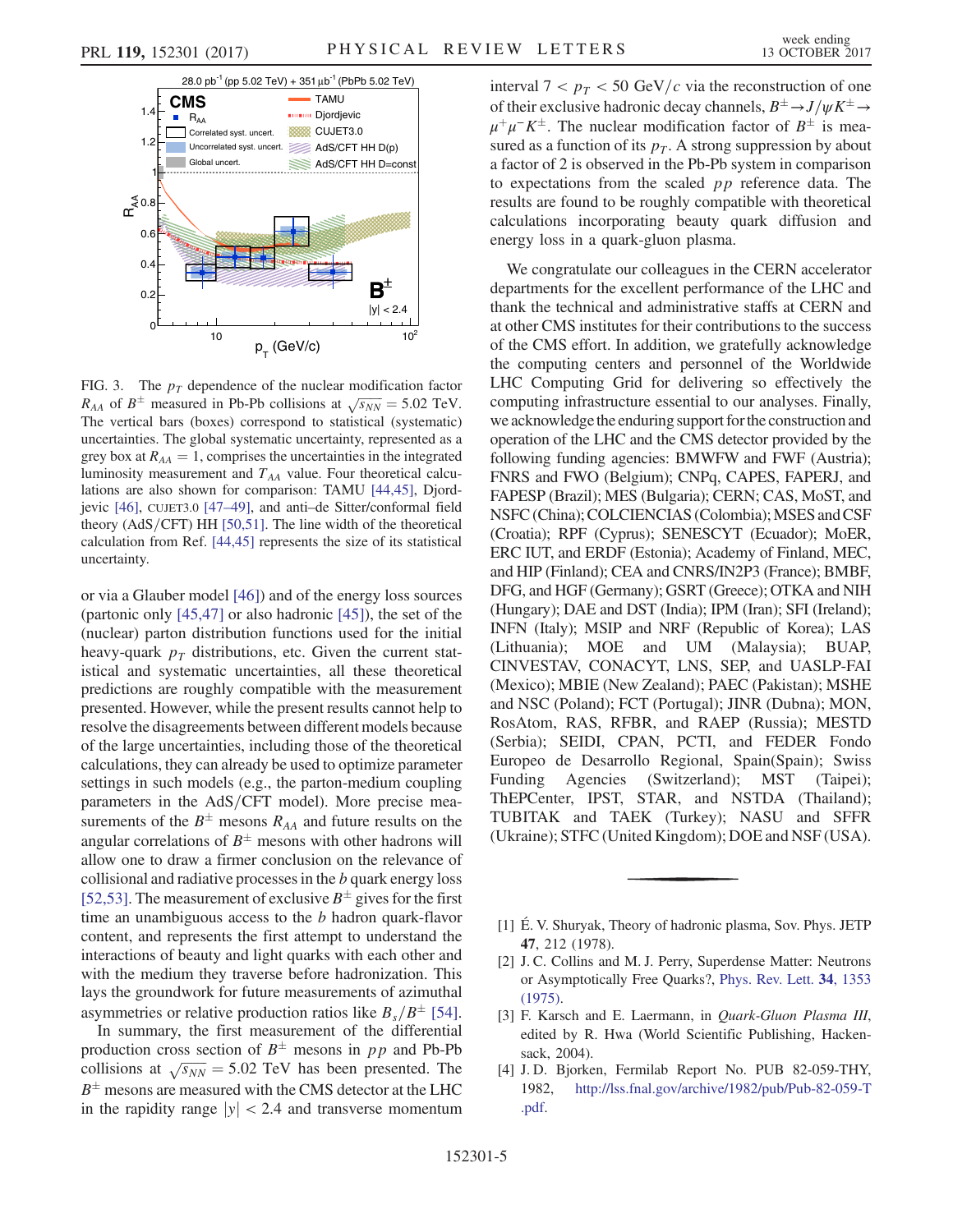<span id="page-4-3"></span>

FIG. 3. The  $p_T$  dependence of the nuclear modification factor  $R_{AA}$  of  $B^{\pm}$  measured in Pb-Pb collisions at  $\sqrt{s_{NN}} = 5.02$  TeV. The vertical bars (boxes) correspond to statistical (systematic) uncertainties. The global systematic uncertainty, represented as a grey box at  $R_{AA} = 1$ , comprises the uncertainties in the integrated luminosity measurement and  $T_{AA}$  value. Four theoretical calculations are also shown for comparison: TAMU [\[44,45\],](#page-6-2) Djordjevic [\[46\]](#page-6-0), CUJET3.0 [47–[49\]](#page-6-1), and anti–de Sitter/conformal field theory  $(AdS/CFT)$  HH [\[50,51\]](#page-6-3). The line width of the theoretical calculation from Ref. [\[44,45\]](#page-6-2) represents the size of its statistical uncertainty.

or via a Glauber model [\[46\]\)](#page-6-0) and of the energy loss sources (partonic only [\[45,47\]](#page-6-4) or also hadronic [\[45\]](#page-6-4)), the set of the (nuclear) parton distribution functions used for the initial heavy-quark  $p<sub>T</sub>$  distributions, etc. Given the current statistical and systematic uncertainties, all these theoretical predictions are roughly compatible with the measurement presented. However, while the present results cannot help to resolve the disagreements between different models because of the large uncertainties, including those of the theoretical calculations, they can already be used to optimize parameter settings in such models (e.g., the parton-medium coupling parameters in the AdS/CFT model). More precise measurements of the  $B^{\pm}$  mesons  $R_{AA}$  and future results on the angular correlations of  $B^{\pm}$  mesons with other hadrons will allow one to draw a firmer conclusion on the relevance of collisional and radiative processes in the b quark energy loss [\[52,53\]](#page-6-5). The measurement of exclusive  $B^{\pm}$  gives for the first time an unambiguous access to the  $b$  hadron quark-flavor content, and represents the first attempt to understand the interactions of beauty and light quarks with each other and with the medium they traverse before hadronization. This lays the groundwork for future measurements of azimuthal asymmetries or relative production ratios like  $B_s/B^{\pm}$  [\[54\]](#page-6-6).

In summary, the first measurement of the differential production cross section of  $B^{\pm}$  mesons in pp and Pb-Pb collisions at  $\sqrt{s_{NN}}$  = 5.02 TeV has been presented. The  $B^{\pm}$  mesons are measured with the CMS detector at the LHC in the rapidity range  $|y| < 2.4$  and transverse momentum interval  $7 < p_T < 50$  GeV/c via the reconstruction of one of their exclusive hadronic decay channels,  $B^{\pm} \rightarrow J/\psi K^{\pm} \rightarrow$  $\mu^+\mu^-K^{\pm}$ . The nuclear modification factor of  $B^{\pm}$  is measured as a function of its  $p<sub>T</sub>$ . A strong suppression by about a factor of 2 is observed in the Pb-Pb system in comparison to expectations from the scaled pp reference data. The results are found to be roughly compatible with theoretical calculations incorporating beauty quark diffusion and energy loss in a quark-gluon plasma.

We congratulate our colleagues in the CERN accelerator departments for the excellent performance of the LHC and thank the technical and administrative staffs at CERN and at other CMS institutes for their contributions to the success of the CMS effort. In addition, we gratefully acknowledge the computing centers and personnel of the Worldwide LHC Computing Grid for delivering so effectively the computing infrastructure essential to our analyses. Finally, we acknowledgethe enduring support forthe construction and operation of the LHC and the CMS detector provided by the following funding agencies: BMWFW and FWF (Austria); FNRS and FWO (Belgium); CNPq, CAPES, FAPERJ, and FAPESP (Brazil); MES (Bulgaria); CERN; CAS, MoST, and NSFC (China); COLCIENCIAS (Colombia); MSES and CSF (Croatia); RPF (Cyprus); SENESCYT (Ecuador); MoER, ERC IUT, and ERDF (Estonia); Academy of Finland, MEC, and HIP (Finland); CEA and CNRS/IN2P3 (France); BMBF, DFG, and HGF (Germany); GSRT (Greece); OTKA and NIH (Hungary); DAE and DST (India); IPM (Iran); SFI (Ireland); INFN (Italy); MSIP and NRF (Republic of Korea); LAS (Lithuania); MOE and UM (Malaysia); BUAP, CINVESTAV, CONACYT, LNS, SEP, and UASLP-FAI (Mexico); MBIE (New Zealand); PAEC (Pakistan); MSHE and NSC (Poland); FCT (Portugal); JINR (Dubna); MON, RosAtom, RAS, RFBR, and RAEP (Russia); MESTD (Serbia); SEIDI, CPAN, PCTI, and FEDER Fondo Europeo de Desarrollo Regional, Spain(Spain); Swiss Funding Agencies (Switzerland); MST (Taipei); ThEPCenter, IPST, STAR, and NSTDA (Thailand); TUBITAK and TAEK (Turkey); NASU and SFFR (Ukraine); STFC (United Kingdom); DOE and NSF (USA).

- <span id="page-4-0"></span>[1] É. V. Shuryak, Theory of hadronic plasma, Sov. Phys. JETP 47, 212 (1978).
- <span id="page-4-1"></span>[2] J. C. Collins and M. J. Perry, Superdense Matter: Neutrons or Asymptotically Free Quarks?, [Phys. Rev. Lett.](https://doi.org/10.1103/PhysRevLett.34.1353) 34, 1353 [\(1975\).](https://doi.org/10.1103/PhysRevLett.34.1353)
- <span id="page-4-2"></span>[3] F. Karsch and E. Laermann, in Quark-Gluon Plasma III, edited by R. Hwa (World Scientific Publishing, Hackensack, 2004).
- [4] J. D. Bjorken, Fermilab Report No. PUB 82-059-THY, 1982, [http://lss.fnal.gov/archive/1982/pub/Pub-82-059-T](http://lss.fnal.gov/archive/1982/pub/Pub-82-059-T.pdf) [.pdf.](http://lss.fnal.gov/archive/1982/pub/Pub-82-059-T.pdf)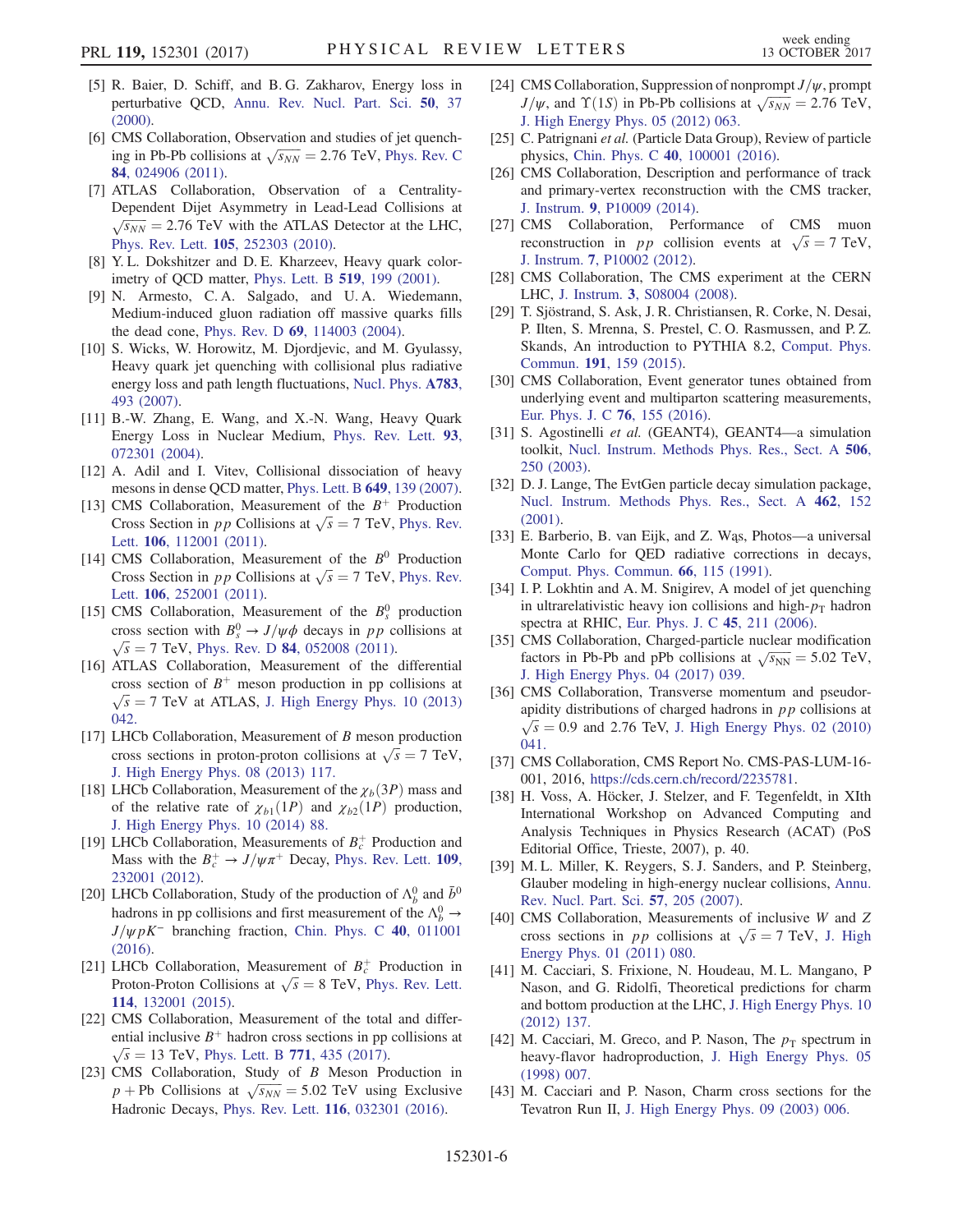- [5] R. Baier, D. Schiff, and B. G. Zakharov, Energy loss in perturbative QCD, [Annu. Rev. Nucl. Part. Sci.](https://doi.org/10.1146/annurev.nucl.50.1.37) 50, 37 [\(2000\).](https://doi.org/10.1146/annurev.nucl.50.1.37)
- [6] CMS Collaboration, Observation and studies of jet quenching in Pb-Pb collisions at  $\sqrt{s_{NN}} = 2.76$  TeV, [Phys. Rev. C](https://doi.org/10.1103/PhysRevC.84.024906) 84[, 024906 \(2011\).](https://doi.org/10.1103/PhysRevC.84.024906)
- [7] ATLAS Collaboration, Observation of a Centrality-Dependent Dijet Asymmetry in Lead-Lead Collisions at  $\sqrt{s_{NN}}$  = 2.76 TeV with the ATLAS Detector at the LHC, Phys. Rev. Lett. 105[, 252303 \(2010\).](https://doi.org/10.1103/PhysRevLett.105.252303)
- <span id="page-5-0"></span>[8] Y.L. Dokshitzer and D.E. Kharzeev, Heavy quark colorimetry of QCD matter, [Phys. Lett. B](https://doi.org/10.1016/S0370-2693(01)01130-3) 519, 199 (2001).
- [9] N. Armesto, C. A. Salgado, and U. A. Wiedemann, Medium-induced gluon radiation off massive quarks fills the dead cone, Phys. Rev. D 69[, 114003 \(2004\).](https://doi.org/10.1103/PhysRevD.69.114003)
- [10] S. Wicks, W. Horowitz, M. Djordjevic, and M. Gyulassy, Heavy quark jet quenching with collisional plus radiative energy loss and path length fluctuations, [Nucl. Phys.](https://doi.org/10.1016/j.nuclphysa.2006.11.102) A783, [493 \(2007\)](https://doi.org/10.1016/j.nuclphysa.2006.11.102).
- [11] B.-W. Zhang, E. Wang, and X.-N. Wang, Heavy Quark Energy Loss in Nuclear Medium, [Phys. Rev. Lett.](https://doi.org/10.1103/PhysRevLett.93.072301) 93, [072301 \(2004\).](https://doi.org/10.1103/PhysRevLett.93.072301)
- [12] A. Adil and I. Vitev, Collisional dissociation of heavy mesons in dense QCD matter, [Phys. Lett. B](https://doi.org/10.1016/j.physletb.2007.03.050) 649, 139 (2007).
- <span id="page-5-1"></span>[13] CMS Collaboration, Measurement of the  $B^+$  Production Cross Section in pp Collisions at  $\sqrt{s} = 7$  TeV, [Phys. Rev.](https://doi.org/10.1103/PhysRevLett.106.112001) Lett. 106[, 112001 \(2011\)](https://doi.org/10.1103/PhysRevLett.106.112001).
- [14] CMS Collaboration, Measurement of the  $B^0$  Production Cross Section in pp Collisions at  $\sqrt{s} = 7$  TeV, [Phys. Rev.](https://doi.org/10.1103/PhysRevLett.106.252001) Lett. 106[, 252001 \(2011\)](https://doi.org/10.1103/PhysRevLett.106.252001).
- [15] CMS Collaboration, Measurement of the  $B_s^0$  production cross section with  $B_s^0 \rightarrow J/\psi \phi$  decays in pp collisions at  $\sqrt{s}$  = 7 TeV, Phys. Rev. D 84[, 052008 \(2011\)](https://doi.org/10.1103/PhysRevD.84.052008).
- [16] ATLAS Collaboration, Measurement of the differential cross section of  $B^+$  meson production in pp collisions at  $\sqrt{s}$  = 7 TeV at ATLAS, [J. High Energy Phys. 10 \(2013\)](https://doi.org/10.1007/JHEP10(2013)042) [042.](https://doi.org/10.1007/JHEP10(2013)042)
- [17] LHCb Collaboration, Measurement of B meson production cross sections in proton-proton collisions at  $\sqrt{s} = 7$  TeV, [J. High Energy Phys. 08 \(2013\) 117.](https://doi.org/10.1007/JHEP08(2013)117)
- [18] LHCb Collaboration, Measurement of the  $\chi_b(3P)$  mass and of the relative rate of  $\chi_{b1}(1P)$  and  $\chi_{b2}(1P)$  production, [J. High Energy Phys. 10 \(2014\) 88.](https://doi.org/10.1007/JHEP10(2014)088)
- [19] LHCb Collaboration, Measurements of  $B_c^+$  Production and Mass with the  $B_c^+ \rightarrow J/\psi \pi^+$  Decay, [Phys. Rev. Lett.](https://doi.org/10.1103/PhysRevLett.109.232001) 109, [232001 \(2012\).](https://doi.org/10.1103/PhysRevLett.109.232001)
- <span id="page-5-2"></span>[20] LHCb Collaboration, Study of the production of  $\Lambda_b^0$  and  $\bar{b}^0$ hadrons in pp collisions and first measurement of the  $\Lambda_b^0 \rightarrow$  $J/\psi pK^-$  branching fraction, [Chin. Phys. C](https://doi.org/10.1088/1674-1137/40/1/011001) 40, 011001 [\(2016\).](https://doi.org/10.1088/1674-1137/40/1/011001)
- [21] LHCb Collaboration, Measurement of  $B_c^+$  Production in Proton-Proton Collisions at  $\sqrt{s} = 8$  TeV, [Phys. Rev. Lett.](https://doi.org/10.1103/PhysRevLett.114.132001) 114[, 132001 \(2015\).](https://doi.org/10.1103/PhysRevLett.114.132001)
- <span id="page-5-3"></span>[22] CMS Collaboration, Measurement of the total and differential inclusive  $B^+$  hadron cross sections in pp collisions at  $\sqrt{s}$  = 13 TeV, [Phys. Lett. B](https://doi.org/10.1016/j.physletb.2017.05.074) 771, 435 (2017).
- <span id="page-5-4"></span>[23] CMS Collaboration, Study of B Meson Production in  $p + Pb$  Collisions at  $\sqrt{s_{NN}} = 5.02$  TeV using Exclusive Hadronic Decays, Phys. Rev. Lett. 116[, 032301 \(2016\).](https://doi.org/10.1103/PhysRevLett.116.032301)
- <span id="page-5-5"></span>[24] CMS Collaboration, Suppression of nonprompt  $J/\psi$ , prompt  $J/\psi$ , and  $\Upsilon(1S)$  in Pb-Pb collisions at  $\sqrt{s_{NN}} = 2.76$  TeV, [J. High Energy Phys. 05 \(2012\) 063.](https://doi.org/10.1007/JHEP05(2012)063)
- <span id="page-5-6"></span>[25] C. Patrignani et al. (Particle Data Group), Review of particle physics, Chin. Phys. C 40[, 100001 \(2016\).](https://doi.org/10.1088/1674-1137/40/10/100001)
- <span id="page-5-7"></span>[26] CMS Collaboration, Description and performance of track and primary-vertex reconstruction with the CMS tracker, J. Instrum. 9[, P10009 \(2014\)](https://doi.org/10.1088/1748-0221/9/10/P10009).
- <span id="page-5-8"></span>[27] CMS Collaboration, Performance of CMS muon reconstruction in pp collision events at  $\sqrt{s} = 7$  TeV, J. Instrum. 7[, P10002 \(2012\)](https://doi.org/10.1088/1748-0221/7/10/P10002).
- <span id="page-5-9"></span>[28] CMS Collaboration, The CMS experiment at the CERN LHC, J. Instrum. 3[, S08004 \(2008\).](https://doi.org/10.1088/1748-0221/3/08/S08004)
- <span id="page-5-10"></span>[29] T. Sjöstrand, S. Ask, J. R. Christiansen, R. Corke, N. Desai, P. Ilten, S. Mrenna, S. Prestel, C. O. Rasmussen, and P. Z. Skands, An introduction to PYTHIA 8.2, [Comput. Phys.](https://doi.org/10.1016/j.cpc.2015.01.024) Commun. 191[, 159 \(2015\)](https://doi.org/10.1016/j.cpc.2015.01.024).
- <span id="page-5-11"></span>[30] CMS Collaboration, Event generator tunes obtained from underlying event and multiparton scattering measurements, [Eur. Phys. J. C](https://doi.org/10.1140/epjc/s10052-016-3988-x) 76, 155 (2016).
- <span id="page-5-12"></span>[31] S. Agostinelli et al. (GEANT4), GEANT4—a simulation toolkit, [Nucl. Instrum. Methods Phys. Res., Sect. A](https://doi.org/10.1016/S0168-9002(03)01368-8) 506, [250 \(2003\)](https://doi.org/10.1016/S0168-9002(03)01368-8).
- <span id="page-5-13"></span>[32] D. J. Lange, The EvtGen particle decay simulation package, [Nucl. Instrum. Methods Phys. Res., Sect. A](https://doi.org/10.1016/S0168-9002(01)00089-4) 462, 152 [\(2001\).](https://doi.org/10.1016/S0168-9002(01)00089-4)
- <span id="page-5-14"></span>[33] E. Barberio, B. van Eijk, and Z. Wąs, Photos—a universal Monte Carlo for QED radiative corrections in decays, [Comput. Phys. Commun.](https://doi.org/10.1016/0010-4655(91)90012-A) 66, 115 (1991).
- <span id="page-5-15"></span>[34] I. P. Lokhtin and A. M. Snigirev, A model of jet quenching in ultrarelativistic heavy ion collisions and high- $p<sub>T</sub>$  hadron spectra at RHIC, [Eur. Phys. J. C](https://doi.org/10.1140/epjc/s2005-02426-3) 45, 211 (2006).
- <span id="page-5-16"></span>[35] CMS Collaboration, Charged-particle nuclear modification factors in Pb-Pb and pPb collisions at  $\sqrt{s_{NN}} = 5.02$  TeV, [J. High Energy Phys. 04 \(2017\) 039.](https://doi.org/10.1007/JHEP04(2017)039)
- <span id="page-5-17"></span>[36] CMS Collaboration, Transverse momentum and pseudorapidity distributions of charged hadrons in  $pp$  collisions at  $\sqrt{s}$  = 0.9 and 2.76 TeV, [J. High Energy Phys. 02 \(2010\)](https://doi.org/10.1007/JHEP02(2010)041) [041.](https://doi.org/10.1007/JHEP02(2010)041)
- <span id="page-5-18"></span>[37] CMS Collaboration, CMS Report No. CMS-PAS-LUM-16- 001, 2016, <https://cds.cern.ch/record/2235781>.
- <span id="page-5-19"></span>[38] H. Voss, A. Höcker, J. Stelzer, and F. Tegenfeldt, in XIth International Workshop on Advanced Computing and Analysis Techniques in Physics Research (ACAT) (PoS Editorial Office, Trieste, 2007), p. 40.
- <span id="page-5-20"></span>[39] M. L. Miller, K. Reygers, S. J. Sanders, and P. Steinberg, Glauber modeling in high-energy nuclear collisions, [Annu.](https://doi.org/10.1146/annurev.nucl.57.090506.123020) [Rev. Nucl. Part. Sci.](https://doi.org/10.1146/annurev.nucl.57.090506.123020) 57, 205 (2007).
- <span id="page-5-21"></span>[40] CMS Collaboration, Measurements of inclusive W and Z cross sections in pp collisions at  $\sqrt{s} = 7$  TeV, [J. High](https://doi.org/10.1007/JHEP01(2011)080) [Energy Phys. 01 \(2011\) 080.](https://doi.org/10.1007/JHEP01(2011)080)
- <span id="page-5-22"></span>[41] M. Cacciari, S. Frixione, N. Houdeau, M. L. Mangano, P Nason, and G. Ridolfi, Theoretical predictions for charm and bottom production at the LHC, [J. High Energy Phys. 10](https://doi.org/10.1007/JHEP10(2012)137) [\(2012\) 137.](https://doi.org/10.1007/JHEP10(2012)137)
- [42] M. Cacciari, M. Greco, and P. Nason, The  $p_T$  spectrum in heavy-flavor hadroproduction, [J. High Energy Phys. 05](https://doi.org/10.1088/1126-6708/1998/05/007) [\(1998\) 007.](https://doi.org/10.1088/1126-6708/1998/05/007)
- [43] M. Cacciari and P. Nason, Charm cross sections for the Tevatron Run II, [J. High Energy Phys. 09 \(2003\) 006.](https://doi.org/10.1088/1126-6708/2003/09/006)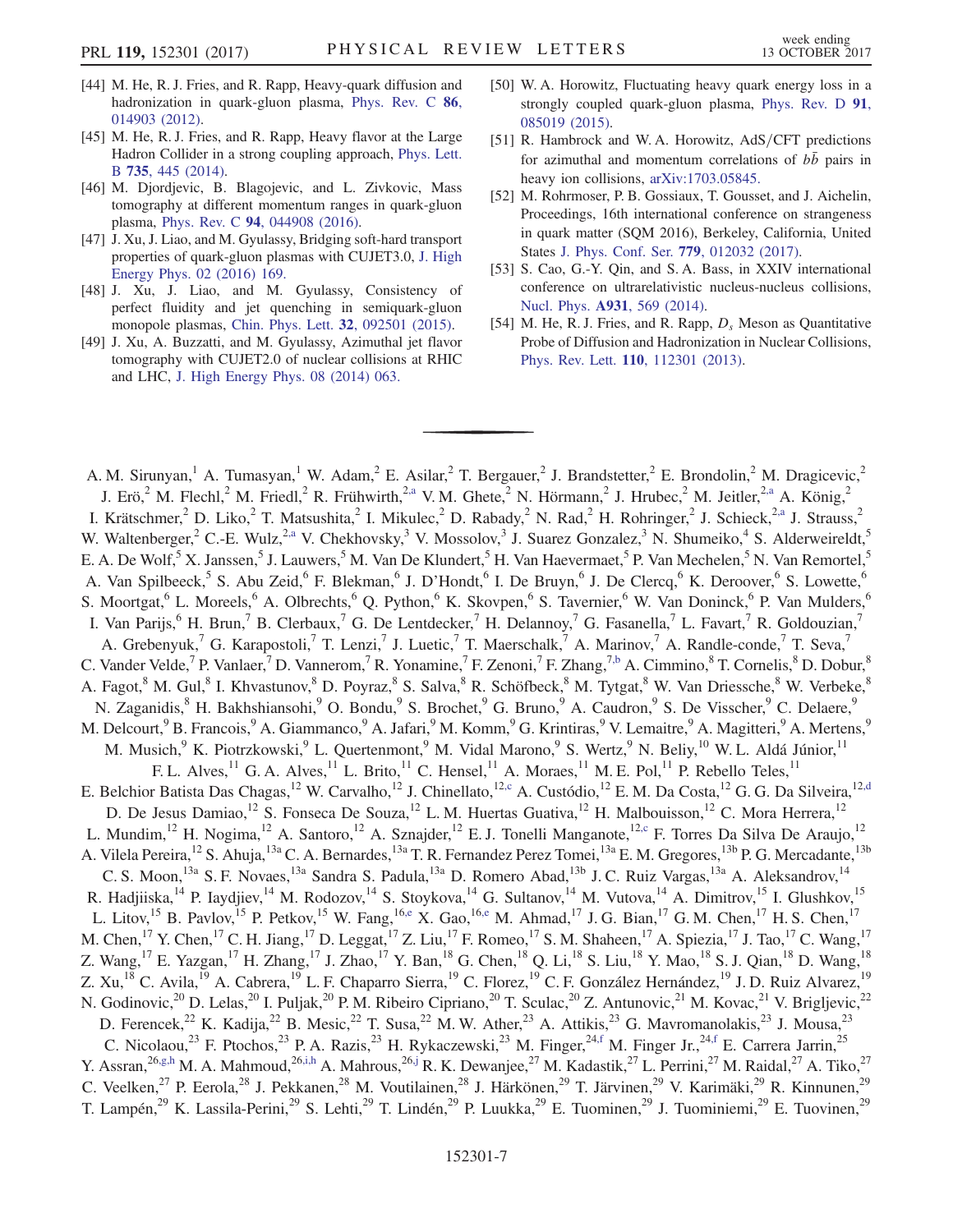- <span id="page-6-2"></span>[44] M. He, R. J. Fries, and R. Rapp, Heavy-quark diffusion and hadronization in quark-gluon plasma, [Phys. Rev. C](https://doi.org/10.1103/PhysRevC.86.014903) 86, [014903 \(2012\).](https://doi.org/10.1103/PhysRevC.86.014903)
- <span id="page-6-4"></span>[45] M. He, R. J. Fries, and R. Rapp, Heavy flavor at the Large Hadron Collider in a strong coupling approach, [Phys. Lett.](https://doi.org/10.1016/j.physletb.2014.05.050) B 735[, 445 \(2014\)](https://doi.org/10.1016/j.physletb.2014.05.050).
- <span id="page-6-0"></span>[46] M. Djordjevic, B. Blagojevic, and L. Zivkovic, Mass tomography at different momentum ranges in quark-gluon plasma, Phys. Rev. C 94[, 044908 \(2016\)](https://doi.org/10.1103/PhysRevC.94.044908).
- <span id="page-6-1"></span>[47] J. Xu, J. Liao, and M. Gyulassy, Bridging soft-hard transport properties of quark-gluon plasmas with CUJET3.0, [J. High](https://doi.org/10.1007/JHEP02(2016)169) [Energy Phys. 02 \(2016\) 169.](https://doi.org/10.1007/JHEP02(2016)169)
- [48] J. Xu, J. Liao, and M. Gyulassy, Consistency of perfect fluidity and jet quenching in semiquark-gluon monopole plasmas, [Chin. Phys. Lett.](https://doi.org/10.1088/0256-307X/32/9/092501) 32, 092501 (2015).
- [49] J. Xu, A. Buzzatti, and M. Gyulassy, Azimuthal jet flavor tomography with CUJET2.0 of nuclear collisions at RHIC and LHC, [J. High Energy Phys. 08 \(2014\) 063.](https://doi.org/10.1007/JHEP08(2014)063)
- <span id="page-6-3"></span>[50] W. A. Horowitz, Fluctuating heavy quark energy loss in a strongly coupled quark-gluon plasma, [Phys. Rev. D](https://doi.org/10.1103/PhysRevD.91.085019) 91, [085019 \(2015\).](https://doi.org/10.1103/PhysRevD.91.085019)
- [51] R. Hambrock and W. A. Horowitz, AdS/CFT predictions for azimuthal and momentum correlations of  $b\bar{b}$  pairs in heavy ion collisions, [arXiv:1703.05845.](http://arXiv.org/abs/1703.05845)
- <span id="page-6-5"></span>[52] M. Rohrmoser, P. B. Gossiaux, T. Gousset, and J. Aichelin, Proceedings, 16th international conference on strangeness in quark matter (SQM 2016), Berkeley, California, United States [J. Phys. Conf. Ser.](https://doi.org/10.1088/1742-6596/779/1/012032) 779, 012032 (2017).
- [53] S. Cao, G.-Y. Qin, and S. A. Bass, in XXIV international conference on ultrarelativistic nucleus-nucleus collisions, Nucl. Phys. A931[, 569 \(2014\)](https://doi.org/10.1016/j.nuclphysa.2014.09.011).
- <span id="page-6-6"></span>[54] M. He, R. J. Fries, and R. Rapp,  $D_s$  Meson as Quantitative Probe of Diffusion and Hadronization in Nuclear Collisions, Phys. Rev. Lett. 110[, 112301 \(2013\).](https://doi.org/10.1103/PhysRevLett.110.112301)

<span id="page-6-13"></span><span id="page-6-12"></span><span id="page-6-11"></span><span id="page-6-10"></span><span id="page-6-9"></span><span id="page-6-8"></span><span id="page-6-7"></span>A. M. Sirunyan,<sup>1</sup> A. Tumasyan,<sup>1</sup> W. Adam,<sup>2</sup> E. Asilar,<sup>2</sup> T. Bergauer,<sup>2</sup> J. Brandstetter,<sup>2</sup> E. Brondolin,<sup>2</sup> M. Dragicevic,<sup>2</sup> J. Erö,<sup>2</sup> M. Flechl,<sup>2</sup> M. Friedl,<sup>2</sup> R. Frühwirth,<sup>[2,a](#page-15-0)</sup> V. M. Ghete,<sup>2</sup> N. Hörmann,<sup>2</sup> J. Hrubec,<sup>2</sup> M. Jeitler,<sup>2,a</sup> A. König,<sup>2</sup> I. Krätschmer,<sup>2</sup> D. Liko,<sup>2</sup> T. Matsushita,<sup>2</sup> I. Mikulec,<sup>2</sup> D. Rabady,<sup>2</sup> N. Rad,<sup>2</sup> H. Rohringer,<sup>2</sup> J. Schieck,<sup>2[,a](#page-15-0)</sup> J. Strauss,<sup>2</sup> W. Waltenberger,<sup>2</sup> C.-E. Wulz,<sup>[2,a](#page-15-0)</sup> V. Chekhovsky,<sup>3</sup> V. Mossolov,<sup>3</sup> J. Suarez Gonzalez,<sup>3</sup> N. Shumeiko,<sup>4</sup> S. Alderweireldt,<sup>5</sup> E. A. De Wolf,<sup>5</sup> X. Janssen,<sup>5</sup> J. Lauwers,<sup>5</sup> M. Van De Klundert,<sup>5</sup> H. Van Haevermaet,<sup>5</sup> P. Van Mechelen,<sup>5</sup> N. Van Remortel,<sup>5</sup> A. Van Spilbeeck,<sup>5</sup> S. Abu Zeid,<sup>6</sup> F. Blekman,<sup>6</sup> J. D'Hondt,<sup>6</sup> I. De Bruyn,<sup>6</sup> J. De Clercq,<sup>6</sup> K. Deroover,<sup>6</sup> S. Lowette,<sup>6</sup> S. Moortgat,<sup>6</sup> L. Moreels,<sup>6</sup> A. Olbrechts,<sup>6</sup> Q. Python,<sup>6</sup> K. Skovpen,<sup>6</sup> S. Tavernier,<sup>6</sup> W. Van Doninck,<sup>6</sup> P. Van Mulders,<sup>6</sup> I. Van Parijs, <sup>6</sup> H. Brun,<sup>7</sup> B. Clerbaux,<sup>7</sup> G. De Lentdecker,<sup>7</sup> H. Delannoy,<sup>7</sup> G. Fasanella,<sup>7</sup> L. Favart,<sup>7</sup> R. Goldouzian,<sup>7</sup> A. Grebenyuk,<sup>7</sup> G. Karapostoli,<sup>7</sup> T. Lenzi,<sup>7</sup> J. Luetic,<sup>7</sup> T. Maerschalk,<sup>7</sup> A. Marinov,<sup>7</sup> A. Randle-conde,<sup>7</sup> T. Seva,<sup>7</sup> C. Vander Velde,<sup>7</sup> P. Vanlaer,<sup>7</sup> D. Vannerom,<sup>7</sup> R. Yonamine,<sup>7</sup> F. Zenoni,<sup>7</sup> F. Zhang,<sup>7[,b](#page-15-1)</sup> A. Cimmino,<sup>8</sup> T. Cornelis,<sup>8</sup> D. Dobur,<sup>8</sup> A. Fagot,<sup>8</sup> M. Gul,<sup>8</sup> I. Khvastunov,<sup>8</sup> D. Poyraz,<sup>8</sup> S. Salva,<sup>8</sup> R. Schöfbeck,<sup>8</sup> M. Tytgat,<sup>8</sup> W. Van Driessche,<sup>8</sup> W. Verbeke,<sup>8</sup> N. Zaganidis,<sup>8</sup> H. Bakhshiansohi,<sup>9</sup> O. Bondu,<sup>9</sup> S. Brochet,<sup>9</sup> G. Bruno,<sup>9</sup> A. Caudron,<sup>9</sup> S. De Visscher,<sup>9</sup> C. Delaere,<sup>9</sup> M. Delcourt,<sup>9</sup> B. Francois,<sup>9</sup> A. Giammanco,<sup>9</sup> A. Jafari,<sup>9</sup> M. Komm,<sup>9</sup> G. Krintiras,<sup>9</sup> V. Lemaitre,<sup>9</sup> A. Magitteri,<sup>9</sup> A. Mertens,<sup>9</sup> M. Musich,<sup>9</sup> K. Piotrzkowski,<sup>9</sup> L. Quertenmont,<sup>9</sup> M. Vidal Marono,<sup>9</sup> S. Wertz,<sup>9</sup> N. Beliy,<sup>10</sup> W. L. Aldá Júnior,<sup>11</sup> F. L. Alves,<sup>11</sup> G. A. Alves,<sup>11</sup> L. Brito,<sup>11</sup> C. Hensel,<sup>11</sup> A. Moraes,<sup>11</sup> M. E. Pol,<sup>11</sup> P. Rebello Teles,<sup>11</sup> E. Belchior Batista Das Chagas,<sup>12</sup> W. Carvalho,<sup>12</sup> J. Chinellato,<sup>1[2,c](#page-15-2)</sup> A. Custódio,<sup>12</sup> E. M. Da Costa,<sup>12</sup> G. G. Da Silveira,<sup>12[,d](#page-15-3)</sup> D. De Jesus Damiao,<sup>12</sup> S. Fonseca De Souza,<sup>12</sup> L. M. Huertas Guativa,<sup>12</sup> H. Malbouisson,<sup>12</sup> C. Mora Herrera,<sup>12</sup> L. Mundim,<sup>12</sup> H. Nogima,<sup>12</sup> A. Santoro,<sup>12</sup> A. Sznajder,<sup>12</sup> E. J. Tonelli Manganote,<sup>12[,c](#page-15-2)</sup> F. Torres Da Silva De Araujo,<sup>12</sup> A. Vilela Pereira,<sup>12</sup> S. Ahuja,<sup>13a</sup> C. A. Bernardes,<sup>13a</sup> T. R. Fernandez Perez Tomei,<sup>13a</sup> E. M. Gregores,<sup>13b</sup> P. G. Mercadante,<sup>13b</sup> C. S. Moon,<sup>13a</sup> S. F. Novaes,<sup>13a</sup> Sandra S. Padula,<sup>13a</sup> D. Romero Abad,<sup>13b</sup> J. C. Ruiz Vargas,<sup>13a</sup> A. Aleksandrov,<sup>14</sup> R. Hadjiiska,<sup>14</sup> P. Iaydjiev,<sup>14</sup> M. Rodozov,<sup>14</sup> S. Stoykova,<sup>14</sup> G. Sultanov,<sup>14</sup> M. Vutova,<sup>14</sup> A. Dimitrov,<sup>15</sup> I. Glushkov,<sup>15</sup> L. Litov,<sup>15</sup> B. Pavlov,<sup>15</sup> P. Petkov,<sup>15</sup> W. Fang,<sup>1[6,e](#page-15-4)</sup> X. Gao,<sup>16,e</sup> M. Ahmad,<sup>17</sup> J. G. Bian,<sup>17</sup> G. M. Chen,<sup>17</sup> H. S. Chen,<sup>17</sup> M. Chen,<sup>17</sup> Y. Chen,<sup>17</sup> C. H. Jiang,<sup>17</sup> D. Leggat,<sup>17</sup> Z. Liu,<sup>17</sup> F. Romeo,<sup>17</sup> S. M. Shaheen,<sup>17</sup> A. Spiezia,<sup>17</sup> J. Tao,<sup>17</sup> C. Wang,<sup>17</sup> Z. Wang, <sup>17</sup> E. Yazgan, <sup>17</sup> H. Zhang, <sup>17</sup> J. Zhao, <sup>17</sup> Y. Ban, <sup>18</sup> G. Chen, <sup>18</sup> Q. Li, <sup>18</sup> S. Liu, <sup>18</sup> Y. Mao, <sup>18</sup> S. J. Qian, <sup>18</sup> D. Wang, <sup>18</sup> Z. Xu,<sup>18</sup> C. Avila,<sup>19</sup> A. Cabrera,<sup>19</sup> L. F. Chaparro Sierra,<sup>19</sup> C. Florez,<sup>19</sup> C. F. González Hernández,<sup>19</sup> J. D. Ruiz Alvarez,<sup>19</sup> N. Godinovic,<sup>20</sup> D. Lelas,<sup>20</sup> I. Puljak,<sup>20</sup> P. M. Ribeiro Cipriano,<sup>20</sup> T. Sculac,<sup>20</sup> Z. Antunovic,<sup>21</sup> M. Kovac,<sup>21</sup> V. Brigljevic,<sup>22</sup> D. Ferencek,<sup>22</sup> K. Kadija,<sup>22</sup> B. Mesic,<sup>22</sup> T. Susa,<sup>22</sup> M. W. Ather,<sup>23</sup> A. Attikis,<sup>23</sup> G. Mavromanolakis,<sup>23</sup> J. Mousa,<sup>23</sup> C. Nicolaou,<sup>23</sup> F. Ptochos,<sup>23</sup> P. A. Razis,<sup>23</sup> H. Rykaczewski,<sup>23</sup> M. Finger,<sup>24[,f](#page-15-5)</sup> M. Finger Jr.,<sup>24,f</sup> E. Carrera Jarrin,<sup>25</sup> Y. Assran,  $^{26,g,h}$  $^{26,g,h}$  $^{26,g,h}$  M. A. Mahmoud,  $^{26,i,h}$  $^{26,i,h}$  $^{26,i,h}$  A. Mahrous,  $^{26,j}$  $^{26,j}$  $^{26,j}$  R. K. Dewanjee,  $^{27}$  M. Kadastik,  $^{27}$  L. Perrini,  $^{27}$  M. Raidal,  $^{27}$  A. Tiko,  $^{27}$ C. Veelken,<sup>27</sup> P. Eerola,<sup>28</sup> J. Pekkanen,<sup>28</sup> M. Voutilainen,<sup>28</sup> J. Härkönen,<sup>29</sup> T. Järvinen,<sup>29</sup> V. Karimäki,<sup>29</sup> R. Kinnunen,<sup>29</sup> T. Lampén,<sup>29</sup> K. Lassila-Perini,<sup>29</sup> S. Lehti,<sup>29</sup> T. Lindén,<sup>29</sup> P. Luukka,<sup>29</sup> E. Tuominen,<sup>29</sup> J. Tuominiemi,<sup>29</sup> E. Tuovinen,<sup>29</sup>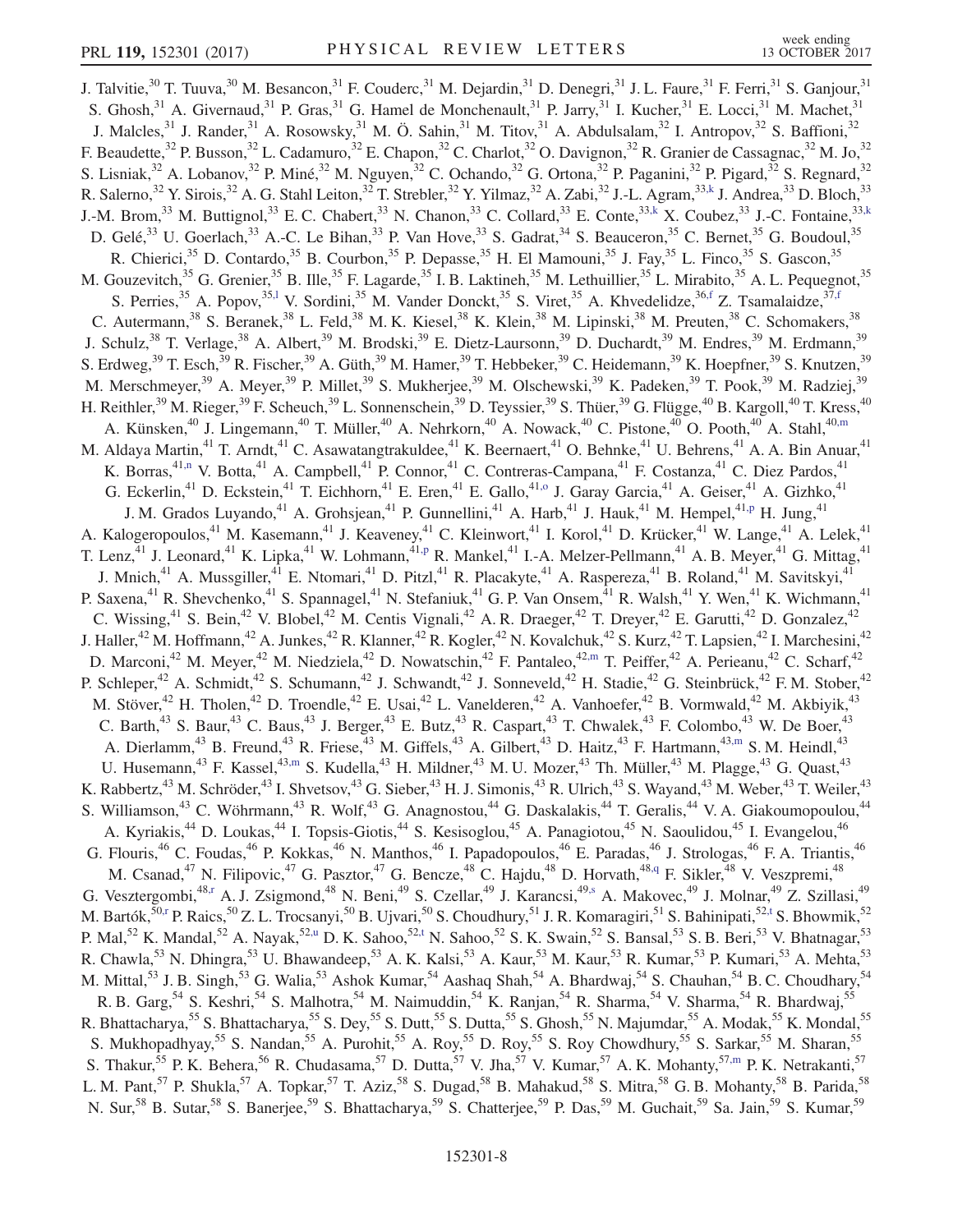<span id="page-7-9"></span><span id="page-7-8"></span><span id="page-7-7"></span><span id="page-7-6"></span><span id="page-7-5"></span><span id="page-7-4"></span><span id="page-7-3"></span><span id="page-7-2"></span><span id="page-7-1"></span><span id="page-7-0"></span>J. Talvitie,<sup>30</sup> T. Tuuva,<sup>30</sup> M. Besancon,<sup>31</sup> F. Couderc,<sup>31</sup> M. Dejardin,<sup>31</sup> D. Denegri,<sup>31</sup> J. L. Faure,<sup>31</sup> F. Ferri,<sup>31</sup> S. Ganjour,<sup>31</sup> S. Ghosh,<sup>31</sup> A. Givernaud,<sup>31</sup> P. Gras,<sup>31</sup> G. Hamel de Monchenault,<sup>31</sup> P. Jarry,<sup>31</sup> I. Kucher,<sup>31</sup> E. Locci,<sup>31</sup> M. Machet,<sup>31</sup> J. Malcles,<sup>31</sup> J. Rander,<sup>31</sup> A. Rosowsky,<sup>31</sup> M. Ö. Sahin,<sup>31</sup> M. Titov,<sup>31</sup> A. Abdulsalam,<sup>32</sup> I. Antropov,<sup>32</sup> S. Baffioni,<sup>32</sup> F. Beaudette,<sup>32</sup> P. Busson,<sup>32</sup> L. Cadamuro,<sup>32</sup> E. Chapon,<sup>32</sup> C. Charlot,<sup>32</sup> O. Davignon,<sup>32</sup> R. Granier de Cassagnac,<sup>32</sup> M. Jo,<sup>32</sup> S. Lisniak,<sup>32</sup> A. Lobanov,<sup>32</sup> P. Miné,<sup>32</sup> M. Nguyen,<sup>32</sup> C. Ochando,<sup>32</sup> G. Ortona,<sup>32</sup> P. Paganini,<sup>32</sup> P. Pigard,<sup>32</sup> S. Regnard,<sup>32</sup> R. Salerno,<sup>32</sup> Y. Sirois,<sup>32</sup> A. G. Stahl Leiton,<sup>32</sup> T. Strebler,<sup>32</sup> Y. Yilmaz,<sup>32</sup> A. Zabi,<sup>32</sup> J.-L. Agram,<sup>33[,k](#page-15-9)</sup> J. Andrea,<sup>33</sup> D. Bloch,<sup>33</sup> J.-M. Brom,<sup>33</sup> M. Buttignol,<sup>33</sup> E. C. Chabert,<sup>33</sup> N. Chanon,<sup>33</sup> C. Collard,<sup>33</sup> E. Conte,<sup>33[,k](#page-15-9)</sup> X. Coubez,<sup>33</sup> J.-C. Fontaine,<sup>33,k</sup> D. Gelé,<sup>33</sup> U. Goerlach,<sup>33</sup> A.-C. Le Bihan,<sup>33</sup> P. Van Hove,<sup>33</sup> S. Gadrat,<sup>34</sup> S. Beauceron,<sup>35</sup> C. Bernet,<sup>35</sup> G. Boudoul,<sup>35</sup> R. Chierici,<sup>35</sup> D. Contardo,<sup>35</sup> B. Courbon,<sup>35</sup> P. Depasse,<sup>35</sup> H. El Mamouni,<sup>35</sup> J. Fay,<sup>35</sup> L. Finco,<sup>35</sup> S. Gascon,<sup>35</sup> M. Gouzevitch,<sup>35</sup> G. Grenier,<sup>35</sup> B. Ille,<sup>35</sup> F. Lagarde,<sup>35</sup> I. B. Laktineh,<sup>35</sup> M. Lethuillier,<sup>35</sup> L. Mirabito,<sup>35</sup> A. L. Pequegnot,<sup>35</sup> S. Perries,<sup>35</sup> A. Popov,<sup>3[5,l](#page-15-10)</sup> V. Sordini,<sup>35</sup> M. Vander Donckt,<sup>35</sup> S. Viret,<sup>35</sup> A. Khvedelidze,<sup>36[,f](#page-15-5)</sup> Z. Tsamalaidze,<sup>3[7,f](#page-15-5)</sup> C. Autermann,<sup>38</sup> S. Beranek,<sup>38</sup> L. Feld,<sup>38</sup> M. K. Kiesel,<sup>38</sup> K. Klein,<sup>38</sup> M. Lipinski,<sup>38</sup> M. Preuten,<sup>38</sup> C. Schomakers,<sup>38</sup> J. Schulz,<sup>38</sup> T. Verlage,<sup>38</sup> A. Albert,<sup>39</sup> M. Brodski,<sup>39</sup> E. Dietz-Laursonn,<sup>39</sup> D. Duchardt,<sup>39</sup> M. Endres,<sup>39</sup> M. Erdmann,<sup>39</sup> S. Erdweg,  $39$  T. Esch,  $39$  R. Fischer,  $39$  A. Güth,  $39$  M. Hamer,  $39$  T. Hebbeker,  $39$  C. Heidemann,  $39$  K. Hoepfner,  $39$  S. Knutzen,  $39$ M. Merschmeyer,<sup>39</sup> A. Meyer,<sup>39</sup> P. Millet,<sup>39</sup> S. Mukherjee,<sup>39</sup> M. Olschewski,<sup>39</sup> K. Padeken,<sup>39</sup> T. Pook,<sup>39</sup> M. Radziej,<sup>39</sup> H. Reithler,<sup>39</sup> M. Rieger,<sup>39</sup> F. Scheuch,<sup>39</sup> L. Sonnenschein,<sup>39</sup> D. Teyssier,<sup>39</sup> S. Thüer,<sup>39</sup> G. Flügge,<sup>40</sup> B. Kargoll,<sup>40</sup> T. Kress,<sup>40</sup> A. Künsken,<sup>40</sup> J. Lingemann,<sup>40</sup> T. Müller,<sup>40</sup> A. Nehrkorn,<sup>40</sup> A. Nowack,<sup>40</sup> C. Pistone,<sup>40</sup> O. Pooth,<sup>40</sup> A. Stahl,<sup>40[,m](#page-15-11)</sup> M. Aldaya Martin,<sup>41</sup> T. Arndt,<sup>41</sup> C. Asawatangtrakuldee,<sup>41</sup> K. Beernaert,<sup>41</sup> O. Behnke,<sup>41</sup> U. Behrens,<sup>41</sup> A. A. Bin Anuar,<sup>41</sup> K. Borras,<sup>4[1,n](#page-15-12)</sup> V. Botta,<sup>41</sup> A. Campbell,<sup>41</sup> P. Connor,<sup>41</sup> C. Contreras-Campana,<sup>41</sup> F. Costanza,<sup>41</sup> C. Diez Pardos,<sup>41</sup> G. Eckerlin,<sup>41</sup> D. Eckstein,<sup>41</sup> T. Eichhorn,<sup>41</sup> E. Eren,<sup>41</sup> E. Gallo,<sup>4[1,o](#page-15-13)</sup> J. Garay Garcia,<sup>41</sup> A. Geiser,<sup>41</sup> A. Gizhko,<sup>41</sup> J. M. Grados Luyando,<sup>41</sup> A. Grohsjean,<sup>41</sup> P. Gunnellini,<sup>41</sup> A. Harb,<sup>41</sup> J. Hauk,<sup>41</sup> M. Hempel,<sup>41[,p](#page-15-14)</sup> H. Jung,<sup>41</sup> A. Kalogeropoulos,<sup>41</sup> M. Kasemann,<sup>41</sup> J. Keaveney,<sup>41</sup> C. Kleinwort,<sup>41</sup> I. Korol,<sup>41</sup> D. Krücker,<sup>41</sup> W. Lange,<sup>41</sup> A. Lelek,<sup>41</sup> T. Lenz,<sup>41</sup> J. Leonard,<sup>41</sup> K. Lipka,<sup>41</sup> W. Lohmann,<sup>4[1,p](#page-15-14)</sup> R. Mankel,<sup>41</sup> I.-A. Melzer-Pellmann,<sup>41</sup> A. B. Meyer,<sup>41</sup> G. Mittag,<sup>41</sup> J. Mnich,<sup>41</sup> A. Mussgiller,<sup>41</sup> E. Ntomari,<sup>41</sup> D. Pitzl,<sup>41</sup> R. Placakyte,<sup>41</sup> A. Raspereza,<sup>41</sup> B. Roland,<sup>41</sup> M. Savitskyi,<sup>41</sup> P. Saxena,<sup>41</sup> R. Shevchenko,<sup>41</sup> S. Spannagel,<sup>41</sup> N. Stefaniuk,<sup>41</sup> G. P. Van Onsem,<sup>41</sup> R. Walsh,<sup>41</sup> Y. Wen,<sup>41</sup> K. Wichmann,<sup>41</sup> C. Wissing,<sup>41</sup> S. Bein,<sup>42</sup> V. Blobel,<sup>42</sup> M. Centis Vignali,<sup>42</sup> A. R. Draeger,<sup>42</sup> T. Dreyer,<sup>42</sup> E. Garutti,<sup>42</sup> D. Gonzalez,<sup>42</sup> J. Haller,<sup>42</sup> M. Hoffmann,<sup>42</sup> A. Junkes,<sup>42</sup> R. Klanner,<sup>42</sup> R. Kogler,<sup>42</sup> N. Kovalchuk,<sup>42</sup> S. Kurz,<sup>42</sup> T. Lapsien,<sup>42</sup> I. Marchesini,<sup>42</sup> D. Marconi,<sup>42</sup> M. Meyer,<sup>42</sup> M. Niedziela,<sup>42</sup> D. Nowatschin,<sup>42</sup> F. Pantaleo,<sup>4[2,m](#page-15-11)</sup> T. Peiffer,<sup>42</sup> A. Perieanu,<sup>42</sup> C. Scharf,<sup>42</sup> P. Schleper,<sup>42</sup> A. Schmidt,<sup>42</sup> S. Schumann,<sup>42</sup> J. Schwandt,<sup>42</sup> J. Sonneveld,<sup>42</sup> H. Stadie,<sup>42</sup> G. Steinbrück,<sup>42</sup> F. M. Stober,<sup>42</sup> M. Stöver,<sup>42</sup> H. Tholen,<sup>42</sup> D. Troendle,<sup>42</sup> E. Usai,<sup>42</sup> L. Vanelderen,<sup>42</sup> A. Vanhoefer,<sup>42</sup> B. Vormwald,<sup>42</sup> M. Akbiyik,<sup>43</sup> C. Barth,<sup>43</sup> S. Baur,<sup>43</sup> C. Baus,<sup>43</sup> J. Berger,<sup>43</sup> E. Butz,<sup>43</sup> R. Caspart,<sup>43</sup> T. Chwalek,<sup>43</sup> F. Colombo,<sup>43</sup> W. De Boer,<sup>43</sup> A. Dierlamm,<sup>43</sup> B. Freund,<sup>43</sup> R. Friese,<sup>43</sup> M. Giffels,<sup>43</sup> A. Gilbert,<sup>43</sup> D. Haitz,<sup>43</sup> F. Hartmann,<sup>4[3,m](#page-15-11)</sup> S. M. Heindl,<sup>43</sup> U. Husemann,<sup>43</sup> F. Kassel,<sup>4[3,m](#page-15-11)</sup> S. Kudella,<sup>43</sup> H. Mildner,<sup>43</sup> M. U. Mozer,<sup>43</sup> Th. Müller,<sup>43</sup> M. Plagge,<sup>43</sup> G. Quast,<sup>43</sup> K. Rabbertz,<sup>43</sup> M. Schröder,<sup>43</sup> I. Shvetsov,<sup>43</sup> G. Sieber,<sup>43</sup> H. J. Simonis,<sup>43</sup> R. Ulrich,<sup>43</sup> S. Wayand,<sup>43</sup> M. Weber,<sup>43</sup> T. Weiler,<sup>43</sup> S. Williamson,<sup>43</sup> C. Wöhrmann,<sup>43</sup> R. Wolf,<sup>43</sup> G. Anagnostou,<sup>44</sup> G. Daskalakis,<sup>44</sup> T. Geralis,<sup>44</sup> V. A. Giakoumopoulou,<sup>44</sup> A. Kyriakis,<sup>44</sup> D. Loukas,<sup>44</sup> I. Topsis-Giotis,<sup>44</sup> S. Kesisoglou,<sup>45</sup> A. Panagiotou,<sup>45</sup> N. Saoulidou,<sup>45</sup> I. Evangelou,<sup>46</sup> G. Flouris,<sup>46</sup> C. Foudas,<sup>46</sup> P. Kokkas,<sup>46</sup> N. Manthos,<sup>46</sup> I. Papadopoulos,<sup>46</sup> E. Paradas,<sup>46</sup> J. Strologas,<sup>46</sup> F. A. Triantis,<sup>46</sup> M. Csanad,<sup>47</sup> N. Filipovic,<sup>47</sup> G. Pasztor,<sup>47</sup> G. Bencze,<sup>48</sup> C. Hajdu,<sup>48</sup> D. Horvath,<sup>4[8,q](#page-15-15)</sup> F. Sikler,<sup>48</sup> V. Veszpremi,<sup>48</sup> G. Vesztergombi,<sup>48[,r](#page-15-16)</sup> A. J. Zsigmond,<sup>48</sup> N. Beni,<sup>49</sup> S. Czellar,<sup>49</sup> J. Karancsi,<sup>4[9,s](#page-16-0)</sup> A. Makovec,<sup>49</sup> J. Molnar,<sup>49</sup> Z. Szillasi,<sup>49</sup> M. Bartók,<sup>5[0,r](#page-15-16)</sup> P. Raics,<sup>50</sup> Z. L. Trocsanyi,<sup>50</sup> B. Ujvari,<sup>50</sup> S. Choudhury,<sup>51</sup> J. R. Komaragiri,<sup>51</sup> S. Bahinipati,<sup>52[,t](#page-16-1)</sup> S. Bhowmik,<sup>52</sup> P. Mal,<sup>52</sup> K. Mandal,<sup>52</sup> A. Nayak,<sup>52[,u](#page-16-2)</sup> D. K. Sahoo,<sup>5[2,t](#page-16-1)</sup> N. Sahoo,<sup>52</sup> S. K. Swain,<sup>52</sup> S. Bansal,<sup>53</sup> S. B. Beri,<sup>53</sup> V. Bhatnagar,<sup>53</sup> R. Chawla,<sup>53</sup> N. Dhingra,<sup>53</sup> U. Bhawandeep,<sup>53</sup> A. K. Kalsi,<sup>53</sup> A. Kaur,<sup>53</sup> M. Kaur,<sup>53</sup> R. Kumar,<sup>53</sup> P. Kumari,<sup>53</sup> A. Mehta,<sup>53</sup> M. Mittal,<sup>53</sup> J. B. Singh,<sup>53</sup> G. Walia,<sup>53</sup> Ashok Kumar,<sup>54</sup> Aashaq Shah,<sup>54</sup> A. Bhardwaj,<sup>54</sup> S. Chauhan,<sup>54</sup> B. C. Choudhary,<sup>54</sup> R. B. Garg,<sup>54</sup> S. Keshri,<sup>54</sup> S. Malhotra,<sup>54</sup> M. Naimuddin,<sup>54</sup> K. Ranjan,<sup>54</sup> R. Sharma,<sup>54</sup> V. Sharma,<sup>54</sup> R. Bhardwaj,<sup>55</sup> R. Bhattacharya,<sup>55</sup> S. Bhattacharya,<sup>55</sup> S. Dey,<sup>55</sup> S. Dutt,<sup>55</sup> S. Dutta,<sup>55</sup> S. Ghosh,<sup>55</sup> N. Majumdar,<sup>55</sup> A. Modak,<sup>55</sup> K. Mondal,<sup>55</sup> S. Mukhopadhyay,<sup>55</sup> S. Nandan,<sup>55</sup> A. Purohit,<sup>55</sup> A. Roy,<sup>55</sup> D. Roy,<sup>55</sup> S. Roy Chowdhury,<sup>55</sup> S. Sarkar,<sup>55</sup> M. Sharan,<sup>55</sup> S. Thakur,<sup>55</sup> P. K. Behera,<sup>56</sup> R. Chudasama,<sup>57</sup> D. Dutta,<sup>57</sup> V. Jha,<sup>57</sup> V. Kumar,<sup>57</sup> A. K. Mohanty,<sup>57[,m](#page-15-11)</sup> P. K. Netrakanti,<sup>57</sup> L. M. Pant,<sup>57</sup> P. Shukla,<sup>57</sup> A. Topkar,<sup>57</sup> T. Aziz,<sup>58</sup> S. Dugad,<sup>58</sup> B. Mahakud,<sup>58</sup> S. Mitra,<sup>58</sup> G. B. Mohanty,<sup>58</sup> B. Parida,<sup>58</sup> N. Sur,<sup>58</sup> B. Sutar,<sup>58</sup> S. Banerjee,<sup>59</sup> S. Bhattacharya,<sup>59</sup> S. Chatterjee,<sup>59</sup> P. Das,<sup>59</sup> M. Guchait,<sup>59</sup> Sa. Jain,<sup>59</sup> S. Kumar,<sup>59</sup>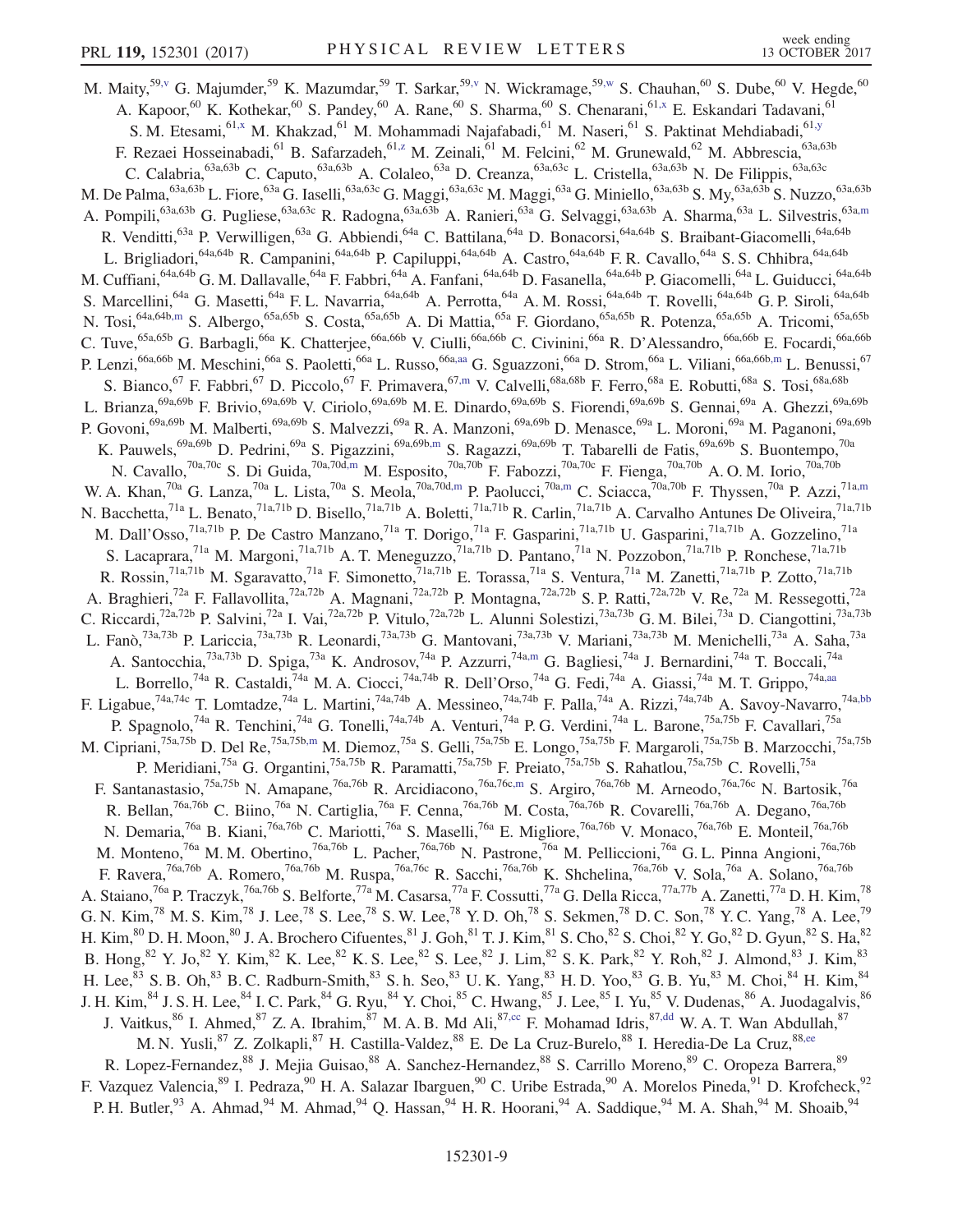<span id="page-8-6"></span><span id="page-8-5"></span><span id="page-8-4"></span><span id="page-8-3"></span><span id="page-8-2"></span><span id="page-8-1"></span><span id="page-8-0"></span>M. Maity,<sup>5[9,v](#page-16-3)</sup> G. Majumder,<sup>59</sup> K. Mazumdar,<sup>59</sup> T. Sarkar,<sup>59[,v](#page-16-3)</sup> N. Wickramage,<sup>59[,w](#page-16-4)</sup> S. Chauhan,<sup>60</sup> S. Dube,<sup>60</sup> V. Hegde,<sup>60</sup> A. Kapoor,<sup>60</sup> K. Kothekar,<sup>60</sup> S. Pandey,<sup>60</sup> A. Rane,<sup>60</sup> S. Sharma,<sup>60</sup> S. Chenarani,<sup>6[1,x](#page-16-5)</sup> E. Eskandari Tadavani,<sup>61</sup> S. M. Etesami, <sup>6[1,x](#page-16-5)</sup> M. Khakzad, <sup>61</sup> M. Mohammadi Najafabadi, <sup>61</sup> M. Naseri, <sup>61</sup> S. Paktinat Mehdiabadi, <sup>6[1,y](#page-16-6)</sup> F. Rezaei Hosseinabadi, <sup>61</sup> B. Safarzadeh, <sup>61, z</sup> M. Zeinali, <sup>61</sup> M. Felcini, <sup>62</sup> M. Grunewald, <sup>62</sup> M. Abbrescia, <sup>63a, 63b</sup> C. Calabria,<sup>63a,63b</sup> C. Caputo,<sup>63a,63b</sup> A. Colaleo,<sup>63a</sup> D. Creanza,<sup>63a,63c</sup> L. Cristella,<sup>63a,63b</sup> N. De Filippis,<sup>63a,63c</sup> M. De Palma,<sup>63a,63b</sup> L. Fiore,<sup>63a</sup> G. Iaselli,<sup>63a,63c</sup> G. Maggi,<sup>63a,63c</sup> M. Maggi,<sup>63a</sup> G. Miniello,<sup>63a,63b</sup> S. My,<sup>63a,63b</sup> S. Nuzzo,<sup>63a,63b</sup> A. Pompili,<sup>63a,63b</sup> G. Pugliese,<sup>63a,63c</sup> R. Radogna,<sup>63a,63b</sup> A. Ranieri,<sup>63a</sup> G. Selvaggi,<sup>63a,63b</sup> A. Sharma,<sup>63a</sup> L. Silvestris,<sup>63[a,m](#page-15-11)</sup> R. Venditti,<sup>63a</sup> P. Verwilligen,<sup>63a</sup> G. Abbiendi,<sup>64a</sup> C. Battilana,<sup>64a</sup> D. Bonacorsi,<sup>64a,64b</sup> S. Braibant-Giacomelli,<sup>64a,64b</sup> L. Brigliadori,<sup>64a,64b</sup> R. Campanini,<sup>64a,64b</sup> P. Capiluppi,<sup>64a,64b</sup> A. Castro,<sup>64a,64b</sup> F. R. Cavallo,<sup>64a</sup> S. S. Chhibra,<sup>64a,64b</sup> J. M. Cuffiani,<sup>64a,64b</sup> G. M. Dallavalle,<sup>64a</sup> F. Fabbri,<sup>64a</sup> A. Fanfani,<sup>64a,64b</sup> D. Fasanella,<sup>64a,64b</sup> P. Giacomelli,<sup>64a</sup> L. Guiducci,<sup>64a,64b</sup> S. Marcellini,<sup>64a</sup> G. Masetti,<sup>64a</sup> F. L. Navarria,<sup>64a,64b</sup> A. Perrotta,<sup>64a</sup> A. M. Rossi,<sup>64a,64b</sup> T. Rovelli,<sup>64a,64b</sup> G. P. Siroli,<sup>64a,64b</sup> N. Tosi,<sup>64a,64[b,m](#page-15-11)</sup> S. Albergo,<sup>65a,65b</sup> S. Costa,<sup>65a,65b</sup> A. Di Mattia,<sup>65a</sup> F. Giordano,<sup>65a,65b</sup> R. Potenza,<sup>65a,65b</sup> A. Tricomi,<sup>65a,65b</sup> C. Tuve,<sup>65a,65b</sup> G. Barbagli,<sup>66a</sup> K. Chatterjee,<sup>66a,66b</sup> V. Ciulli,<sup>66a,66b</sup> C. Civinini,<sup>66a</sup> R. D'Alessandro,<sup>66a,66b</sup> E. Focardi,<sup>66a,66b</sup> P. Lenzi,<sup>66a,66b</sup> M. Meschini,<sup>66a</sup> S. Paoletti,<sup>66a</sup> L. Russo,<sup>66[a,aa](#page-16-8)</sup> G. Sguazzoni,<sup>66a</sup> D. Strom,<sup>66a</sup> L. Viliani,<sup>66a,66[b,m](#page-15-11)</sup> L. Benussi,<sup>67</sup> S. Bianco, <sup>67</sup> F. Fabbri, <sup>67</sup> D. Piccolo, <sup>67</sup> F. Primavera, <sup>67[,m](#page-15-11)</sup> V. Calvelli, <sup>68a, 68b</sup> F. Ferro, <sup>68a</sup> E. Robutti, <sup>68a</sup> S. Tosi, <sup>68a, 68b</sup> L. Brianza,<sup>69a,69b</sup> F. Brivio,<sup>69a,69b</sup> V. Ciriolo,<sup>69a,69b</sup> M. E. Dinardo,<sup>69a,69b</sup> S. Fiorendi,<sup>69a,69b</sup> S. Gennai,<sup>69a</sup> A. Ghezzi,<sup>69a,69b</sup> P. Govoni,<sup>69a,69b</sup> M. Malberti,<sup>69a,69b</sup> S. Malvezzi,<sup>69a</sup> R. A. Manzoni,<sup>69a,69b</sup> D. Menasce,<sup>69a</sup> L. Moroni,<sup>69a</sup> M. Paganoni,<sup>69a,69b</sup> K. Pauwels,<sup>69a,69b</sup> D. Pedrini,<sup>69a</sup> S. Pigazzini,<sup>69a,69[b,m](#page-15-11)</sup> S. Ragazzi,<sup>69a,69b</sup> T. Tabarelli de Fatis,<sup>69a,69b</sup> S. Buontempo,<sup>70a</sup> N. Cavallo,<sup>70a,70c</sup> S. Di Guida,<sup>70a,70d[,m](#page-15-11)</sup> M. Esposito,<sup>70a,70b</sup> F. Fabozzi,<sup>70a,70c</sup> F. Fienga,<sup>70a,70b</sup> A.O.M. Iorio,<sup>70a,70b</sup> W. A. Khan,<sup>70a</sup> G. Lanza,<sup>70a</sup> L. Lista,<sup>70a</sup> S. Meola,<sup>70a,70d[,m](#page-15-11)</sup> P. Paolucci,<sup>70[a,m](#page-15-11)</sup> C. Sciacca,<sup>70a,70b</sup> F. Thyssen,<sup>70a</sup> P. Azzi,<sup>71a,m</sup> N. Bacchetta,<sup>71a</sup> L. Benato,<sup>71a,71b</sup> D. Bisello,<sup>71a,71b</sup> A. Boletti,<sup>71a,71b</sup> R. Carlin,<sup>71a,71b</sup> A. Carvalho Antunes De Oliveira,<sup>71a,71b</sup> M. Dall'Osso,<sup>71a,71b</sup> P. De Castro Manzano,<sup>71a</sup> T. Dorigo,<sup>71a</sup> F. Gasparini,<sup>71a,71b</sup> U. Gasparini,<sup>71a,71b</sup> A. Gozzelino,<sup>71a</sup> S. Lacaprara,<sup>71a</sup> M. Margoni,<sup>71a,71b</sup> A. T. Meneguzzo,<sup>71a,71b</sup> D. Pantano,<sup>71a</sup> N. Pozzobon,<sup>71a,71b</sup> P. Ronchese,<sup>71a,71b</sup> R. Rossin,<sup>71a,71b</sup> M. Sgaravatto,<sup>71a</sup> F. Simonetto,<sup>71a,71b</sup> E. Torassa,<sup>71a</sup> S. Ventura,<sup>71a</sup> M. Zanetti,<sup>71a,71b</sup> P. Zotto,<sup>71a,71b</sup> A. Braghieri,<sup>72a</sup> F. Fallavollita,<sup>72a,72b</sup> A. Magnani,<sup>72a,72b</sup> P. Montagna,<sup>72a,72b</sup> S. P. Ratti,<sup>72a,72b</sup> V. Re,<sup>72a</sup> M. Ressegotti,<sup>72a</sup> C. Riccardi,<sup>72a,72b</sup> P. Salvini,<sup>72a</sup> I. Vai,<sup>72a,72b</sup> P. Vitulo,<sup>72a,72b</sup> L. Alunni Solestizi,<sup>73a,73b</sup> G. M. Bilei,<sup>73a</sup> D. Ciangottini,<sup>73a,73b</sup> L. Fanò,<sup>73a,73b</sup> P. Lariccia,<sup>73a,73b</sup> R. Leonardi,<sup>73a,73b</sup> G. Mantovani,<sup>73a,73b</sup> V. Mariani,<sup>73a,73b</sup> M. Menichelli,<sup>73a</sup> A. Saha,<sup>73a</sup> A. Santocchia,<sup>73a,73b</sup> D. Spiga,<sup>73a</sup> K. Androsov,<sup>74a</sup> P. Azzurri,<sup>74a[,m](#page-15-11)</sup> G. Bagliesi,<sup>74a</sup> J. Bernardini,<sup>74a</sup> T. Boccali,<sup>74a</sup> L. Borrello,<sup>74a</sup> R. Castaldi,<sup>74a</sup> M. A. Ciocci,<sup>74a,74b</sup> R. Dell'Orso,<sup>74a</sup> G. Fedi,<sup>74a</sup> A. Giassi,<sup>74a</sup> M. T. Grippo,<sup>74a[,aa](#page-16-8)</sup> F. Ligabue,<sup>74a,74c</sup> T. Lomtadze,<sup>74a</sup> L. Martini,<sup>74a,74b</sup> A. Messineo,<sup>74a,74b</sup> F. Palla,<sup>74a</sup> A. Rizzi,<sup>74a,74b</sup> A. Savoy-Navarro,<sup>74[a,bb](#page-16-9)</sup> P. Spagnolo,<sup>74a</sup> R. Tenchini,<sup>74a</sup> G. Tonelli,<sup>74a,74b</sup> A. Venturi,<sup>74a</sup> P. G. Verdini,<sup>74a</sup> L. Barone,<sup>75a,75b</sup> F. Cavallari,<sup>75a</sup> M. Cipriani,<sup>75a,75b</sup> D. Del Re,<sup>75a,75b[,m](#page-15-11)</sup> M. Diemoz,<sup>75a</sup> S. Gelli,<sup>75a,75b</sup> E. Longo,<sup>75a,75b</sup> F. Margaroli,<sup>75a,75b</sup> B. Marzocchi,<sup>75a,75b</sup> P. Meridiani,<sup>75a</sup> G. Organtini,<sup>75a,75b</sup> R. Paramatti,<sup>75a,75b</sup> F. Preiato,<sup>75a,75b</sup> S. Rahatlou,<sup>75a,75b</sup> C. Rovelli,<sup>75a</sup> F. Santanastasio,<sup>75a,75b</sup> N. Amapane,<sup>76a,76b</sup> R. Arcidiacono,<sup>76a,76[c,m](#page-15-11)</sup> S. Argiro,<sup>76a,76b</sup> M. Arneodo,<sup>76a,76c</sup> N. Bartosik,<sup>76a</sup> R. Bellan,<sup>76a,76b</sup> C. Biino,<sup>76a</sup> N. Cartiglia,<sup>76a</sup> F. Cenna,<sup>76a,76b</sup> M. Costa,<sup>76a,76b</sup> R. Covarelli,<sup>76a,76b</sup> A. Degano,<sup>76a,76b</sup> N. Demaria,<sup>76a</sup> B. Kiani,<sup>76a,76b</sup> C. Mariotti,<sup>76a</sup> S. Maselli,<sup>76a</sup> E. Migliore,<sup>76a,76b</sup> V. Monaco,<sup>76a,76b</sup> E. Monteil,<sup>76a,76b</sup> M. Monteno,<sup>76a</sup> M. M. Obertino,<sup>76a,76b</sup> L. Pacher,<sup>76a,76b</sup> N. Pastrone,<sup>76a</sup> M. Pelliccioni,<sup>76a</sup> G. L. Pinna Angioni,<sup>76a,76b</sup> F. Ravera,<sup>76a,76b</sup> A. Romero,<sup>76a,76b</sup> M. Ruspa,<sup>76a,76c</sup> R. Sacchi,<sup>76a,76b</sup> K. Shchelina,<sup>76a,76b</sup> V. Sola,<sup>76a</sup> A. Solano,<sup>76a,76b</sup> A. Staiano,<sup>76a</sup> P. Traczyk,<sup>76a,76b</sup> S. Belforte,<sup>77a</sup> M. Casarsa,<sup>77a</sup> F. Cossutti,<sup>77a</sup> G. Della Ricca,<sup>77a,77b</sup> A. Zanetti,<sup>77a</sup> D. H. Kim,<sup>78</sup> G. N. Kim,<sup>78</sup> M. S. Kim,<sup>78</sup> J. Lee,<sup>78</sup> S. Lee,<sup>78</sup> S. W. Lee,<sup>78</sup> Y. D. Oh,<sup>78</sup> S. Sekmen,<sup>78</sup> D. C. Son,<sup>78</sup> Y. C. Yang,<sup>78</sup> A. Lee,<sup>79</sup> H. Kim,  $80$  D. H. Moon,  $80$  J. A. Brochero Cifuentes,  $81$  J. Goh,  $81$  T. J. Kim,  $81$  S. Cho,  $82$  S. Choi,  $82$  Y. Go,  $82$  D. Gyun,  $82$  S. Ha,  $82$ B. Hong,  $82$  Y. Jo,  $82$  Y. Kim,  $82$  K. Lee,  $82$  K. S. Lee,  $82$  S. Lee,  $82$  J. Lim,  $82$  S. K. Park,  $82$  Y. Roh,  $82$  J. Almond,  $83$  J. Kim,  $83$ H. Lee,  $83$  S. B. Oh,  $83$  B. C. Radburn-Smith,  $83$  S. h. Seo,  $83$  U. K. Yang,  $83$  H. D. Yoo,  $83$  G. B. Yu,  $83$  M. Choi,  $84$  H. Kim,  $84$ J. H. Kim,  $84$  J. S. H. Lee,  $84$  I. C. Park,  $84$  G. Ryu,  $84$  Y. Choi,  $85$  C. Hwang,  $85$  J. Lee,  $85$  I. Yu,  $85$  V. Dudenas,  $86$  A. Juodagalvis,  $86$ J. Vaitkus,  $86$  I. Ahmed,  $87$  Z. A. Ibrahim,  $87$  M. A. B. Md Ali,  $87,cc$  $87,cc$  F. Mohamad Idris,  $87,dd$  $87,dd$  W. A. T. Wan Abdullah,  $87$ M. N. Yusli, <sup>87</sup> Z. Zolkapli, <sup>87</sup> H. Castilla-Valdez, <sup>88</sup> E. De La Cruz-Burelo, <sup>88</sup> I. Heredia-De La Cruz, <sup>8[8,ee](#page-16-12)</sup> R. Lopez-Fernandez,<sup>88</sup> J. Mejia Guisao,<sup>88</sup> A. Sanchez-Hernandez,<sup>88</sup> S. Carrillo Moreno,<sup>89</sup> C. Oropeza Barrera,<sup>89</sup> F. Vazquez Valencia,<sup>89</sup> I. Pedraza,<sup>90</sup> H. A. Salazar Ibarguen,<sup>90</sup> C. Uribe Estrada,<sup>90</sup> A. Morelos Pineda,<sup>91</sup> D. Krofcheck,<sup>92</sup> P. H. Butler, <sup>93</sup> A. Ahmad, <sup>94</sup> M. Ahmad, <sup>94</sup> Q. Hassan, <sup>94</sup> H. R. Hoorani, <sup>94</sup> A. Saddique, <sup>94</sup> M. A. Shah, <sup>94</sup> M. Shoaib, <sup>94</sup>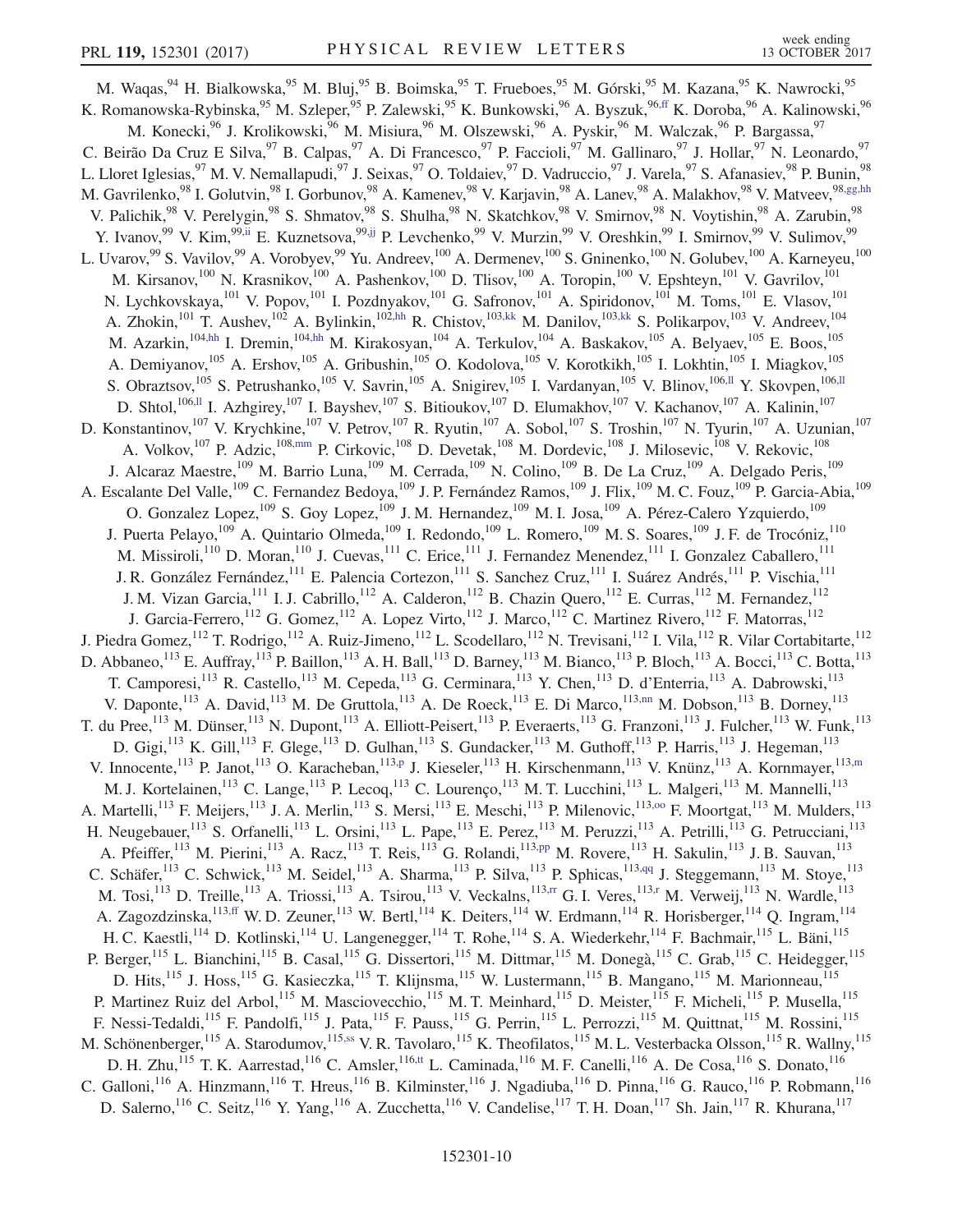<span id="page-9-13"></span><span id="page-9-12"></span><span id="page-9-11"></span><span id="page-9-10"></span><span id="page-9-9"></span><span id="page-9-8"></span><span id="page-9-7"></span><span id="page-9-6"></span><span id="page-9-5"></span><span id="page-9-4"></span><span id="page-9-3"></span><span id="page-9-2"></span><span id="page-9-1"></span><span id="page-9-0"></span>M. Waqas,  $94$  H. Bialkowska,  $95$  M. Bluj,  $95$  B. Boimska,  $95$  T. Frueboes,  $95$  M. Górski,  $95$  M. Kazana,  $95$  K. Nawrocki,  $95$ K. Romanowska-Rybinska,<sup>95</sup> M. Szleper,<sup>95</sup> P. Zalewski,<sup>95</sup> K. Bunkowski,<sup>96</sup> A. Byszuk,<sup>9[6,ff](#page-16-13)</sup> K. Doroba,<sup>96</sup> A. Kalinowski,<sup>96</sup> M. Konecki,<sup>96</sup> J. Krolikowski,<sup>96</sup> M. Misiura,<sup>96</sup> M. Olszewski,<sup>96</sup> A. Pyskir,<sup>96</sup> M. Walczak,<sup>96</sup> P. Bargassa,<sup>97</sup> C. Beirão Da Cruz E Silva, <sup>97</sup> B. Calpas, <sup>97</sup> A. Di Francesco, <sup>97</sup> P. Faccioli, <sup>97</sup> M. Gallinaro, <sup>97</sup> J. Hollar, <sup>97</sup> N. Leonardo, <sup>97</sup> L. Lloret Iglesias,<sup>97</sup> M. V. Nemallapudi,<sup>97</sup> J. Seixas,<sup>97</sup> O. Toldaiev,<sup>97</sup> D. Vadruccio,<sup>97</sup> J. Varela,<sup>97</sup> S. Afanasiev,<sup>98</sup> P. Bunin,<sup>98</sup> M. Gavrilenko,<sup>98</sup> I. Golutvin,<sup>98</sup> I. Gorbunov,<sup>98</sup> A. Kamenev,<sup>98</sup> V. Karjavin,<sup>98</sup> A. Lanev,<sup>98</sup> A. Malakhov,<sup>98</sup> V. Matveev,<sup>9[8,gg,hh](#page-16-14)</sup> V. Palichik,<sup>98</sup> V. Perelygin,<sup>98</sup> S. Shmatov,<sup>98</sup> S. Shulha,<sup>98</sup> N. Skatchkov,<sup>98</sup> V. Smirnov,<sup>98</sup> N. Voytishin,<sup>98</sup> A. Zarubin,<sup>98</sup> Y. Ivanov, <sup>99</sup> V. Kim, <sup>99[,ii](#page-16-15)</sup> E. Kuznetsova, <sup>99[,jj](#page-16-16)</sup> P. Levchenko, <sup>99</sup> V. Murzin, <sup>99</sup> V. Oreshkin, <sup>99</sup> I. Smirnov, <sup>99</sup> V. Sulimov, <sup>99</sup> L. Uvarov,  $99$  S. Vavilov,  $99$  A. Vorobyev,  $99$  Yu. Andreev,  $^{100}$  A. Dermenev,  $^{100}$  S. Gninenko,  $^{100}$  N. Golubev,  $^{100}$  A. Karneyeu,  $^{100}$ M. Kirsanov,<sup>100</sup> N. Krasnikov,<sup>100</sup> A. Pashenkov,<sup>100</sup> D. Tlisov,<sup>100</sup> A. Toropin,<sup>100</sup> V. Epshteyn,<sup>101</sup> V. Gavrilov,<sup>101</sup> N. Lychkovskaya,<sup>101</sup> V. Popov,<sup>101</sup> I. Pozdnyakov,<sup>101</sup> G. Safronov,<sup>101</sup> A. Spiridonov,<sup>101</sup> M. Toms,<sup>101</sup> E. Vlasov,<sup>101</sup> A. Zhokin,<sup>101</sup> T. Aushev,<sup>102</sup> A. Bylinkin,<sup>10[2,hh](#page-16-17)</sup> R. Chistov,<sup>103[,kk](#page-16-18)</sup> M. Danilov,<sup>103,kk</sup> S. Polikarpov,<sup>103</sup> V. Andreev,<sup>104</sup> M. Azarkin,<sup>10[4,hh](#page-16-17)</sup> I. Dremin,<sup>104,hh</sup> M. Kirakosyan,<sup>104</sup> A. Terkulov,<sup>104</sup> A. Baskakov,<sup>105</sup> A. Belyaev,<sup>105</sup> E. Boos,<sup>105</sup> A. Demiyanov,<sup>105</sup> A. Ershov,<sup>105</sup> A. Gribushin,<sup>105</sup> O. Kodolova,<sup>105</sup> V. Korotkikh,<sup>105</sup> I. Lokhtin,<sup>105</sup> I. Miagkov,<sup>105</sup> S. Obraztsov,<sup>105</sup> S. Petrushanko,<sup>105</sup> V. Savrin,<sup>105</sup> A. Snigirev,<sup>105</sup> I. Vardanyan,<sup>105</sup> V. Blinov,<sup>10[6,ll](#page-16-19)</sup> Y. Skovpen,<sup>106[,ll](#page-16-19)</sup> D. Shtol,<sup>10[6,ll](#page-16-19)</sup> I. Azhgirey,<sup>107</sup> I. Bayshev,<sup>107</sup> S. Bitioukov,<sup>107</sup> D. Elumakhov,<sup>107</sup> V. Kachanov,<sup>107</sup> A. Kalinin,<sup>107</sup> D. Konstantinov,<sup>107</sup> V. Krychkine,<sup>107</sup> V. Petrov,<sup>107</sup> R. Ryutin,<sup>107</sup> A. Sobol,<sup>107</sup> S. Troshin,<sup>107</sup> N. Tyurin,<sup>107</sup> A. Uzunian,<sup>107</sup> A. Volkov,<sup>107</sup> P. Adzic,<sup>108[,mm](#page-16-20)</sup> P. Cirkovic,<sup>108</sup> D. Devetak,<sup>108</sup> M. Dordevic,<sup>108</sup> J. Milosevic,<sup>108</sup> V. Rekovic,<sup>108</sup> J. Alcaraz Maestre,<sup>109</sup> M. Barrio Luna,<sup>109</sup> M. Cerrada,<sup>109</sup> N. Colino,<sup>109</sup> B. De La Cruz,<sup>109</sup> A. Delgado Peris,<sup>109</sup> A. Escalante Del Valle,<sup>109</sup> C. Fernandez Bedoya,<sup>109</sup> J. P. Fernández Ramos,<sup>109</sup> J. Flix,<sup>109</sup> M. C. Fouz,<sup>109</sup> P. Garcia-Abia,<sup>109</sup> O. Gonzalez Lopez,<sup>109</sup> S. Goy Lopez,<sup>109</sup> J. M. Hernandez,<sup>109</sup> M. I. Josa,<sup>109</sup> A. Pérez-Calero Yzquierdo,<sup>109</sup> J. Puerta Pelayo,<sup>109</sup> A. Quintario Olmeda,<sup>109</sup> I. Redondo,<sup>109</sup> L. Romero,<sup>109</sup> M. S. Soares,<sup>109</sup> J. F. de Trocóniz,<sup>110</sup> M. Missiroli,<sup>110</sup> D. Moran,<sup>110</sup> J. Cuevas,<sup>111</sup> C. Erice,<sup>111</sup> J. Fernandez Menendez,<sup>111</sup> I. Gonzalez Caballero,<sup>111</sup> J. R. González Fernández,<sup>111</sup> E. Palencia Cortezon,<sup>111</sup> S. Sanchez Cruz,<sup>111</sup> I. Suárez Andrés,<sup>111</sup> P. Vischia,<sup>111</sup> J. M. Vizan Garcia,<sup>111</sup> I. J. Cabrillo,<sup>112</sup> A. Calderon,<sup>112</sup> B. Chazin Quero,<sup>112</sup> E. Curras,<sup>112</sup> M. Fernandez,<sup>112</sup> J. Garcia-Ferrero,<sup>112</sup> G. Gomez,<sup>112</sup> A. Lopez Virto,<sup>112</sup> J. Marco,<sup>112</sup> C. Martinez Rivero,<sup>112</sup> F. Matorras,<sup>112</sup> J. Piedra Gomez, <sup>112</sup> T. Rodrigo, <sup>112</sup> A. Ruiz-Jimeno, <sup>112</sup> L. Scodellaro, <sup>112</sup> N. Trevisani, <sup>112</sup> I. Vila, <sup>112</sup> R. Vilar Cortabitarte, <sup>112</sup> D. Abbaneo,<sup>113</sup> E. Auffray,<sup>113</sup> P. Baillon,<sup>113</sup> A. H. Ball,<sup>113</sup> D. Barney,<sup>113</sup> M. Bianco,<sup>113</sup> P. Bloch,<sup>113</sup> A. Bocci,<sup>113</sup> C. Botta,<sup>113</sup> T. Camporesi,<sup>113</sup> R. Castello,<sup>113</sup> M. Cepeda,<sup>113</sup> G. Cerminara,<sup>113</sup> Y. Chen,<sup>113</sup> D. d'Enterria,<sup>113</sup> A. Dabrowski,<sup>113</sup> V. Daponte,<sup>113</sup> A. David,<sup>113</sup> M. De Gruttola,<sup>113</sup> A. De Roeck,<sup>113</sup> E. Di Marco,<sup>113[,nn](#page-16-21)</sup> M. Dobson,<sup>113</sup> B. Dorney,<sup>113</sup> T. du Pree,<sup>113</sup> M. Dünser,<sup>113</sup> N. Dupont,<sup>113</sup> A. Elliott-Peisert,<sup>113</sup> P. Everaerts,<sup>113</sup> G. Franzoni,<sup>113</sup> J. Fulcher,<sup>113</sup> W. Funk,<sup>113</sup> D. Gigi,<sup>113</sup> K. Gill,<sup>113</sup> F. Glege,<sup>113</sup> D. Gulhan,<sup>113</sup> S. Gundacker,<sup>113</sup> M. Guthoff,<sup>113</sup> P. Harris,<sup>113</sup> J. Hegeman,<sup>113</sup> V. Innocente,<sup>113</sup> P. Janot,<sup>113</sup> O. Karacheban,<sup>113[,p](#page-15-14)</sup> J. Kieseler,<sup>113</sup> H. Kirschenmann,<sup>113</sup> V. Knünz,<sup>113</sup> A. Kornmayer,<sup>11[3,m](#page-15-11)</sup> M. J. Kortelainen,<sup>113</sup> C. Lange,<sup>113</sup> P. Lecoq,<sup>113</sup> C. Lourenço,<sup>113</sup> M. T. Lucchini,<sup>113</sup> L. Malgeri,<sup>113</sup> M. Mannelli,<sup>113</sup> A. Martelli,<sup>113</sup> F. Meijers,<sup>113</sup> J. A. Merlin,<sup>113</sup> S. Mersi,<sup>113</sup> E. Meschi,<sup>113</sup> P. Milenovic,<sup>113,00</sup> F. Moortgat,<sup>113</sup> M. Mulders,<sup>113</sup> H. Neugebauer,<sup>113</sup> S. Orfanelli,<sup>113</sup> L. Orsini,<sup>113</sup> L. Pape,<sup>113</sup> E. Perez,<sup>113</sup> M. Peruzzi,<sup>113</sup> A. Petrilli,<sup>113</sup> G. Petrucciani,<sup>113</sup> A. Pfeiffer,<sup>113</sup> M. Pierini,<sup>113</sup> A. Racz,<sup>113</sup> T. Reis,<sup>113</sup> G. Rolandi,<sup>113[,pp](#page-16-23)</sup> M. Rovere,<sup>113</sup> H. Sakulin,<sup>113</sup> J. B. Sauvan,<sup>113</sup> C. Schäfer,<sup>113</sup> C. Schwick,<sup>113</sup> M. Seidel,<sup>113</sup> A. Sharma,<sup>113</sup> P. Silva,<sup>113</sup> P. Sphicas,<sup>11[3,qq](#page-16-24)</sup> J. Steggemann,<sup>113</sup> M. Stoye,<sup>113</sup> M. Tosi, $^{113}$  D. Treille, $^{113}$  A. Triossi, $^{113}$  A. Tsirou, $^{113}$  V. Veckalns, $^{113,rr}$  $^{113,rr}$  $^{113,rr}$  G. I. Veres, $^{113,r}$  $^{113,r}$  $^{113,r}$  M. Verweij, $^{113}$  N. Wardle, $^{113}$ A. Zagozdzinska,<sup>113[,ff](#page-16-13)</sup> W. D. Zeuner,<sup>113</sup> W. Bertl,<sup>114</sup> K. Deiters,<sup>114</sup> W. Erdmann,<sup>114</sup> R. Horisberger,<sup>114</sup> Q. Ingram,<sup>114</sup> H. C. Kaestli,<sup>114</sup> D. Kotlinski,<sup>114</sup> U. Langenegger,<sup>114</sup> T. Rohe,<sup>114</sup> S. A. Wiederkehr,<sup>114</sup> F. Bachmair,<sup>115</sup> L. Bäni,<sup>115</sup> P. Berger,<sup>115</sup> L. Bianchini,<sup>115</sup> B. Casal,<sup>115</sup> G. Dissertori,<sup>115</sup> M. Dittmar,<sup>115</sup> M. Donegà,<sup>115</sup> C. Grab,<sup>115</sup> C. Heidegger,<sup>115</sup> D. Hits,<sup>115</sup> J. Hoss,<sup>115</sup> G. Kasieczka,<sup>115</sup> T. Klijnsma,<sup>115</sup> W. Lustermann,<sup>115</sup> B. Mangano,<sup>115</sup> M. Marionneau,<sup>115</sup> P. Martinez Ruiz del Arbol,<sup>115</sup> M. Masciovecchio,<sup>115</sup> M. T. Meinhard,<sup>115</sup> D. Meister,<sup>115</sup> F. Micheli,<sup>115</sup> P. Musella,<sup>115</sup> F. Nessi-Tedaldi,<sup>115</sup> F. Pandolfi,<sup>115</sup> J. Pata,<sup>115</sup> F. Pauss,<sup>115</sup> G. Perrin,<sup>115</sup> L. Perrozzi,<sup>115</sup> M. Quittnat,<sup>115</sup> M. Rossini,<sup>115</sup> M. Schönenberger,<sup>115</sup> A. Starodumov,<sup>115[,ss](#page-16-26)</sup> V. R. Tavolaro,<sup>115</sup> K. Theofilatos,<sup>115</sup> M. L. Vesterbacka Olsson,<sup>115</sup> R. Wallny,<sup>115</sup> D. H. Zhu,<sup>115</sup> T. K. Aarrestad,<sup>116</sup> C. Amsler,<sup>116[,tt](#page-16-27)</sup> L. Caminada,<sup>116</sup> M. F. Canelli,<sup>116</sup> A. De Cosa,<sup>116</sup> S. Donato,<sup>116</sup> C. Galloni,  $116$  A. Hinzmann,  $116$  T. Hreus,  $116$  B. Kilminster,  $116$  J. Ngadiuba,  $116$  D. Pinna,  $116$  G. Rauco,  $116$  P. Robmann,  $116$ D. Salerno,  $^{116}$  C. Seitz,  $^{116}$  Y. Yang,  $^{116}$  A. Zucchetta,  $^{116}$  V. Candelise,  $^{117}$  T. H. Doan,  $^{117}$  Sh. Jain,  $^{117}$  R. Khurana,  $^{117}$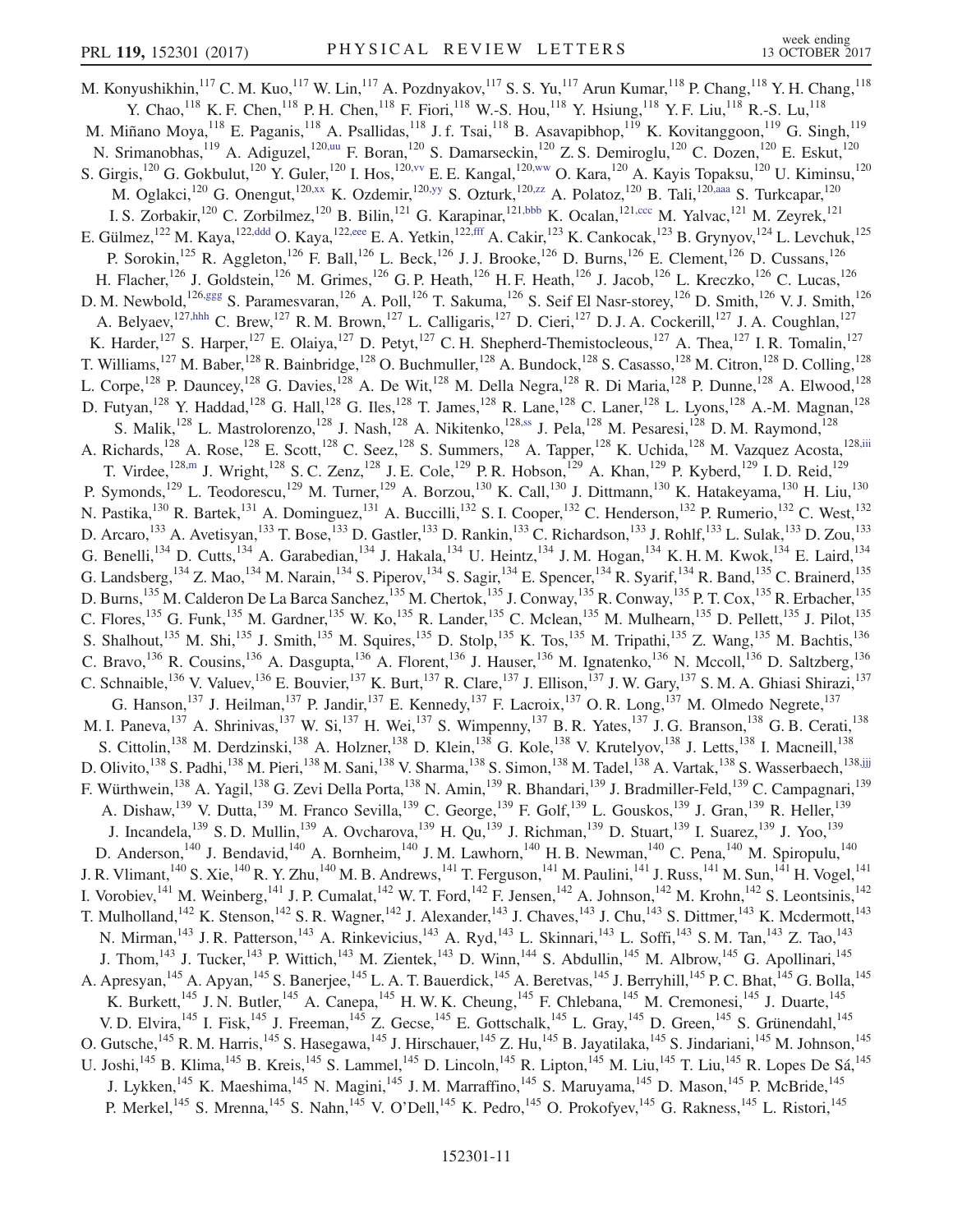<span id="page-10-8"></span><span id="page-10-7"></span><span id="page-10-6"></span><span id="page-10-5"></span><span id="page-10-4"></span><span id="page-10-3"></span><span id="page-10-2"></span><span id="page-10-1"></span><span id="page-10-0"></span>M. Konyushikhin,<sup>117</sup> C. M. Kuo,<sup>117</sup> W. Lin,<sup>117</sup> A. Pozdnyakov,<sup>117</sup> S. S. Yu,<sup>117</sup> Arun Kumar,<sup>118</sup> P. Chang,<sup>118</sup> Y. H. Chang,<sup>118</sup> Y. Chao,  $^{118}$  K. F. Chen,  $^{118}$  P. H. Chen,  $^{118}$  F. Fiori,  $^{118}$  W.-S. Hou,  $^{118}$  Y. Hsiung,  $^{118}$  Y. F. Liu,  $^{118}$  R.-S. Lu,  $^{118}$ M. Miñano Moya,<sup>118</sup> E. Paganis,<sup>118</sup> A. Psallidas,<sup>118</sup> J. f. Tsai,<sup>118</sup> B. Asavapibhop,<sup>119</sup> K. Kovitanggoon,<sup>119</sup> G. Singh,<sup>119</sup> N. Srimanobhas, 119 A. Adiguzel, 12[0,uu](#page-16-28) F. Boran, 120 S. Damarseckin, 120 Z. S. Demiroglu, 120 C. Dozen, 120 E. Eskut, 120 S. Girgis,<sup>120</sup> G. Gokbulut,<sup>120</sup> Y. Guler,<sup>120</sup> I. Hos,<sup>120, vv</sup> E. E. Kangal,<sup>120, ww</sup> O. Kara,<sup>120</sup> A. Kayis Topaksu,<sup>120</sup> U. Kiminsu,<sup>120</sup> M. Oglakci,<sup>120</sup> G. Onengut,<sup>12[0,xx](#page-16-31)</sup> K. Ozdemir,<sup>120[,yy](#page-16-32)</sup> S. Ozturk,<sup>12[0,zz](#page-16-33)</sup> A. Polatoz,<sup>120</sup> B. Tali,<sup>12[0,aaa](#page-16-34)</sup> S. Turkcapar,<sup>120</sup> I. S. Zorbakir,<sup>120</sup> C. Zorbilmez,<sup>120</sup> B. Bilin,<sup>121</sup> G. Karapinar,<sup>121[,bbb](#page-16-35)</sup> K. Ocalan,<sup>12[1,ccc](#page-16-36)</sup> M. Yalvac,<sup>121</sup> M. Zeyrek,<sup>121</sup> E. Gülmez, <sup>122</sup> M. Kaya, <sup>122[,ddd](#page-16-37)</sup> O. Kaya, <sup>122[,eee](#page-16-38)</sup> E. A. Yetkin, <sup>122[,fff](#page-16-39)</sup> A. Cakir, <sup>123</sup> K. Cankocak, <sup>123</sup> B. Grynyov, <sup>124</sup> L. Levchuk, <sup>125</sup> P. Sorokin,<sup>125</sup> R. Aggleton,<sup>126</sup> F. Ball,<sup>126</sup> L. Beck,<sup>126</sup> J. J. Brooke,<sup>126</sup> D. Burns,<sup>126</sup> E. Clement,<sup>126</sup> D. Cussans,<sup>126</sup> H. Flacher,<sup>126</sup> J. Goldstein,<sup>126</sup> M. Grimes,<sup>126</sup> G. P. Heath,<sup>126</sup> H. F. Heath,<sup>126</sup> J. Jacob,<sup>126</sup> L. Kreczko,<sup>126</sup> C. Lucas,<sup>126</sup> D. M. Newbold,<sup>126[,ggg](#page-16-40)</sup> S. Paramesvaran,<sup>126</sup> A. Poll,<sup>126</sup> T. Sakuma,<sup>126</sup> S. Seif El Nasr-storey,<sup>126</sup> D. Smith,<sup>126</sup> V. J. Smith,<sup>126</sup> A. Belyaev,<sup>12[7,hhh](#page-16-41)</sup> C. Brew,<sup>127</sup> R. M. Brown,<sup>127</sup> L. Calligaris,<sup>127</sup> D. Cieri,<sup>127</sup> D. J. A. Cockerill,<sup>127</sup> J. A. Coughlan,<sup>127</sup> K. Harder,<sup>127</sup> S. Harper,<sup>127</sup> E. Olaiya,<sup>127</sup> D. Petyt,<sup>127</sup> C. H. Shepherd-Themistocleous,<sup>127</sup> A. Thea,<sup>127</sup> I. R. Tomalin,<sup>127</sup> T. Williams,<sup>127</sup> M. Baber,<sup>128</sup> R. Bainbridge,<sup>128</sup> O. Buchmuller,<sup>128</sup> A. Bundock,<sup>128</sup> S. Casasso,<sup>128</sup> M. Citron,<sup>128</sup> D. Colling,<sup>128</sup> L. Corpe,<sup>128</sup> P. Dauncey,<sup>128</sup> G. Davies,<sup>128</sup> A. De Wit,<sup>128</sup> M. Della Negra,<sup>128</sup> R. Di Maria,<sup>128</sup> P. Dunne,<sup>128</sup> A. Elwood,<sup>128</sup> D. Futyan,<sup>128</sup> Y. Haddad,<sup>128</sup> G. Hall,<sup>128</sup> G. Iles,<sup>128</sup> T. James,<sup>128</sup> R. Lane,<sup>128</sup> C. Laner,<sup>128</sup> L. Lyons,<sup>128</sup> A.-M. Magnan,<sup>128</sup> S. Malik,<sup>128</sup> L. Mastrolorenzo,<sup>128</sup> J. Nash,<sup>128</sup> A. Nikitenko,<sup>128[,ss](#page-16-26)</sup> J. Pela,<sup>128</sup> M. Pesaresi,<sup>128</sup> D. M. Raymond,<sup>128</sup> A. Richards,<sup>128</sup> A. Rose,<sup>128</sup> E. Scott,<sup>128</sup> C. Seez,<sup>128</sup> S. Summers,<sup>128</sup> A. Tapper,<sup>128</sup> K. Uchida,<sup>128</sup> M. Vazquez Acosta,<sup>12[8,iii](#page-16-42)</sup> T. Virdee,  $^{128,m}$  $^{128,m}$  $^{128,m}$  J. Wright,  $^{128}$  S. C. Zenz,  $^{128}$  J. E. Cole,  $^{129}$  P. R. Hobson,  $^{129}$  A. Khan,  $^{129}$  P. Kyberd,  $^{129}$  I. D. Reid,  $^{129}$ P. Symonds,<sup>129</sup> L. Teodorescu,<sup>129</sup> M. Turner,<sup>129</sup> A. Borzou,<sup>130</sup> K. Call,<sup>130</sup> J. Dittmann,<sup>130</sup> K. Hatakeyama,<sup>130</sup> H. Liu,<sup>130</sup> N. Pastika,<sup>130</sup> R. Bartek,<sup>131</sup> A. Dominguez,<sup>131</sup> A. Buccilli,<sup>132</sup> S. I. Cooper,<sup>132</sup> C. Henderson,<sup>132</sup> P. Rumerio,<sup>132</sup> C. West,<sup>132</sup> D. Arcaro,<sup>133</sup> A. Avetisyan,<sup>133</sup> T. Bose,<sup>133</sup> D. Gastler,<sup>133</sup> D. Rankin,<sup>133</sup> C. Richardson,<sup>133</sup> J. Rohlf,<sup>133</sup> L. Sulak,<sup>133</sup> D. Zou,<sup>133</sup> G. Benelli,<sup>134</sup> D. Cutts,<sup>134</sup> A. Garabedian,<sup>134</sup> J. Hakala,<sup>134</sup> U. Heintz,<sup>134</sup> J. M. Hogan,<sup>134</sup> K. H. M. Kwok,<sup>134</sup> E. Laird,<sup>134</sup> G. Landsberg,  $^{134}$  Z. Mao,  $^{134}$  M. Narain,  $^{134}$  S. Piperov,  $^{134}$  S. Sagir,  $^{134}$  E. Spencer,  $^{134}$  R. Syarif,  $^{134}$  R. Band,  $^{135}$  C. Brainerd,  $^{135}$ D. Burns,<sup>135</sup> M. Calderon De La Barca Sanchez,<sup>135</sup> M. Chertok,<sup>135</sup> J. Conway,<sup>135</sup> R. Conway,<sup>135</sup> P. T. Cox,<sup>135</sup> R. Erbacher,<sup>135</sup> C. Flores,<sup>135</sup> G. Funk,<sup>135</sup> M. Gardner,<sup>135</sup> W. Ko,<sup>135</sup> R. Lander,<sup>135</sup> C. Mclean,<sup>135</sup> M. Mulhearn,<sup>135</sup> D. Pellett,<sup>135</sup> J. Pilot,<sup>135</sup> S. Shalhout,<sup>135</sup> M. Shi,<sup>135</sup> J. Smith,<sup>135</sup> M. Squires,<sup>135</sup> D. Stolp,<sup>135</sup> K. Tos,<sup>135</sup> M. Tripathi,<sup>135</sup> Z. Wang,<sup>135</sup> M. Bachtis,<sup>136</sup> C. Bravo, <sup>136</sup> R. Cousins, <sup>136</sup> A. Dasgupta, <sup>136</sup> A. Florent, <sup>136</sup> J. Hauser, <sup>136</sup> M. Ignatenko, <sup>136</sup> N. Mccoll, <sup>136</sup> D. Saltzberg, <sup>136</sup> C. Schnaible,<sup>136</sup> V. Valuev,<sup>136</sup> E. Bouvier,<sup>137</sup> K. Burt,<sup>137</sup> R. Clare,<sup>137</sup> J. Ellison,<sup>137</sup> J. W. Gary,<sup>137</sup> S. M. A. Ghiasi Shirazi,<sup>137</sup> G. Hanson,  $^{137}$  J. Heilman,  $^{137}$  P. Jandir,  $^{137}$  E. Kennedy,  $^{137}$  F. Lacroix,  $^{137}$  O. R. Long,  $^{137}$  M. Olmedo Negrete,  $^{137}$ M. I. Paneva,<sup>137</sup> A. Shrinivas,<sup>137</sup> W. Si,<sup>137</sup> H. Wei,<sup>137</sup> S. Wimpenny,<sup>137</sup> B. R. Yates,<sup>137</sup> J. G. Branson,<sup>138</sup> G. B. Cerati,<sup>138</sup> S. Cittolin,<sup>138</sup> M. Derdzinski,<sup>138</sup> A. Holzner,<sup>138</sup> D. Klein,<sup>138</sup> G. Kole,<sup>138</sup> V. Krutelyov,<sup>138</sup> J. Letts,<sup>138</sup> I. Macneill,<sup>138</sup> D. Olivito,<sup>138</sup> S. Padhi,<sup>138</sup> M. Pieri,<sup>138</sup> M. Sani,<sup>138</sup> V. Sharma,<sup>138</sup> S. Simon,<sup>138</sup> M. Tadel,<sup>138</sup> A. Vartak,<sup>138</sup> S. Wasserbaech,<sup>13[8,jjj](#page-16-43)</sup> F. Würthwein,<sup>138</sup> A. Yagil,<sup>138</sup> G. Zevi Della Porta,<sup>138</sup> N. Amin,<sup>139</sup> R. Bhandari,<sup>139</sup> J. Bradmiller-Feld,<sup>139</sup> C. Campagnari,<sup>139</sup> A. Dishaw,  $^{139}$  V. Dutta,  $^{139}$  M. Franco Sevilla,  $^{139}$  C. George,  $^{139}$  F. Golf,  $^{139}$  L. Gouskos,  $^{139}$  J. Gran,  $^{139}$  R. Heller,  $^{139}$ J. Incandela,<sup>139</sup> S. D. Mullin,<sup>139</sup> A. Ovcharova,<sup>139</sup> H. Qu,<sup>139</sup> J. Richman,<sup>139</sup> D. Stuart,<sup>139</sup> I. Suarez,<sup>139</sup> J. Yoo,<sup>139</sup> D. Anderson,<sup>140</sup> J. Bendavid,<sup>140</sup> A. Bornheim,<sup>140</sup> J.M. Lawhorn,<sup>140</sup> H.B. Newman,<sup>140</sup> C. Pena,<sup>140</sup> M. Spiropulu,<sup>140</sup> J. R. Vlimant,<sup>140</sup> S. Xie,<sup>140</sup> R. Y. Zhu,<sup>140</sup> M. B. Andrews,<sup>141</sup> T. Ferguson,<sup>141</sup> M. Paulini,<sup>141</sup> J. Russ,<sup>141</sup> M. Sun,<sup>141</sup> H. Vogel,<sup>141</sup> I. Vorobiev, <sup>141</sup> M. Weinberg, <sup>141</sup> J. P. Cumalat, <sup>142</sup> W. T. Ford, <sup>142</sup> F. Jensen, <sup>142</sup> A. Johnson, <sup>142</sup> M. Krohn, <sup>142</sup> S. Leontsinis, <sup>142</sup> T. Mulholland,<sup>142</sup> K. Stenson,<sup>142</sup> S. R. Wagner,<sup>142</sup> J. Alexander,<sup>143</sup> J. Chaves,<sup>143</sup> J. Chu,<sup>143</sup> S. Dittmer,<sup>143</sup> K. Mcdermott,<sup>143</sup> N. Mirman,<sup>143</sup> J. R. Patterson,<sup>143</sup> A. Rinkevicius,<sup>143</sup> A. Ryd,<sup>143</sup> L. Skinnari,<sup>143</sup> L. Soffi,<sup>143</sup> S. M. Tan,<sup>143</sup> Z. Tao,<sup>143</sup> J. Thom,<sup>143</sup> J. Tucker,<sup>143</sup> P. Wittich,<sup>143</sup> M. Zientek,<sup>143</sup> D. Winn,<sup>144</sup> S. Abdullin,<sup>145</sup> M. Albrow,<sup>145</sup> G. Apollinari,<sup>145</sup> A. Apresyan,<sup>145</sup> A. Apyan,<sup>145</sup> S. Banerjee,<sup>145</sup> L. A. T. Bauerdick,<sup>145</sup> A. Beretvas,<sup>145</sup> J. Berryhill,<sup>145</sup> P. C. Bhat,<sup>145</sup> G. Bolla,<sup>145</sup> K. Burkett,<sup>145</sup> J. N. Butler,<sup>145</sup> A. Canepa,<sup>145</sup> H. W. K. Cheung,<sup>145</sup> F. Chlebana,<sup>145</sup> M. Cremonesi,<sup>145</sup> J. Duarte,<sup>145</sup> V. D. Elvira, <sup>145</sup> I. Fisk, <sup>145</sup> J. Freeman, <sup>145</sup> Z. Gecse, <sup>145</sup> E. Gottschalk, <sup>145</sup> L. Gray, <sup>145</sup> D. Green, <sup>145</sup> S. Grünendahl, <sup>145</sup> O. Gutsche, <sup>145</sup> R. M. Harris, <sup>145</sup> S. Hasegawa, <sup>145</sup> J. Hirschauer, <sup>145</sup> Z. Hu, <sup>145</sup> B. Jayatilaka, <sup>145</sup> S. Jindariani, <sup>145</sup> M. Johnson, <sup>145</sup> U. Joshi, <sup>145</sup> B. Klima, <sup>145</sup> B. Kreis, <sup>145</sup> S. Lammel, <sup>145</sup> D. Lincoln, <sup>145</sup> R. Lipton, <sup>145</sup> M. Liu, <sup>145</sup> T. Liu, <sup>145</sup> R. Lopes De Sá, <sup>145</sup> J. Lykken,<sup>145</sup> K. Maeshima,<sup>145</sup> N. Magini,<sup>145</sup> J. M. Marraffino,<sup>145</sup> S. Maruyama,<sup>145</sup> D. Mason,<sup>145</sup> P. McBride,<sup>145</sup> P. Merkel,<sup>145</sup> S. Mrenna,<sup>145</sup> S. Nahn,<sup>145</sup> V. O'Dell,<sup>145</sup> K. Pedro,<sup>145</sup> O. Prokofyev,<sup>145</sup> G. Rakness,<sup>145</sup> L. Ristori,<sup>145</sup>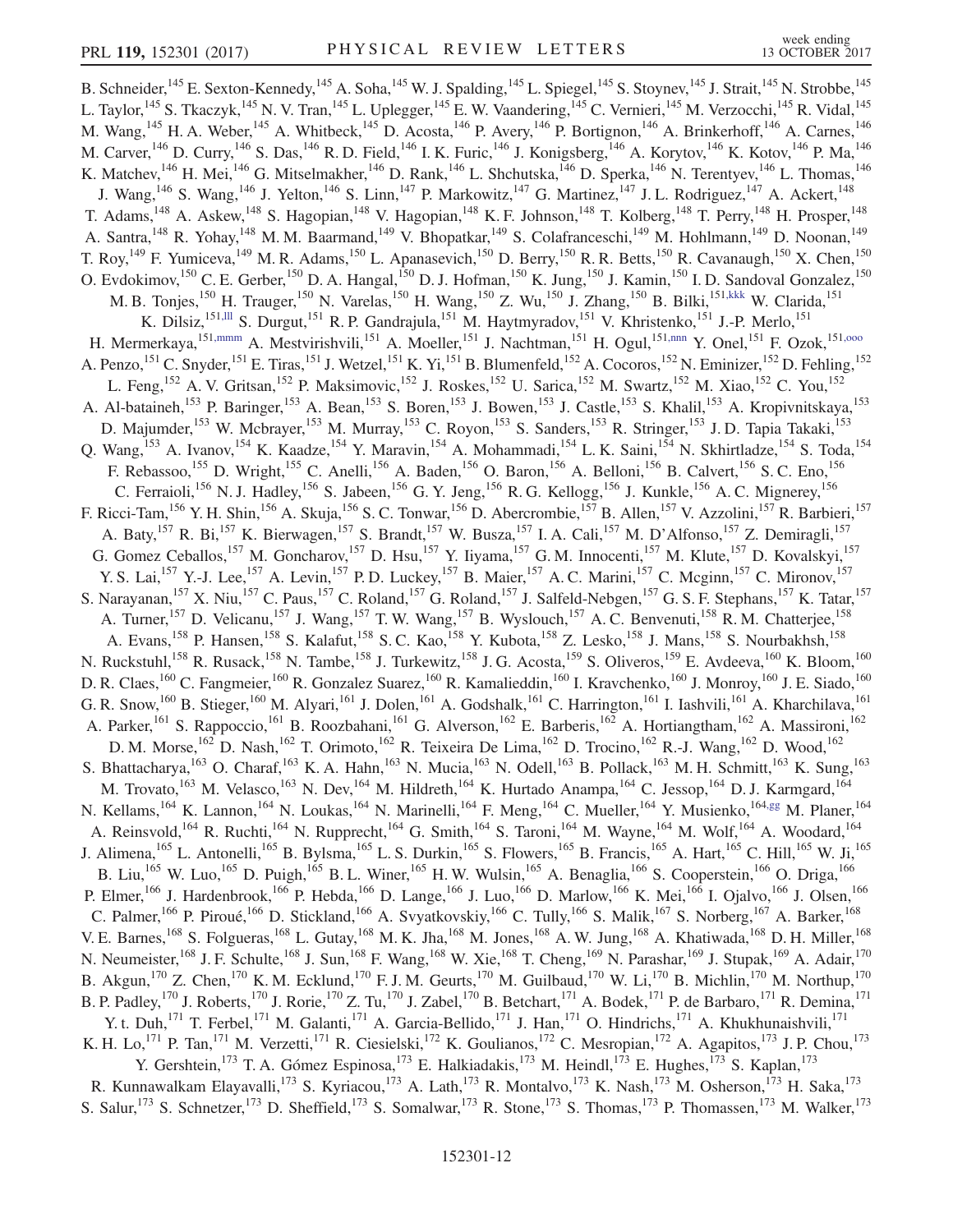<span id="page-11-2"></span><span id="page-11-1"></span><span id="page-11-0"></span>B. Schneider,<sup>145</sup> E. Sexton-Kennedy,<sup>145</sup> A. Soha,<sup>145</sup> W. J. Spalding,<sup>145</sup> L. Spiegel,<sup>145</sup> S. Stoynev,<sup>145</sup> J. Strait,<sup>145</sup> N. Strobbe,<sup>145</sup> L. Taylor,<sup>145</sup> S. Tkaczyk,<sup>145</sup> N. V. Tran,<sup>145</sup> L. Uplegger,<sup>145</sup> E. W. Vaandering,<sup>145</sup> C. Vernieri,<sup>145</sup> M. Verzocchi,<sup>145</sup> R. Vidal,<sup>145</sup> M. Wang, <sup>145</sup> H. A. Weber, <sup>145</sup> A. Whitbeck, <sup>145</sup> D. Acosta, <sup>146</sup> P. Avery, <sup>146</sup> P. Bortignon, <sup>146</sup> A. Brinkerhoff, <sup>146</sup> A. Carnes, <sup>146</sup> M. Carver, <sup>146</sup> D. Curry, <sup>146</sup> S. Das, <sup>146</sup> R. D. Field, <sup>146</sup> I. K. Furic, <sup>146</sup> J. Konigsberg, <sup>146</sup> A. Korytov, <sup>146</sup> K. Kotov, <sup>146</sup> P. Ma, <sup>146</sup> K. Matchev,<sup>146</sup> H. Mei,<sup>146</sup> G. Mitselmakher,<sup>146</sup> D. Rank,<sup>146</sup> L. Shchutska,<sup>146</sup> D. Sperka,<sup>146</sup> N. Terentyev,<sup>146</sup> L. Thomas,<sup>146</sup> J. Wang,<sup>146</sup> S. Wang,<sup>146</sup> J. Yelton,<sup>146</sup> S. Linn,<sup>147</sup> P. Markowitz,<sup>147</sup> G. Martinez,<sup>147</sup> J. L. Rodriguez,<sup>147</sup> A. Ackert,<sup>148</sup> T. Adams,<sup>148</sup> A. Askew,<sup>148</sup> S. Hagopian,<sup>148</sup> V. Hagopian,<sup>148</sup> K. F. Johnson,<sup>148</sup> T. Kolberg,<sup>148</sup> T. Perry,<sup>148</sup> H. Prosper,<sup>148</sup> A. Santra,<sup>148</sup> R. Yohay,<sup>148</sup> M. M. Baarmand,<sup>149</sup> V. Bhopatkar,<sup>149</sup> S. Colafranceschi,<sup>149</sup> M. Hohlmann,<sup>149</sup> D. Noonan,<sup>149</sup> T. Roy, <sup>149</sup> F. Yumiceva, <sup>149</sup> M. R. Adams, <sup>150</sup> L. Apanasevich, <sup>150</sup> D. Berry, <sup>150</sup> R. R. Betts, <sup>150</sup> R. Cavanaugh, <sup>150</sup> X. Chen, <sup>150</sup> O. Evdokimov,<sup>150</sup> C. E. Gerber,<sup>150</sup> D. A. Hangal,<sup>150</sup> D. J. Hofman,<sup>150</sup> K. Jung,<sup>150</sup> J. Kamin,<sup>150</sup> I. D. Sandoval Gonzalez,<sup>150</sup> M. B. Tonjes,<sup>150</sup> H. Trauger,<sup>150</sup> N. Varelas,<sup>150</sup> H. Wang,<sup>150</sup> Z. Wu,<sup>150</sup> J. Zhang,<sup>150</sup> B. Bilki,<sup>151[,kkk](#page-16-44)</sup> W. Clarida,<sup>151</sup> K. Dilsiz,<sup>15[1,lll](#page-16-45)</sup> S. Durgut,<sup>151</sup> R. P. Gandrajula,<sup>151</sup> M. Haytmyradov,<sup>151</sup> V. Khristenko,<sup>151</sup> J.-P. Merlo,<sup>151</sup> H. Mermerkaya, <sup>151[,mmm](#page-16-46)</sup> A. Mestvirishvili, <sup>151</sup> A. Moeller, <sup>151</sup> J. Nachtman, <sup>151</sup> H. Ogul, <sup>15[1,nnn](#page-16-47)</sup> Y. Onel, <sup>151</sup> F. Ozok, <sup>151,000</sup> A. Penzo, <sup>151</sup> C. Snyder, <sup>151</sup> E. Tiras, <sup>151</sup> J. Wetzel, <sup>151</sup> K. Yi, <sup>151</sup> B. Blumenfeld, <sup>152</sup> A. Cocoros, <sup>152</sup> N. Eminizer, <sup>152</sup> D. Fehling, <sup>152</sup> L. Feng,<sup>152</sup> A. V. Gritsan,<sup>152</sup> P. Maksimovic,<sup>152</sup> J. Roskes,<sup>152</sup> U. Sarica,<sup>152</sup> M. Swartz,<sup>152</sup> M. Xiao,<sup>152</sup> C. You,<sup>152</sup> A. Al-bataineh,<sup>153</sup> P. Baringer,<sup>153</sup> A. Bean,<sup>153</sup> S. Boren,<sup>153</sup> J. Bowen,<sup>153</sup> J. Castle,<sup>153</sup> S. Khalil,<sup>153</sup> A. Kropivnitskaya,<sup>153</sup> D. Majumder,<sup>153</sup> W. Mcbrayer,<sup>153</sup> M. Murray,<sup>153</sup> C. Royon,<sup>153</sup> S. Sanders,<sup>153</sup> R. Stringer,<sup>153</sup> J. D. Tapia Takaki,<sup>153</sup> Q. Wang,<sup>153</sup> A. Ivanov,<sup>154</sup> K. Kaadze,<sup>154</sup> Y. Maravin,<sup>154</sup> A. Mohammadi,<sup>154</sup> L. K. Saini,<sup>154</sup> N. Skhirtladze,<sup>154</sup> S. Toda,<sup>154</sup> F. Rebassoo,<sup>155</sup> D. Wright,<sup>155</sup> C. Anelli,<sup>156</sup> A. Baden,<sup>156</sup> O. Baron,<sup>156</sup> A. Belloni,<sup>156</sup> B. Calvert,<sup>156</sup> S. C. Eno,<sup>156</sup> C. Ferraioli,<sup>156</sup> N. J. Hadley,<sup>156</sup> S. Jabeen,<sup>156</sup> G. Y. Jeng,<sup>156</sup> R. G. Kellogg,<sup>156</sup> J. Kunkle,<sup>156</sup> A. C. Mignerey,<sup>156</sup> F. Ricci-Tam,<sup>156</sup> Y. H. Shin,<sup>156</sup> A. Skuja,<sup>156</sup> S. C. Tonwar,<sup>156</sup> D. Abercrombie,<sup>157</sup> B. Allen,<sup>157</sup> V. Azzolini,<sup>157</sup> R. Barbieri,<sup>157</sup> A. Baty,<sup>157</sup> R. Bi,<sup>157</sup> K. Bierwagen,<sup>157</sup> S. Brandt,<sup>157</sup> W. Busza,<sup>157</sup> I. A. Cali,<sup>157</sup> M. D'Alfonso,<sup>157</sup> Z. Demiragli,<sup>157</sup> G. Gomez Ceballos,<sup>157</sup> M. Goncharov,<sup>157</sup> D. Hsu,<sup>157</sup> Y. Iiyama,<sup>157</sup> G. M. Innocenti,<sup>157</sup> M. Klute,<sup>157</sup> D. Kovalskyi,<sup>157</sup> Y. S. Lai,<sup>157</sup> Y.-J. Lee,<sup>157</sup> A. Levin,<sup>157</sup> P. D. Luckey,<sup>157</sup> B. Maier,<sup>157</sup> A. C. Marini,<sup>157</sup> C. Mcginn,<sup>157</sup> C. Mironov,<sup>157</sup> S. Narayanan,<sup>157</sup> X. Niu,<sup>157</sup> C. Paus,<sup>157</sup> C. Roland,<sup>157</sup> G. Roland,<sup>157</sup> J. Salfeld-Nebgen,<sup>157</sup> G. S. F. Stephans,<sup>157</sup> K. Tatar,<sup>157</sup> A. Turner,<sup>157</sup> D. Velicanu,<sup>157</sup> J. Wang,<sup>157</sup> T. W. Wang,<sup>157</sup> B. Wyslouch,<sup>157</sup> A. C. Benvenuti,<sup>158</sup> R. M. Chatterjee,<sup>158</sup> A. Evans,<sup>158</sup> P. Hansen,<sup>158</sup> S. Kalafut,<sup>158</sup> S. C. Kao,<sup>158</sup> Y. Kubota,<sup>158</sup> Z. Lesko,<sup>158</sup> J. Mans,<sup>158</sup> S. Nourbakhsh,<sup>158</sup> N. Ruckstuhl,<sup>158</sup> R. Rusack,<sup>158</sup> N. Tambe,<sup>158</sup> J. Turkewitz,<sup>158</sup> J. G. Acosta,<sup>159</sup> S. Oliveros,<sup>159</sup> E. Avdeeva,<sup>160</sup> K. Bloom,<sup>160</sup> D. R. Claes,<sup>160</sup> C. Fangmeier,<sup>160</sup> R. Gonzalez Suarez,<sup>160</sup> R. Kamalieddin,<sup>160</sup> I. Kravchenko,<sup>160</sup> J. Monroy,<sup>160</sup> J. E. Siado,<sup>160</sup> G. R. Snow,<sup>160</sup> B. Stieger,<sup>160</sup> M. Alyari,<sup>161</sup> J. Dolen,<sup>161</sup> A. Godshalk,<sup>161</sup> C. Harrington,<sup>161</sup> I. Iashvili,<sup>161</sup> A. Kharchilava,<sup>161</sup> A. Parker,<sup>161</sup> S. Rappoccio,<sup>161</sup> B. Roozbahani,<sup>161</sup> G. Alverson,<sup>162</sup> E. Barberis,<sup>162</sup> A. Hortiangtham,<sup>162</sup> A. Massironi,<sup>162</sup> D. M. Morse,<sup>162</sup> D. Nash,<sup>162</sup> T. Orimoto,<sup>162</sup> R. Teixeira De Lima,<sup>162</sup> D. Trocino,<sup>162</sup> R.-J. Wang,<sup>162</sup> D. Wood,<sup>162</sup> S. Bhattacharya,  $^{163}$  O. Charaf,  $^{163}$  K. A. Hahn,  $^{163}$  N. Mucia,  $^{163}$  N. Odell,  $^{163}$  B. Pollack,  $^{163}$  M. H. Schmitt,  $^{163}$  K. Sung,  $^{163}$ M. Trovato, <sup>163</sup> M. Velasco, <sup>163</sup> N. Dev, <sup>164</sup> M. Hildreth, <sup>164</sup> K. Hurtado Anampa, <sup>164</sup> C. Jessop, <sup>164</sup> D. J. Karmgard, <sup>164</sup> N. Kellams, <sup>164</sup> K. Lannon, <sup>164</sup> N. Loukas, <sup>164</sup> N. Marinelli, <sup>164</sup> F. Meng, <sup>164</sup> C. Mueller, <sup>164</sup> Y. Musienko, <sup>164[,gg](#page-16-14)</sup> M. Planer, <sup>164</sup> A. Reinsvold,<sup>164</sup> R. Ruchti,<sup>164</sup> N. Rupprecht,<sup>164</sup> G. Smith,<sup>164</sup> S. Taroni,<sup>164</sup> M. Wayne,<sup>164</sup> M. Wolf,<sup>164</sup> A. Woodard,<sup>164</sup> J. Alimena,<sup>165</sup> L. Antonelli,<sup>165</sup> B. Bylsma,<sup>165</sup> L. S. Durkin,<sup>165</sup> S. Flowers,<sup>165</sup> B. Francis,<sup>165</sup> A. Hart,<sup>165</sup> C. Hill,<sup>165</sup> W. Ji,<sup>165</sup> B. Liu,<sup>165</sup> W. Luo,<sup>165</sup> D. Puigh,<sup>165</sup> B. L. Winer,<sup>165</sup> H. W. Wulsin,<sup>165</sup> A. Benaglia,<sup>166</sup> S. Cooperstein,<sup>166</sup> O. Driga,<sup>166</sup> P. Elmer,<sup>166</sup> J. Hardenbrook,<sup>166</sup> P. Hebda,<sup>166</sup> D. Lange,<sup>166</sup> J. Luo,<sup>166</sup> D. Marlow,<sup>166</sup> K. Mei,<sup>166</sup> I. Ojalvo,<sup>166</sup> J. Olsen,<sup>166</sup> C. Palmer,<sup>166</sup> P. Piroué,<sup>166</sup> D. Stickland,<sup>166</sup> A. Svyatkovskiy,<sup>166</sup> C. Tully,<sup>166</sup> S. Malik,<sup>167</sup> S. Norberg,<sup>167</sup> A. Barker,<sup>168</sup> V. E. Barnes,<sup>168</sup> S. Folgueras,<sup>168</sup> L. Gutay,<sup>168</sup> M. K. Jha,<sup>168</sup> M. Jones,<sup>168</sup> A. W. Jung,<sup>168</sup> A. Khatiwada,<sup>168</sup> D. H. Miller,<sup>168</sup> N. Neumeister,<sup>168</sup> J. F. Schulte,<sup>168</sup> J. Sun,<sup>168</sup> F. Wang,<sup>168</sup> W. Xie,<sup>168</sup> T. Cheng,<sup>169</sup> N. Parashar,<sup>169</sup> J. Stupak,<sup>169</sup> A. Adair,<sup>170</sup> B. Akgun,<sup>170</sup> Z. Chen,<sup>170</sup> K. M. Ecklund,<sup>170</sup> F. J. M. Geurts,<sup>170</sup> M. Guilbaud,<sup>170</sup> W. Li,<sup>170</sup> B. Michlin,<sup>170</sup> M. Northup,<sup>170</sup> B. P. Padley, <sup>170</sup> J. Roberts, <sup>170</sup> J. Rorie, <sup>170</sup> Z. Tu, <sup>170</sup> J. Zabel, <sup>170</sup> B. Betchart, <sup>171</sup> A. Bodek, <sup>171</sup> P. de Barbaro, <sup>171</sup> R. Demina, <sup>171</sup> Y. t. Duh,<sup>171</sup> T. Ferbel,<sup>171</sup> M. Galanti,<sup>171</sup> A. Garcia-Bellido,<sup>171</sup> J. Han,<sup>171</sup> O. Hindrichs,<sup>171</sup> A. Khukhunaishvili,<sup>171</sup> K. H. Lo,<sup>171</sup> P. Tan,<sup>171</sup> M. Verzetti,<sup>171</sup> R. Ciesielski,<sup>172</sup> K. Goulianos,<sup>172</sup> C. Mesropian,<sup>172</sup> A. Agapitos,<sup>173</sup> J. P. Chou,<sup>173</sup> Y. Gershtein,<sup>173</sup> T. A. Gómez Espinosa,<sup>173</sup> E. Halkiadakis,<sup>173</sup> M. Heindl,<sup>173</sup> E. Hughes,<sup>173</sup> S. Kaplan,<sup>173</sup> R. Kunnawalkam Elayavalli,<sup>173</sup> S. Kyriacou,<sup>173</sup> A. Lath,<sup>173</sup> R. Montalvo,<sup>173</sup> K. Nash,<sup>173</sup> M. Osherson,<sup>173</sup> H. Saka,<sup>173</sup> S. Salur,<sup>173</sup> S. Schnetzer,<sup>173</sup> D. Sheffield,<sup>173</sup> S. Somalwar,<sup>173</sup> R. Stone,<sup>173</sup> S. Thomas,<sup>173</sup> P. Thomassen,<sup>173</sup> M. Walker,<sup>173</sup>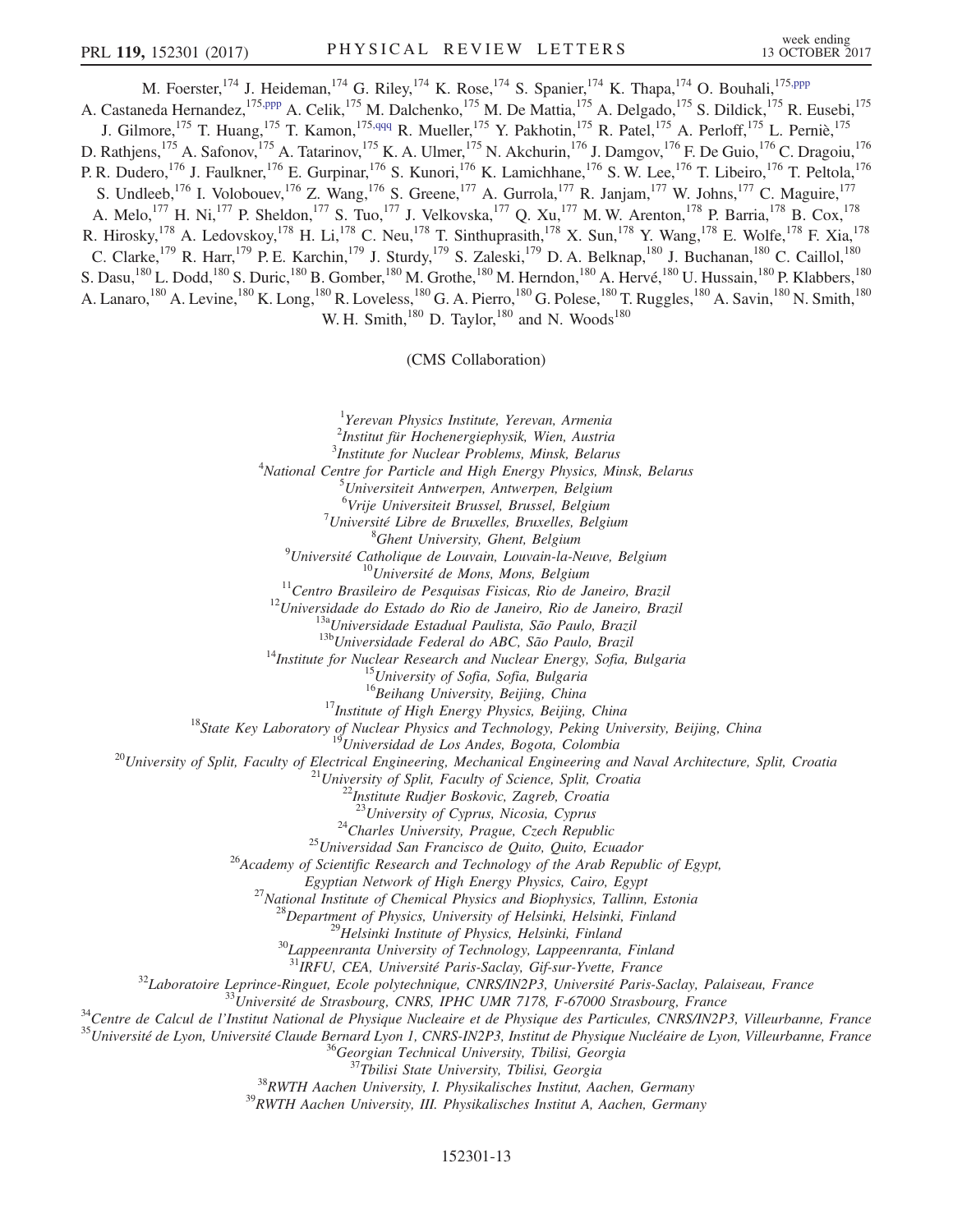<span id="page-12-1"></span><span id="page-12-0"></span>M. Foerster, <sup>174</sup> J. Heideman, <sup>174</sup> G. Riley, <sup>174</sup> K. Rose, <sup>174</sup> S. Spanier, <sup>174</sup> K. Thapa, <sup>174</sup> O. Bouhali, <sup>17[5,ppp](#page-16-49)</sup> A. Castaneda Hernandez,<sup>175[,ppp](#page-16-49)</sup> A. Celik,<sup>175</sup> M. Dalchenko,<sup>175</sup> M. De Mattia,<sup>175</sup> A. Delgado,<sup>175</sup> S. Dildick,<sup>175</sup> R. Eusebi,<sup>175</sup> J. Gilmore,<sup>175</sup> T. Huang,<sup>175</sup> T. Kamon,<sup>175[,qqq](#page-16-50)</sup> R. Mueller,<sup>175</sup> Y. Pakhotin,<sup>175</sup> R. Patel,<sup>175</sup> A. Perloff,<sup>175</sup> L. Perniè,<sup>175</sup> D. Rathjens,<sup>175</sup> A. Safonov,<sup>175</sup> A. Tatarinov,<sup>175</sup> K. A. Ulmer,<sup>175</sup> N. Akchurin,<sup>176</sup> J. Damgov,<sup>176</sup> F. De Guio,<sup>176</sup> C. Dragoiu,<sup>176</sup> P. R. Dudero,<sup>176</sup> J. Faulkner,<sup>176</sup> E. Gurpinar,<sup>176</sup> S. Kunori,<sup>176</sup> K. Lamichhane,<sup>176</sup> S. W. Lee,<sup>176</sup> T. Libeiro,<sup>176</sup> T. Peltola,<sup>176</sup> S. Undleeb,  $^{176}$  I. Volobouev,  $^{176}$  Z. Wang,  $^{176}$  S. Greene,  $^{177}$  A. Gurrola,  $^{177}$  R. Janjam,  $^{177}$  W. Johns,  $^{177}$  C. Maguire,  $^{177}$ A. Melo,<sup>177</sup> H. Ni,<sup>177</sup> P. Sheldon,<sup>177</sup> S. Tuo,<sup>177</sup> J. Velkovska,<sup>177</sup> Q. Xu,<sup>177</sup> M. W. Arenton,<sup>178</sup> P. Barria,<sup>178</sup> B. Cox,<sup>178</sup> R. Hirosky,<sup>178</sup> A. Ledovskoy,<sup>178</sup> H. Li,<sup>178</sup> C. Neu,<sup>178</sup> T. Sinthuprasith,<sup>178</sup> X. Sun,<sup>178</sup> Y. Wang,<sup>178</sup> E. Wolfe,<sup>178</sup> F. Xia,<sup>178</sup> C. Clarke,<sup>179</sup> R. Harr,<sup>179</sup> P. E. Karchin,<sup>179</sup> J. Sturdy,<sup>179</sup> S. Zaleski,<sup>179</sup> D. A. Belknap,<sup>180</sup> J. Buchanan,<sup>180</sup> C. Caillol,<sup>180</sup> S. Dasu,<sup>180</sup> L. Dodd,<sup>180</sup> S. Duric,<sup>180</sup> B. Gomber,<sup>180</sup> M. Grothe,<sup>180</sup> M. Herndon,<sup>180</sup> A. Hervé,<sup>180</sup> U. Hussain,<sup>180</sup> P. Klabbers,<sup>180</sup> A. Lanaro,<sup>180</sup> A. Levine,<sup>180</sup> K. Long,<sup>180</sup> R. Loveless,<sup>180</sup> G. A. Pierro,<sup>180</sup> G. Polese,<sup>180</sup> T. Ruggles,<sup>180</sup> A. Savin,<sup>180</sup> N. Smith,<sup>180</sup> W. H. Smith, $180$  D. Taylor, $180$  and N. Woods $180$ 

(CMS Collaboration)

<sup>1</sup>Yerevan Physics Institute, Yerevan, Armenia

2 Institut für Hochenergiephysik, Wien, Austria

<sup>3</sup>Institute for Nuclear Problems, Minsk, Belarus<br><sup>4</sup>National Centre for Particle and High Energy Physics Mi

<sup>4</sup>National Centre for Particle and High Energy Physics, Minsk, Belarus

Universiteit Antwerpen, Antwerpen, Belgium

<sup>6</sup>Vrije Universiteit Brussel, Brussel, Belgium<br><sup>7</sup>Université Libre de Pruxelles, Pruxelles, Belgium

 $17$ Université Libre de Bruxelles, Bruxelles, Belgium

<sup>8</sup>Ghent University, Ghent, Belgium<br>Université Catholique de Louvain, Louvain-la-Neuve, Belgium<sup>9</sup>

<sup>10</sup>Université de Mons, Mons, Belgium<br><sup>11</sup>Centro Brasileiro de Pesquisas Fisicas, Rio de Janeiro, Brazil<br><sup>12</sup>Universidade do Estado do Rio de Janeiro, Rio de Janeiro, Brazil<br><sup>138</sup>Universidade Estadual Paulista, São Paulo,

<sup>17</sup>*Institute of High Energy Physics, Beijing, China*<br><sup>18</sup>*State Key Laboratory of Nuclear Physics and Technology, Peking University, Beijing, China*<br><sup>19</sup>*Universidad de Los Andes, Bogota, Colombia*<br><sup>20</sup>*University of Sp* 

<sup>24</sup>Charles University, Prague, Czech Republic<br><sup>25</sup>Universidad San Francisco de Quito, Quito, Ecuador <sup>26</sup>Academy of Scientific Research and Technology of the Arab Republic of Egypt,

Egyptian Network of High Energy Physics, Cairo, Egypt<br><sup>27</sup> National Institute of Chemical Physics and Biophysics, Tallinn, Estonia<br><sup>28</sup> Department of Physics, University of Helsinki, Helsinki, Finland<br><sup>29</sup> Helsinki Instit

<sup>32</sup>Laboratoire Leprince-Ringuet, Ecole polytechnique, CNRS/IN2P3, Université Paris-Saclay, Palaiseau, France<br><sup>33</sup>Université de Strasbourg, CNRS, IPHC UMR 7178, F-67000 Strasbourg, France<br><sup>34</sup>Centre de Calcul de l'Institu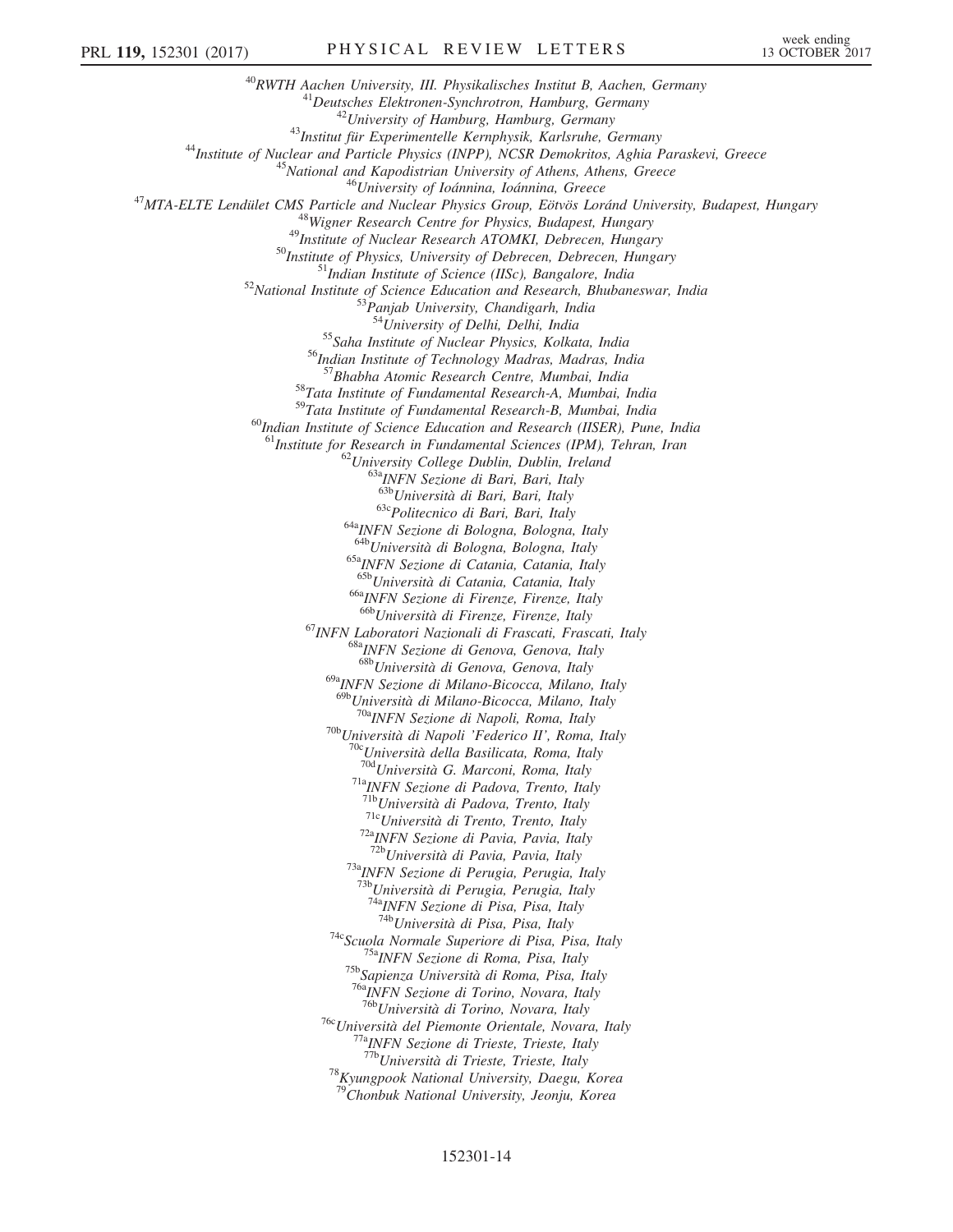$\begin{tabular}{c} \mbox{ $^{40}$}RWTH \textbf{ Aachen University, III. Physikalisches Institut B, Aachen, Germany \\ \mbox{ $^{41}$}Deutsches Elektronen-Synchronous, Hamburg, Germany \\ \mbox{ $^{42}$} University of Hamburg, Germany \\ \mbox{ $^{43}$} Institute of Nuclear and Particle Physics (INPP), NCSR Demokritos, Aghia Paraskevi, Greece \\ \mbox{ $^{45}$} National and Kapodistrian University of Athens, Athens, Greece \\ \mbox{ $^{45}$} National and Kapodistrian University of Athens, Athens, Greece \\ \mbox{ $^{46}$} University of Iodamina, Iodannina, Greece \\ \mbox{ $^{48}$} Write and Nuclear Physics Group, Eötvös Loránd University, Budapest,$ <sup>54</sup>University of Delhi, Delhi, India<br><sup>55</sup>Saha Institute of Nuclear Physics, Kolkata, India<br><sup>56</sup>Indian Institute of Technology Madras, Madras, India<br><sup>57</sup>Bhabha Atomic Research Centre, Mumbai, India 58<br>Tata Institute of Fundamental Research-A, Mumbai, India<br>59Tata Institute of Fundamental Research-B, Mumbai, India  $^{60}$ Indian Institute of Science Education and Research (IISER), Pune, India <sup>61</sup>Institute for Research in Fundamental Sciences (IPM), Tehran, Iran <sup>62</sup>University College Dublin, Dublin, Ireland <sup>63a</sup>INFN Sezione di Bari, Bari, Italy <sup>63b</sup>Università di Bari, Bari, Italy  $63c$ Politecnico di Bari, Bari, Italy<br> $64a$ INFN Sezione di Bologna, Bologna, Italy<br> $64b$ Università di Bologna, Bologna, Italy  $65a$ <sub>INFN</sub> Sezione di Catania, Catania, Italy  $65b$ <sub>Università</sub> di Catania, Catania, Italy <sup>66a</sup>INFN Sezione di Firenze, Firenze, Italy<br><sup>66b</sup>Università di Firenze, Firenze, Italy <sup>67</sup>INFN Laboratori Nazionali di Frascati, Frascati, Italy 68<sup>8</sup>INFN Sezione di Genova, Genova, Italy 68bUniversità di Genova, Genova, Italy 69aINFN Sezione di Milano-Bicocca, Milano, Italy  $^{69b}$ Università di Milano-Bicocca, Milano, Italy<br><sup>70a</sup>INFN Sezione di Napoli, Roma, Italy <sup>70b</sup>Università di Napoli 'Federico II', Roma, Italy<br><sup>70c</sup>Università della Basilicata, Roma, Italy<br><sup>70d</sup>Università G. Marconi, Roma, Italy <sup>71a</sup>INFN Sezione di Padova, Trento, Italy<br><sup>71b</sup>Università di Padova, Trento, Italy <sup>71c</sup>Università di Trento, Trento, Italy <sup>72a</sup>INFN Sezione di Pavia, Pavia, Italy <sup>72b</sup>Università di Pavia, Pavia, Italy <sup>73a</sup>INFN Sezione di Perugia, Perugia, Italy 73bUniversità di Perugia, Perugia, Italy <sup>74a</sup>INFN Sezione di Pisa, Pisa, Italy<br><sup>74b</sup>Università di Pisa, Pisa, Italy <sup>74c</sup>Scuola Normale Superiore di Pisa, Pisa, Italy<br><sup>75a</sup>INFN Sezione di Roma, Pisa, Italy<br><sup>75b</sup>Sapienza Università di Roma, Pisa, Italy <sup>76a</sup>INFN Sezione di Torino, Novara, Italy<br><sup>76b</sup>Università di Torino, Novara, Italy <sup>76c</sup>Università del Piemonte Orientale, Novara, Italy<br><sup>77a</sup>INFN Sezione di Trieste, Trieste, Italy<br><sup>77b</sup>Università di Trieste, Trieste, Italy  $^{78}K$ yungpook National University, Daegu, Korea <sup>79</sup>Chonbuk National University, Jeonju, Korea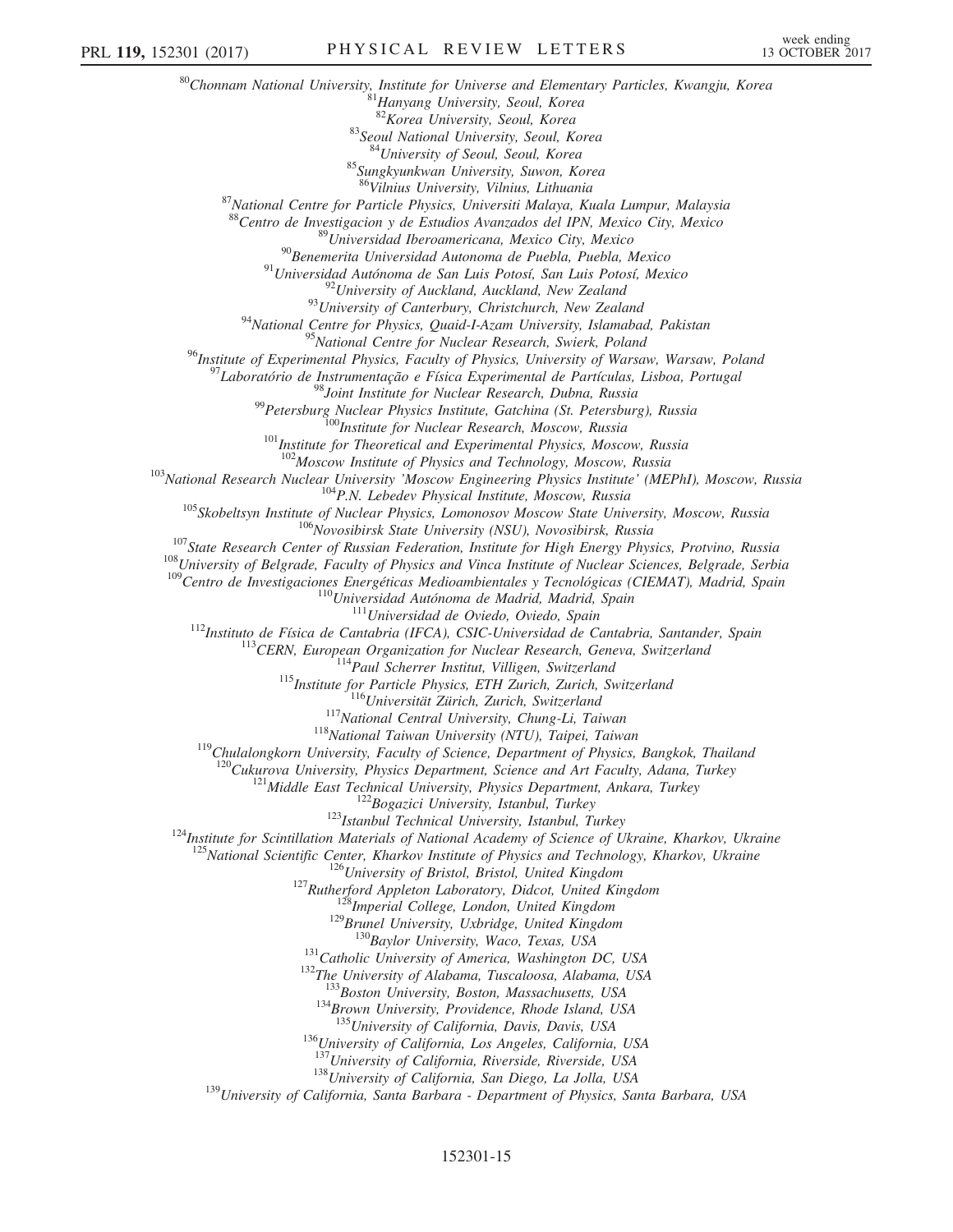<sup>80</sup>Chonnam National University, Institute for Universe and Elementary Particles, Kwangju, Korea  ${}^{81}$ Hanyang University, Seoul, Korea  ${}^{82}$ Korea University, Seoul, Korea <sup>83</sup>Seoul National University, Seoul, Korea<br><sup>84</sup>University of Seoul, Seoul, Korea  $85$ Sungkyunkwan University, Suwon, Korea  $86$ Vilnius University, Vilnius, Lithuania 87 National Centre for Particle Physics, Universiti Malaya, Kuala Lumpur, Malaysia <sup>88</sup>Centro de Investigacion y de Estudios Avanzados del IPN, Mexico City, Mexico<br><sup>89</sup>Universidad Iberoamericana, Mexico City, Mexico<br><sup>90</sup>Benemerita Universidad Autonoma de Puebla, Puebla, Mexico<br><sup>91</sup>Universidad Autónoma d <sup>95</sup>National Centre for Nuclear Research, Swierk, Poland <sup>96</sup>Institute of Experimental Physics, Faculty of Physics, University of Warsaw, Warsaw, Poland<br><sup>97</sup>Laboratório de Instrumentação e Física Experimental de Partículas, Lisboa, Portugal<br><sup>98</sup>Joint Institute for Nuclear Resea  $\begin{array}{r|l} \text{103}\text{Mational Research Nuclear } \text{National Research} & \text{104}\text{Moseow Institute of Physics and Technology, Moscow}\text{Russia} \\ \text{108}\text{National Research Nuclear University} & \text{Moseow Engineering Physics, Intitude} \\ \text{108}\text{Doseow Systems} & \text{Moseow Engineering Physics, Lomonosov Moseow, Russia} \\ \text{108}\text{Skobeltsyn Institute of Nuclear Physics, Lomonosov Moseow, Russia} \\ \text{108}\text{Kobeltsyn Institute of Nuclear Physics, Lomonosov Moseow State University, Moseow, Russia} \\ \text{109}\text{State Research Center of Russian Frederick for High Energy Physics, Protvino, Russia} \\ \text{$ <sup>119</sup>Chulalongkorn University, Faculty of Science, Department of Physics, Bangkok, Thailand<br><sup>120</sup>Cukurova University, Physics Department, Science and Art Faculty, Adana, Turkey<br><sup>121</sup>Middle East Technical University, Physi  $^{5}$ National Scientific Center, Kharkov Institute of Physics and Technology, Kharkov, Ukraine<br>  $^{126}$ University of Bristol, Bristol, United Kingdom<br>  $^{127}$ Rutherford Appleton Laboratory, Didcot, United Kingdom<br>  $^{128}$  $134$ Brown University, Providence, Rhode Island, USA  $135$ University of California, Davis, Davis, USA  $136$ University of California, Los Angeles, California, USA  $137$ University of California, Riverside, Riverside, USA <sup>138</sup>University of California, San Diego, La Jolla, USA<br><sup>139</sup>University of California, Santa Barbara - Department of Physics, Santa Barbara, USA

## 152301-15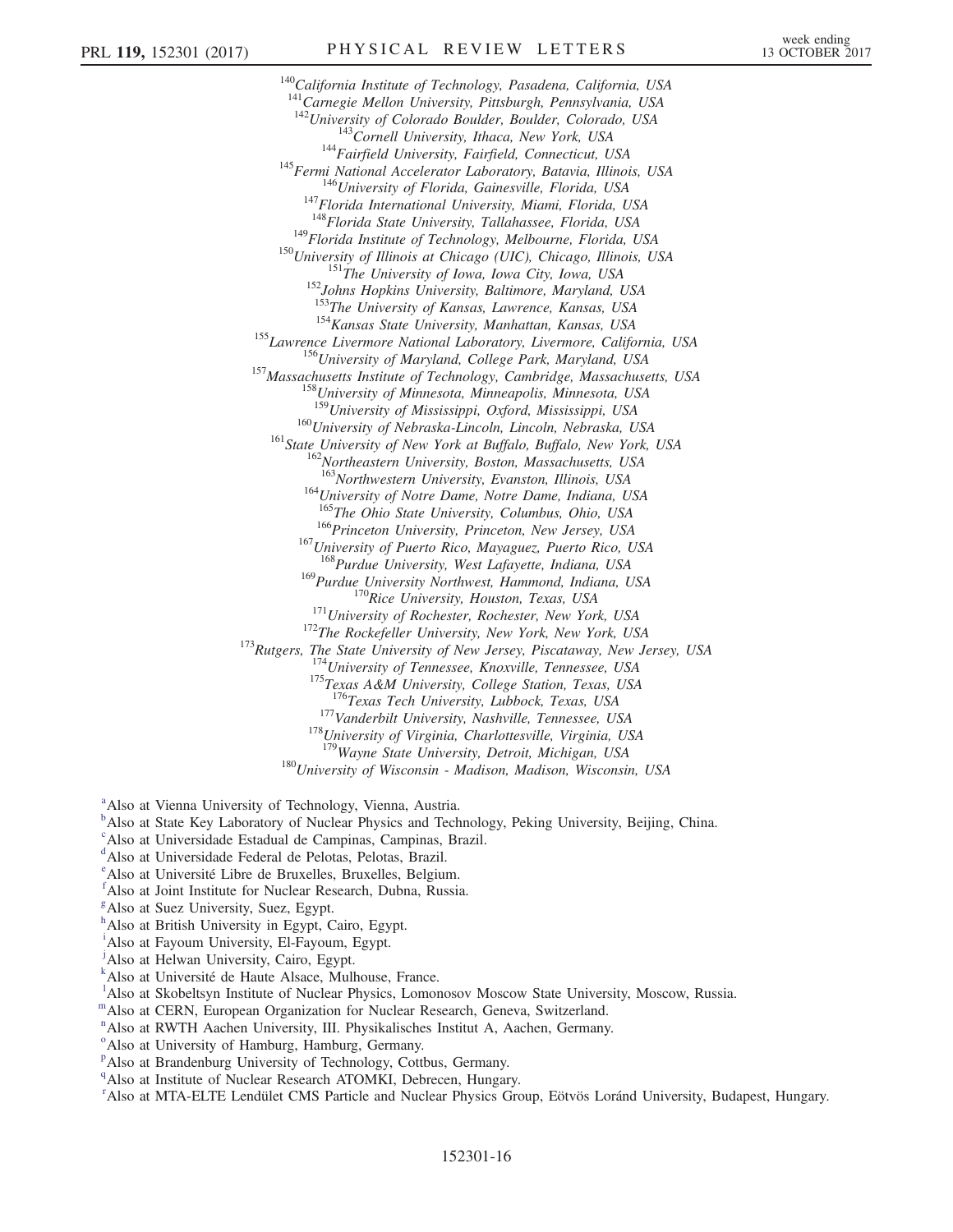<sup>140</sup>California Institute of Technology, Pasadena, California, USA  $141$ Carnegie Mellon University, Pittsburgh, Pennsylvania, USA<br> $142$ University of Colorado Boulder, Boulder, Colorado, USA <sup>143</sup>Cornell University, Ithaca, New York, USA<br><sup>144</sup>Fairfield University, Fairfield, Connecticut, USA<br><sup>145</sup>Fermi National Accelerator Laboratory, Batavia, Illinois, USA<br><sup>146</sup>University of Florida, Gainesville, Florida, US <sup>149</sup>Florida Institute of Technology, Melbourne, Florida, USA<br><sup>150</sup>University of Illinois at Chicago (UIC), Chicago, Illinois, USA<br><sup>151</sup>The University of Iowa, Iowa City, Iowa, USA<br><sup>152</sup>Johns Hopkins University, Baltimore <sup>155</sup> Lawrence Livermore National Laboratory, Livermore, California, USA<br><sup>155</sup> Lawrence Livermore National Laboratory, Livermore, California, USA<br><sup>156</sup> University of Maryland, College Park, Maryland, USA<br><sup>157</sup> Massachuset  $^{160}$ University of Nebraska-Lincoln, Lincoln, Nebraska, USA<br> $^{161}$ State University of New York at Buffalo, Buffalo, New York, USA<br> $^{162}$ Northeastern University, Boston, Massachusetts, USA<br> $^{163}$ Northwestern Universit <sup>164</sup>University of Notre Dame, Notre Dame, Indiana, USA <sup>165</sup>The Ohio State University, Columbus, Ohio, USA  $166$ Princeton University, Princeton, New Jersey, USA  $167$ University of Puerto Rico, Mayaguez, Puerto Rico, USA <sup>168</sup>Purdue University, West Lafayette, Indiana, USA<br><sup>169</sup>Purdue University Northwest, Hammond, Indiana, USA<br><sup>170</sup>Rice University, Houston, Texas, USA <sup>171</sup>University of Rochester, Rochester, New York, USA<br><sup>172</sup>The Rockefeller University, New York, New York, USA<br><sup>173</sup>Rutgers, The State University of New Jersey, Piscataway, New Jersey, USA<br><sup>174</sup>University of Tennessee, K <sup>177</sup>Vanderbilt University, Nashville, Tennessee, USA <sup>178</sup>University of Virginia, Charlottesville, Virginia, USA <sup>179</sup>Wavne State University, Detroit, Michigan, USA  $180$ University of Wisconsin - Madison, Madison, Wisconsin, USA

<span id="page-15-0"></span><sup>[a](#page-6-7)</sup> Also at Vienna University of Technology, Vienna, Austria.

<span id="page-15-1"></span><sup>[b](#page-6-8)</sup>Also at State Key Laboratory of Nuclear Physics and Technology, Peking University, Beijing, China.

<span id="page-15-2"></span>[c](#page-6-9) Also at Universidade Estadual de Campinas, Campinas, Brazil.

- <span id="page-15-3"></span>[d](#page-6-10) Also at Universidade Federal de Pelotas, Pelotas, Brazil.
- <span id="page-15-4"></span>[e](#page-6-11) Also at Université Libre de Bruxelles, Bruxelles, Belgium.
- <span id="page-15-5"></span>[f](#page-6-12) Also at Joint Institute for Nuclear Research, Dubna, Russia.
- <span id="page-15-6"></span><sup>[g](#page-6-13)</sup>Also at Suez University, Suez, Egypt.

h Also at British University in Egypt, Cairo, Egypt.

- <span id="page-15-7"></span>[i](#page-6-13) Also at Fayoum University, El-Fayoum, Egypt.
- <span id="page-15-8"></span><sup>[j](#page-6-13)</sup>Also at Helwan University, Cairo, Egypt.
- <span id="page-15-9"></span>[k](#page-7-0) Also at Université de Haute Alsace, Mulhouse, France.
- <span id="page-15-10"></span><sup>1</sup>A[l](#page-7-1)so at Skobeltsyn Institute of Nuclear Physics, Lomonosov Moscow State University, Moscow, Russia.
- <span id="page-15-11"></span>[m](#page-7-2)Also at CERN, European Organization for Nuclear Research, Geneva, Switzerland.
- <span id="page-15-12"></span><sup>[n](#page-7-3)</sup> Also at RWTH Aachen University, III. Physikalisches Institut A, Aachen, Germany.
- <span id="page-15-13"></span><sup>[o](#page-7-4)</sup>Also at University of Hamburg, Hamburg, Germany.
- <span id="page-15-14"></span><su[p](#page-7-5)>p</sup>Also at Brandenburg University of Technology, Cottbus, Germany.
- <span id="page-15-15"></span><sup>[q](#page-7-6)</sup>Also at Institute of Nuclear Research ATOMKI, Debrecen, Hungary.
- <span id="page-15-16"></span>[r](#page-7-7) Also at MTA-ELTE Lendület CMS Particle and Nuclear Physics Group, Eötvös Loránd University, Budapest, Hungary.